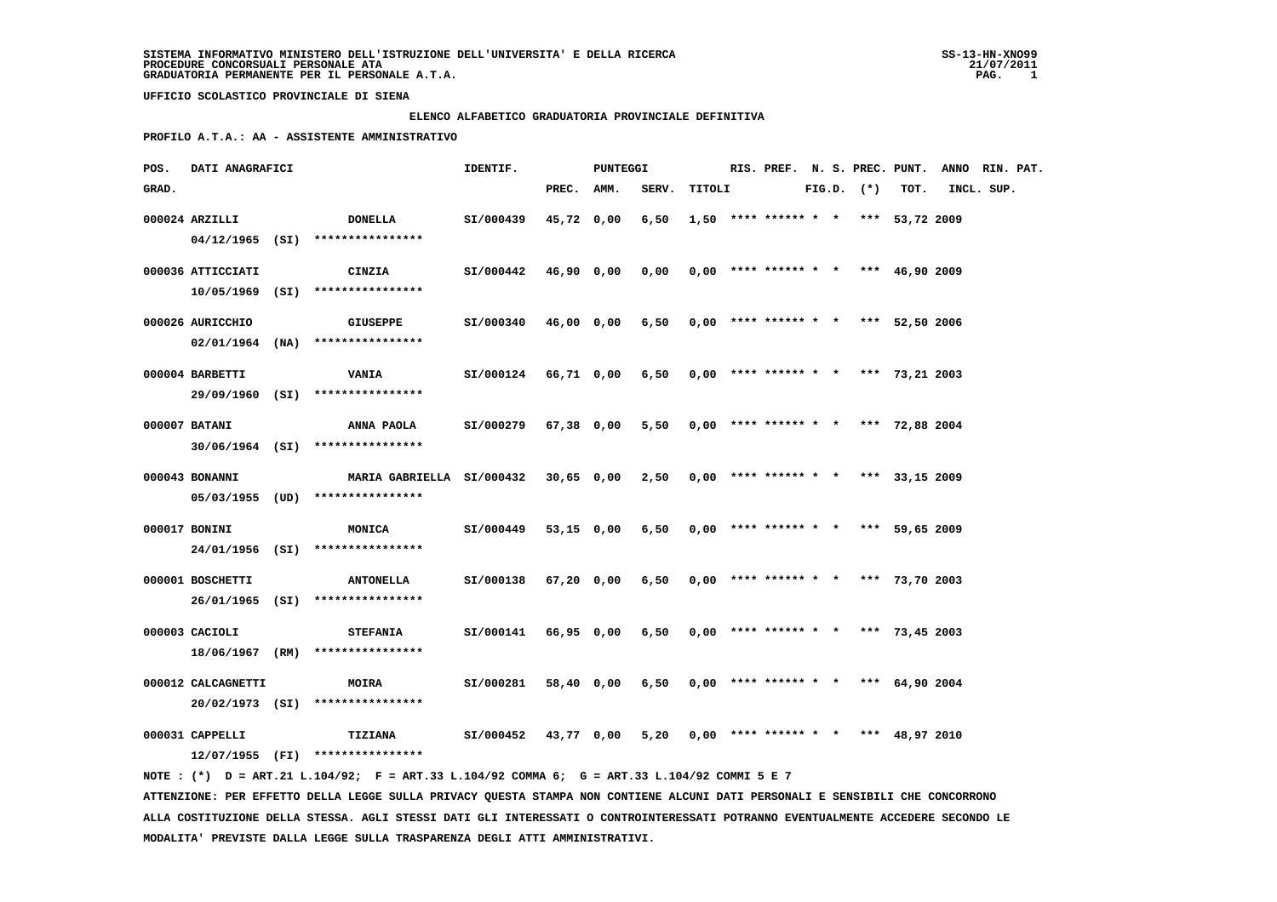#### **ELENCO ALFABETICO GRADUATORIA PROVINCIALE DEFINITIVA**

 **PROFILO A.T.A.: AA - ASSISTENTE AMMINISTRATIVO**

| POS.  | DATI ANAGRAFICI    |                                                                                             | IDENTIF.                  |            | PUNTEGGI   |                 |        |  |  |                |                                       | RIS. PREF. N. S. PREC. PUNT. ANNO RIN. PAT. |            |  |
|-------|--------------------|---------------------------------------------------------------------------------------------|---------------------------|------------|------------|-----------------|--------|--|--|----------------|---------------------------------------|---------------------------------------------|------------|--|
| GRAD. |                    |                                                                                             |                           | PREC. AMM. |            | SERV.           | TITOLI |  |  | $FIG.D.$ $(*)$ | TOT.                                  |                                             | INCL. SUP. |  |
|       | 000024 ARZILLI     | <b>DONELLA</b>                                                                              | SI/000439                 |            | 45,72 0,00 | 6,50            |        |  |  |                | $1,50$ **** ****** * * *** 53,72 2009 |                                             |            |  |
|       |                    | $04/12/1965$ (SI) *****************                                                         |                           |            |            |                 |        |  |  |                |                                       |                                             |            |  |
|       | 000036 ATTICCIATI  | <b>CINZIA</b>                                                                               | SI/000442 46,90 0,00      |            |            | 0,00            |        |  |  |                | $0,00$ **** ****** * * *** 46,90 2009 |                                             |            |  |
|       |                    | $10/05/1969$ (SI) ****************                                                          |                           |            |            |                 |        |  |  |                |                                       |                                             |            |  |
|       | 000026 AURICCHIO   | <b>GIUSEPPE</b>                                                                             | SI/000340 46,00 0,00 6,50 |            |            |                 |        |  |  |                | $0,00$ **** ****** * * *** 52,50 2006 |                                             |            |  |
|       |                    | $02/01/1964$ (NA) ****************                                                          |                           |            |            |                 |        |  |  |                |                                       |                                             |            |  |
|       | 000004 BARBETTI    | <b>VANIA</b>                                                                                | SI/000124 66,71 0,00 6,50 |            |            |                 |        |  |  |                | $0,00$ **** ****** * * *** 73,21 2003 |                                             |            |  |
|       |                    | 29/09/1960 (SI) ****************                                                            |                           |            |            |                 |        |  |  |                |                                       |                                             |            |  |
|       | 000007 BATANI      | <b>ANNA PAOLA</b>                                                                           | SI/000279 67,38 0,00 5,50 |            |            |                 |        |  |  |                | $0,00$ **** ****** * * *** 72,88 2004 |                                             |            |  |
|       |                    | $30/06/1964$ (SI) ****************                                                          |                           |            |            |                 |        |  |  |                |                                       |                                             |            |  |
|       | 000043 BONANNI     | MARIA GABRIELLA SI/000432 30,65 0,00                                                        |                           |            |            | 2,50            |        |  |  |                | $0,00$ **** ****** * * *** 33,15 2009 |                                             |            |  |
|       |                    | 05/03/1955 (UD) ****************                                                            |                           |            |            |                 |        |  |  |                |                                       |                                             |            |  |
|       | 000017 BONINI      | <b>MONICA</b>                                                                               | SI/000449                 |            |            | 53,15 0,00 6,50 |        |  |  |                | $0,00$ **** ****** * * *** 59,65 2009 |                                             |            |  |
|       |                    | 24/01/1956 (SI) ****************                                                            |                           |            |            |                 |        |  |  |                |                                       |                                             |            |  |
|       | 000001 BOSCHETTI   | <b>ANTONELLA</b>                                                                            | SI/000138                 |            | 67,20 0,00 | 6,50            |        |  |  |                | $0,00$ **** ****** * * *** 73,70 2003 |                                             |            |  |
|       |                    | 26/01/1965 (SI) ****************                                                            |                           |            |            |                 |        |  |  |                |                                       |                                             |            |  |
|       | 000003 CACIOLI     | <b>STEFANIA</b>                                                                             | SI/000141 66,95 0,00 6,50 |            |            |                 |        |  |  |                | $0,00$ **** ****** * * *** 73,45 2003 |                                             |            |  |
|       |                    | 18/06/1967 (RM) ****************                                                            |                           |            |            |                 |        |  |  |                |                                       |                                             |            |  |
|       | 000012 CALCAGNETTI | <b>MOIRA</b>                                                                                | SI/000281                 |            | 58,40 0,00 | 6,50            |        |  |  |                | $0,00$ **** ****** * * *** 64,90 2004 |                                             |            |  |
|       |                    | 20/02/1973 (SI) ****************                                                            |                           |            |            |                 |        |  |  |                |                                       |                                             |            |  |
|       | 000031 CAPPELLI    | <b>TIZIANA</b>                                                                              | SI/000452 43,77 0,00      |            |            | 5,20            |        |  |  |                | $0,00$ **** ****** * * *** 48,97 2010 |                                             |            |  |
|       |                    | $12/07/1955$ (FI) ****************                                                          |                           |            |            |                 |        |  |  |                |                                       |                                             |            |  |
|       |                    | NOTE: (*) D = ART.21 L.104/92; F = ART.33 L.104/92 COMMA 6; G = ART.33 L.104/92 COMMI 5 E 7 |                           |            |            |                 |        |  |  |                |                                       |                                             |            |  |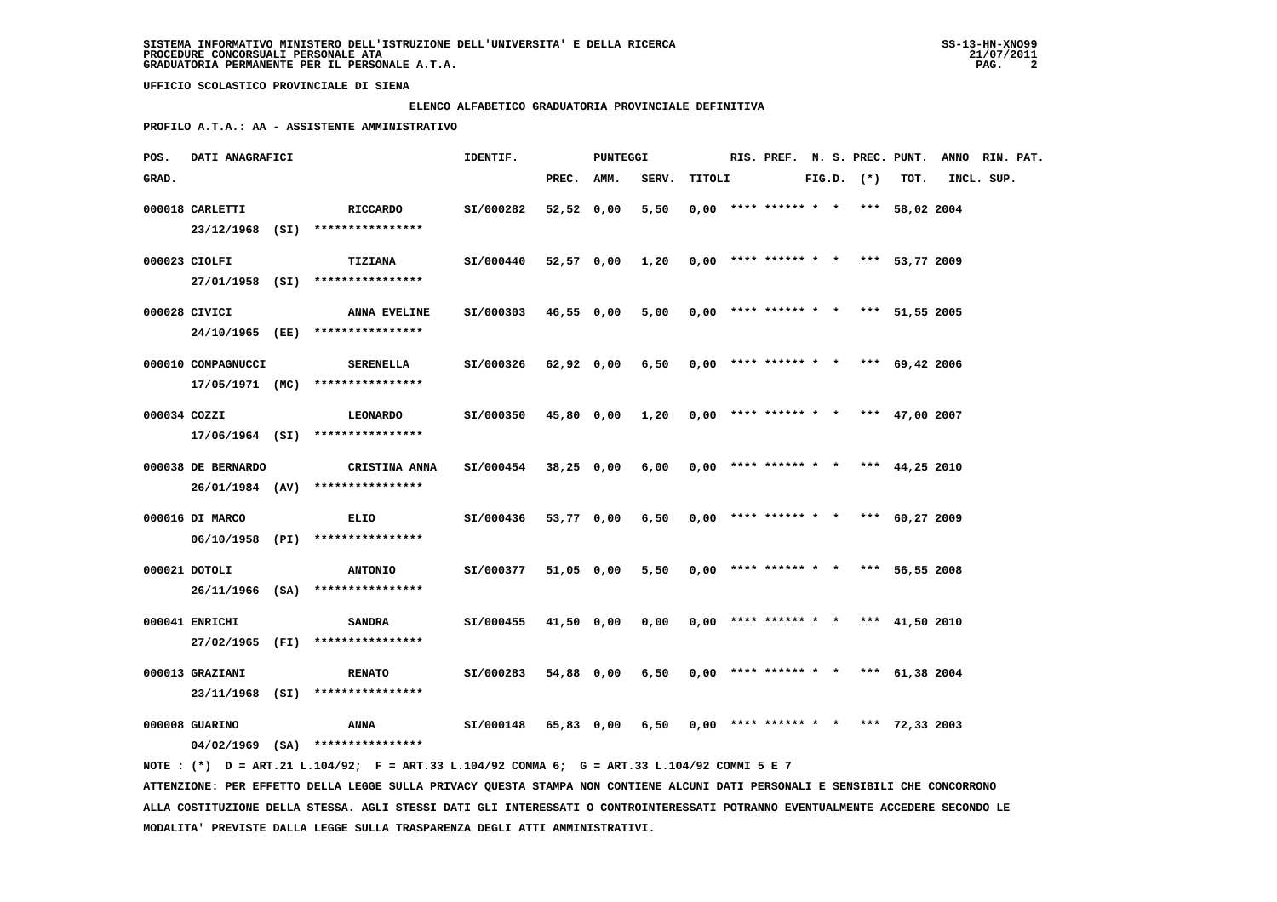# **ELENCO ALFABETICO GRADUATORIA PROVINCIALE DEFINITIVA**

 **PROFILO A.T.A.: AA - ASSISTENTE AMMINISTRATIVO**

| POS.         | <b>DATI ANAGRAFICI</b> |                                                                                              | IDENTIF.             |            | PUNTEGGI   |                                                     |        |                                       |  |                |      | RIS. PREF. N. S. PREC. PUNT. ANNO RIN. PAT. |  |
|--------------|------------------------|----------------------------------------------------------------------------------------------|----------------------|------------|------------|-----------------------------------------------------|--------|---------------------------------------|--|----------------|------|---------------------------------------------|--|
| GRAD.        |                        |                                                                                              |                      | PREC. AMM. |            | SERV.                                               | TITOLI |                                       |  | $FIG.D.$ $(*)$ | TOT. | INCL. SUP.                                  |  |
|              | 000018 CARLETTI        | RICCARDO                                                                                     | SI/000282            | 52,52 0,00 |            | 5,50                                                |        | $0.00$ **** ****** * * *** 58.02 2004 |  |                |      |                                             |  |
|              |                        | 23/12/1968 (SI) ****************                                                             |                      |            |            |                                                     |        |                                       |  |                |      |                                             |  |
|              | 000023 CIOLFI          | TIZIANA                                                                                      | SI/000440            |            |            | 52,57 0,00 1,20 0,00 **** ****** * *** 53,77 2009   |        |                                       |  |                |      |                                             |  |
|              |                        | 27/01/1958 (SI) ****************                                                             |                      |            |            |                                                     |        |                                       |  |                |      |                                             |  |
|              |                        |                                                                                              |                      |            |            |                                                     |        |                                       |  |                |      |                                             |  |
|              | 000028 CIVICI          | ANNA EVELINE<br>24/10/1965 (EE) ****************                                             | SI/000303            | 46,55 0,00 |            | 5,00                                                |        | $0,00$ **** ****** * * *** 51,55 2005 |  |                |      |                                             |  |
|              |                        |                                                                                              |                      |            |            |                                                     |        |                                       |  |                |      |                                             |  |
|              | 000010 COMPAGNUCCI     | SERENELLA                                                                                    | SI/000326            |            | 62,92 0,00 | $6,50$ 0,00 **** ****** * * *** 69,42 2006          |        |                                       |  |                |      |                                             |  |
|              |                        | $17/05/1971$ (MC) ****************                                                           |                      |            |            |                                                     |        |                                       |  |                |      |                                             |  |
| 000034 COZZI |                        | <b>LEONARDO</b>                                                                              | SI/000350            |            |            | 45,80 0,00 1,20 0,00 **** ****** * * *** 47,00 2007 |        |                                       |  |                |      |                                             |  |
|              |                        | $17/06/1964$ (SI) ****************                                                           |                      |            |            |                                                     |        |                                       |  |                |      |                                             |  |
|              | 000038 DE BERNARDO     | <b>CRISTINA ANNA</b>                                                                         | SI/000454 38,25 0,00 |            |            | $6,00$ 0,00 **** ****** * * *** 44,25 2010          |        |                                       |  |                |      |                                             |  |
|              |                        | $26/01/1984$ (AV) *****************                                                          |                      |            |            |                                                     |        |                                       |  |                |      |                                             |  |
|              | 000016 DI MARCO        | ELIO                                                                                         | SI/000436            |            | 53,77 0,00 | 6,50 0,00 **** ****** * * *** 60,27 2009            |        |                                       |  |                |      |                                             |  |
|              |                        | 06/10/1958 (PI) ****************                                                             |                      |            |            |                                                     |        |                                       |  |                |      |                                             |  |
|              |                        |                                                                                              |                      |            |            |                                                     |        |                                       |  |                |      |                                             |  |
|              | 000021 DOTOLI          | <b>ANTONIO</b>                                                                               | SI/000377            |            | 51,05 0,00 | 5,50 0,00 **** ****** * * *** 56,55 2008            |        |                                       |  |                |      |                                             |  |
|              |                        | 26/11/1966 (SA) ****************                                                             |                      |            |            |                                                     |        |                                       |  |                |      |                                             |  |
|              | 000041 ENRICHI         | <b>SANDRA</b>                                                                                | SI/000455            |            | 41,50 0,00 | $0,00$ $0,00$ **** ****** * * *** 41,50 2010        |        |                                       |  |                |      |                                             |  |
|              |                        | 27/02/1965 (FI) ****************                                                             |                      |            |            |                                                     |        |                                       |  |                |      |                                             |  |
|              | 000013 GRAZIANI        | <b>RENATO</b>                                                                                | SI/000283            |            |            | 54,88 0,00 6,50 0,00 **** ****** * * *** 61,38 2004 |        |                                       |  |                |      |                                             |  |
|              |                        | 23/11/1968 (SI) ****************                                                             |                      |            |            |                                                     |        |                                       |  |                |      |                                             |  |
|              | 000008 GUARINO         | ANNA 51/000148 65,83 0,00 6,50 0,00 **** ****** * *** 72,33 2003                             |                      |            |            |                                                     |        |                                       |  |                |      |                                             |  |
|              |                        | $04/02/1969$ (SA) ****************                                                           |                      |            |            |                                                     |        |                                       |  |                |      |                                             |  |
|              |                        | NOTE : (*) D = ART.21 L.104/92; F = ART.33 L.104/92 COMMA 6; G = ART.33 L.104/92 COMMI 5 E 7 |                      |            |            |                                                     |        |                                       |  |                |      |                                             |  |
|              |                        |                                                                                              |                      |            |            |                                                     |        |                                       |  |                |      |                                             |  |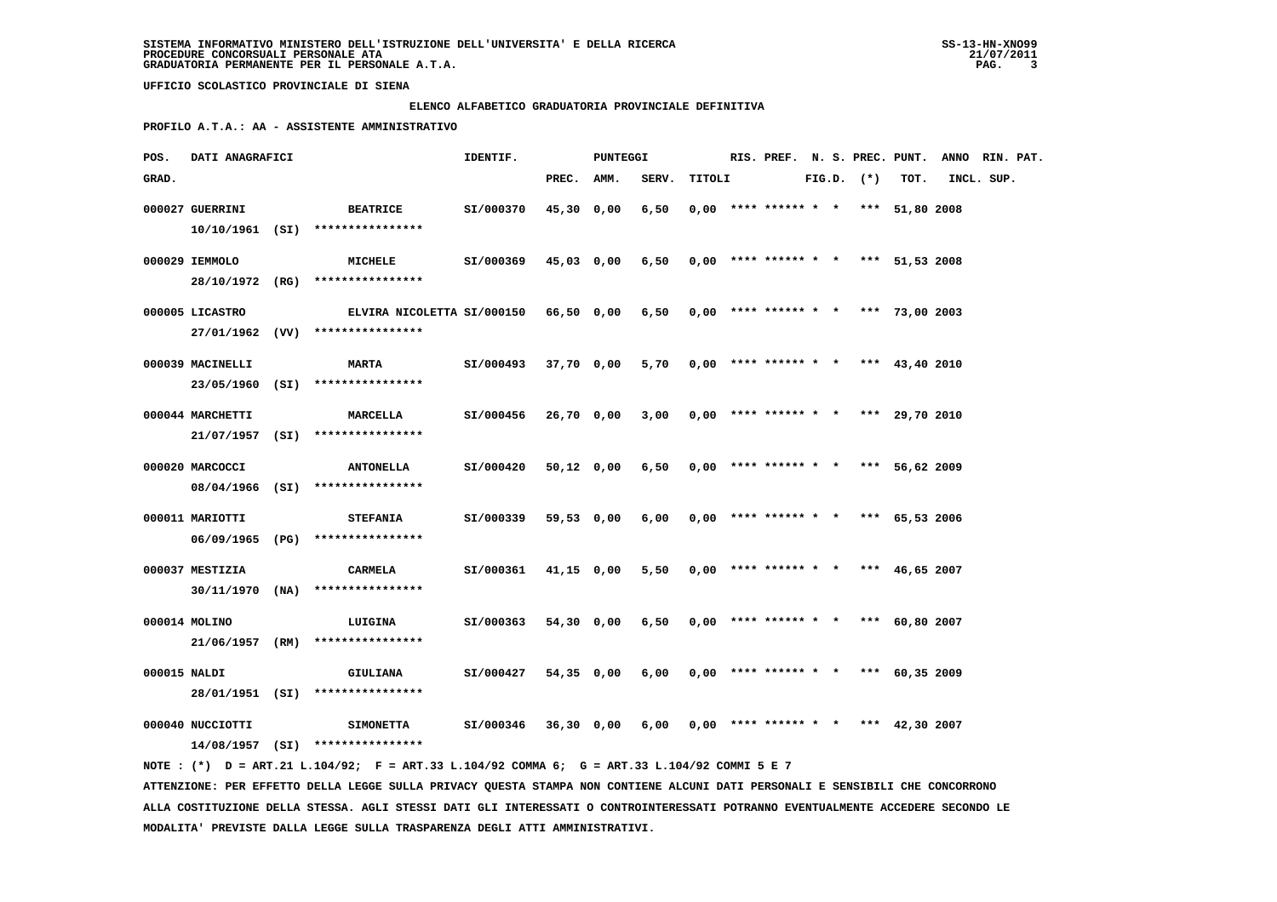# **ELENCO ALFABETICO GRADUATORIA PROVINCIALE DEFINITIVA**

 **PROFILO A.T.A.: AA - ASSISTENTE AMMINISTRATIVO**

| POS.         | DATI ANAGRAFICI  |                                                                                             | IDENTIF.  |            | PUNTEGGI   |                                            |        |                                       |  |                |      | RIS. PREF. N. S. PREC. PUNT. ANNO RIN. PAT. |  |
|--------------|------------------|---------------------------------------------------------------------------------------------|-----------|------------|------------|--------------------------------------------|--------|---------------------------------------|--|----------------|------|---------------------------------------------|--|
| GRAD.        |                  |                                                                                             |           | PREC.      | AMM.       | SERV.                                      | TITOLI |                                       |  | $FIG.D.$ $(*)$ | TOT. | INCL. SUP.                                  |  |
|              | 000027 GUERRINI  | <b>BEATRICE</b>                                                                             | SI/000370 | 45,30 0,00 |            | 6,50                                       |        | $0.00$ **** ****** * * *** 51,80 2008 |  |                |      |                                             |  |
|              |                  | 10/10/1961 (SI) ****************                                                            |           |            |            |                                            |        |                                       |  |                |      |                                             |  |
|              | 000029 IEMMOLO   | MICHELE                                                                                     | SI/000369 |            | 45,03 0,00 | 6,50                                       |        | $0,00$ **** ****** * * *** 51,53 2008 |  |                |      |                                             |  |
|              |                  | 28/10/1972 (RG) ****************                                                            |           |            |            |                                            |        |                                       |  |                |      |                                             |  |
|              | 000005 LICASTRO  | ELVIRA NICOLETTA SI/000150 66,50 0,00                                                       |           |            |            | $6,50$ 0,00 **** ****** * * *** 73,00 2003 |        |                                       |  |                |      |                                             |  |
|              |                  | 27/01/1962 (VV) ****************                                                            |           |            |            |                                            |        |                                       |  |                |      |                                             |  |
|              | 000039 MACINELLI | <b>MARTA</b>                                                                                | SI/000493 | 37,70 0,00 |            | 5,70                                       |        | $0,00$ **** ****** * * *** 43,40 2010 |  |                |      |                                             |  |
|              |                  | 23/05/1960 (SI) ****************                                                            |           |            |            |                                            |        |                                       |  |                |      |                                             |  |
|              | 000044 MARCHETTI | <b>MARCELLA</b>                                                                             | SI/000456 | 26,70 0,00 |            | 3,00                                       |        | $0,00$ **** ****** * * *** 29,70 2010 |  |                |      |                                             |  |
|              |                  | 21/07/1957 (SI) ****************                                                            |           |            |            |                                            |        |                                       |  |                |      |                                             |  |
|              | 000020 MARCOCCI  | <b>ANTONELLA</b>                                                                            | SI/000420 |            | 50,12 0,00 | 6,50                                       |        | $0,00$ **** ****** * * *** 56,62 2009 |  |                |      |                                             |  |
|              |                  | 08/04/1966 (SI) ****************                                                            |           |            |            |                                            |        |                                       |  |                |      |                                             |  |
|              | 000011 MARIOTTI  | <b>STEFANIA</b>                                                                             | SI/000339 | 59,53 0,00 |            | 6,00                                       |        | $0.00$ **** ****** * * *** 65.53 2006 |  |                |      |                                             |  |
|              |                  | 06/09/1965 (PG) ****************                                                            |           |            |            |                                            |        |                                       |  |                |      |                                             |  |
|              | 000037 MESTIZIA  | CARMELA                                                                                     | SI/000361 |            | 41,15 0,00 | 5,50                                       |        | $0,00$ **** ****** * * *** 46,65 2007 |  |                |      |                                             |  |
|              |                  | 30/11/1970 (NA) ****************                                                            |           |            |            |                                            |        |                                       |  |                |      |                                             |  |
|              | 000014 MOLINO    | LUIGINA                                                                                     | SI/000363 |            | 54,30 0,00 | 6,50                                       |        | $0,00$ **** ****** * * *** 60,80 2007 |  |                |      |                                             |  |
|              |                  | $21/06/1957$ (RM) *****************                                                         |           |            |            |                                            |        |                                       |  |                |      |                                             |  |
| 000015 NALDI |                  | <b>GIULIANA</b>                                                                             | SI/000427 | 54,35 0,00 |            | 6,00                                       |        | $0,00$ **** ****** * * *** 60,35 2009 |  |                |      |                                             |  |
|              |                  | 28/01/1951 (SI) ****************                                                            |           |            |            |                                            |        |                                       |  |                |      |                                             |  |
|              | 000040 NUCCIOTTI | <b>SIMONETTA</b>                                                                            | SI/000346 |            | 36,30 0,00 | 6,00                                       |        | $0,00$ **** ****** * * *** 42,30 2007 |  |                |      |                                             |  |
|              |                  | $14/08/1957$ (SI) *****************                                                         |           |            |            |                                            |        |                                       |  |                |      |                                             |  |
|              |                  | NOTE: (*) D = ART.21 L.104/92; F = ART.33 L.104/92 COMMA 6; G = ART.33 L.104/92 COMMI 5 E 7 |           |            |            |                                            |        |                                       |  |                |      |                                             |  |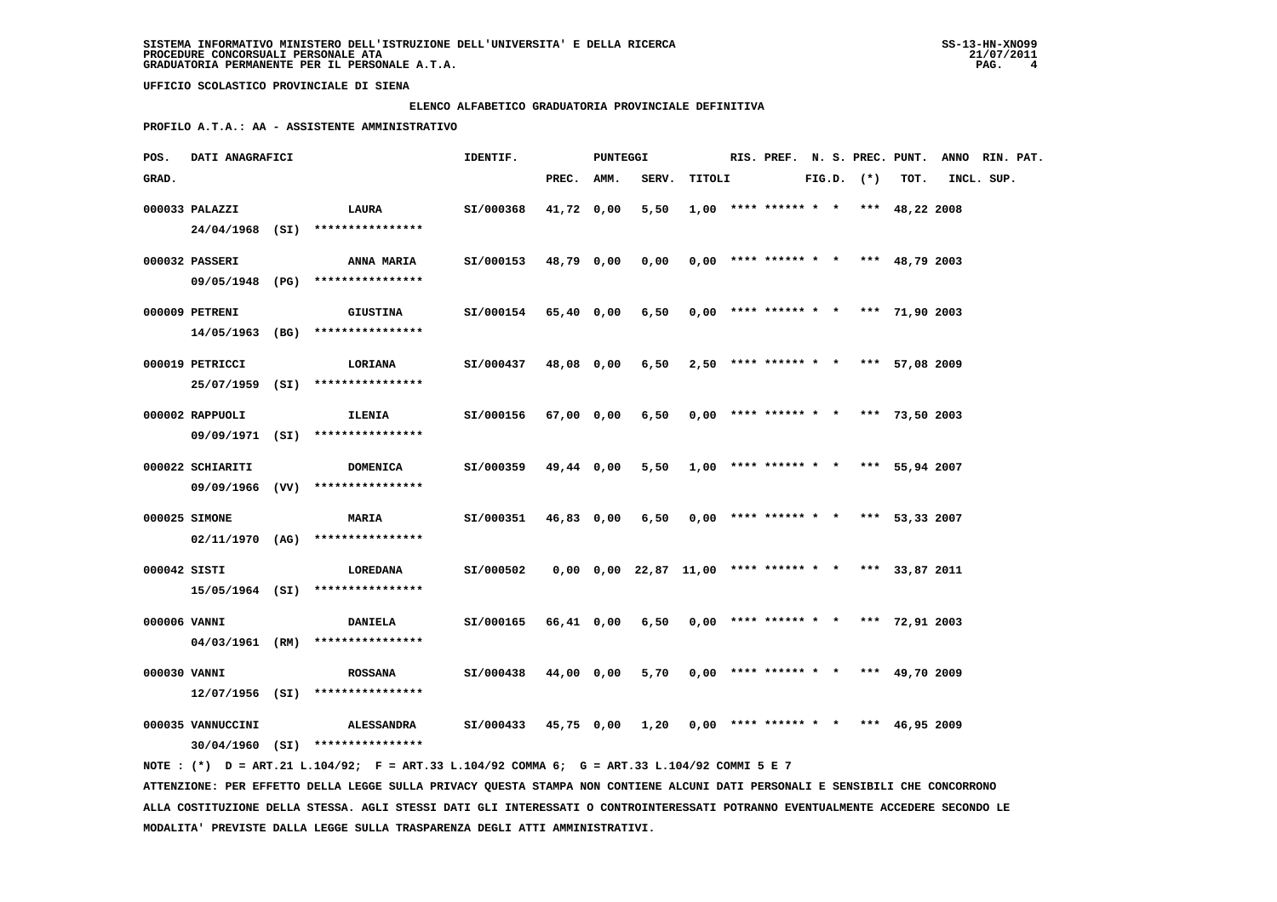# **ELENCO ALFABETICO GRADUATORIA PROVINCIALE DEFINITIVA**

 **PROFILO A.T.A.: AA - ASSISTENTE AMMINISTRATIVO**

| POS.         | <b>DATI ANAGRAFICI</b> |                                                                                             | IDENTIF.                                                        |            | PUNTEGGI |                                                              |                                              |                                       |  |                |      | RIS. PREF. N. S. PREC. PUNT. ANNO RIN. PAT. |  |
|--------------|------------------------|---------------------------------------------------------------------------------------------|-----------------------------------------------------------------|------------|----------|--------------------------------------------------------------|----------------------------------------------|---------------------------------------|--|----------------|------|---------------------------------------------|--|
| GRAD.        |                        |                                                                                             |                                                                 | PREC. AMM. |          |                                                              | SERV. TITOLI                                 |                                       |  | $FIG.D.$ $(*)$ | TOT. | INCL. SUP.                                  |  |
|              | 000033 PALAZZI         | <b>LAURA</b>                                                                                | SI/000368                                                       | 41,72 0,00 |          | 5,50                                                         |                                              | $1,00$ **** ****** * * *** 48,22 2008 |  |                |      |                                             |  |
|              |                        | 24/04/1968 (SI) ****************                                                            |                                                                 |            |          |                                                              |                                              |                                       |  |                |      |                                             |  |
|              | 000032 PASSERI         | <b>ANNA MARIA</b>                                                                           | SI/000153 48,79 0,00                                            |            |          |                                                              | $0,00$ $0,00$ **** ****** * * *** 48,79 2003 |                                       |  |                |      |                                             |  |
|              |                        | 09/05/1948 (PG) ****************                                                            |                                                                 |            |          |                                                              |                                              |                                       |  |                |      |                                             |  |
|              | 000009 PETRENI         | <b>GIUSTINA</b>                                                                             | $SI/000154$ 65,40 0,00 6,50 0,00 **** ****** * *** 71,90 2003   |            |          |                                                              |                                              |                                       |  |                |      |                                             |  |
|              |                        | 14/05/1963 (BG) ****************                                                            |                                                                 |            |          |                                                              |                                              |                                       |  |                |      |                                             |  |
|              | 000019 PETRICCI        | <b>LORIANA</b>                                                                              | SI/000437                                                       |            |          | 48,08 0,00 6,50 2,50 **** ****** * * *** 57,08 2009          |                                              |                                       |  |                |      |                                             |  |
|              |                        | 25/07/1959 (SI) ****************                                                            |                                                                 |            |          |                                                              |                                              |                                       |  |                |      |                                             |  |
|              |                        |                                                                                             |                                                                 |            |          |                                                              |                                              |                                       |  |                |      |                                             |  |
|              | 000002 RAPPUOLI        | ILENIA                                                                                      | SI/000156                                                       | 67,00 0,00 |          | 6,50                                                         |                                              | $0.00$ **** ****** * * *** 73.50 2003 |  |                |      |                                             |  |
|              |                        | 09/09/1971 (SI) ****************                                                            |                                                                 |            |          |                                                              |                                              |                                       |  |                |      |                                             |  |
|              | 000022 SCHIARITI       | <b>DOMENICA</b>                                                                             | SI/000359                                                       | 49,44 0,00 |          |                                                              | 5,50 1,00 **** ****** * * *** 55,94 2007     |                                       |  |                |      |                                             |  |
|              |                        | 09/09/1966 (VV) ****************                                                            |                                                                 |            |          |                                                              |                                              |                                       |  |                |      |                                             |  |
|              | 000025 SIMONE          | <b>MARIA</b>                                                                                | SI/000351                                                       | 46,83 0,00 |          |                                                              | $6,50$ 0,00 **** ****** * * *** 53,33 2007   |                                       |  |                |      |                                             |  |
|              |                        | $02/11/1970$ (AG) ****************                                                          |                                                                 |            |          |                                                              |                                              |                                       |  |                |      |                                             |  |
| 000042 SISTI |                        | <b>LOREDANA</b>                                                                             | SI/000502                                                       |            |          | $0,00$ $0,00$ $22,87$ $11,00$ **** ****** * * *** 33,87 2011 |                                              |                                       |  |                |      |                                             |  |
|              |                        | 15/05/1964 (SI) ****************                                                            |                                                                 |            |          |                                                              |                                              |                                       |  |                |      |                                             |  |
|              |                        |                                                                                             |                                                                 |            |          |                                                              |                                              |                                       |  |                |      |                                             |  |
| 000006 VANNI |                        | <b>DANIELA</b>                                                                              | SI/000165 66,41 0,00 6,50                                       |            |          |                                                              |                                              | $0,00$ **** ****** * * *** 72,91 2003 |  |                |      |                                             |  |
|              |                        | $04/03/1961$ (RM) ****************                                                          |                                                                 |            |          |                                                              |                                              |                                       |  |                |      |                                             |  |
| 000030 VANNI |                        | <b>ROSSANA</b>                                                                              | SI/000438 44,00 0,00                                            |            |          |                                                              | $5,70$ 0,00 **** ****** * * *** 49,70 2009   |                                       |  |                |      |                                             |  |
|              |                        | $12/07/1956$ (SI) ****************                                                          |                                                                 |            |          |                                                              |                                              |                                       |  |                |      |                                             |  |
|              | 000035 VANNUCCINI      | <b>ALESSANDRA</b>                                                                           | $SI/000433$ 45,75 0,00 1,20 0,00 **** ****** * * *** 46,95 2009 |            |          |                                                              |                                              |                                       |  |                |      |                                             |  |
|              |                        | $30/04/1960$ (SI) ****************                                                          |                                                                 |            |          |                                                              |                                              |                                       |  |                |      |                                             |  |
|              |                        | NOTE: (*) D = ART.21 L.104/92; F = ART.33 L.104/92 COMMA 6; G = ART.33 L.104/92 COMMI 5 E 7 |                                                                 |            |          |                                                              |                                              |                                       |  |                |      |                                             |  |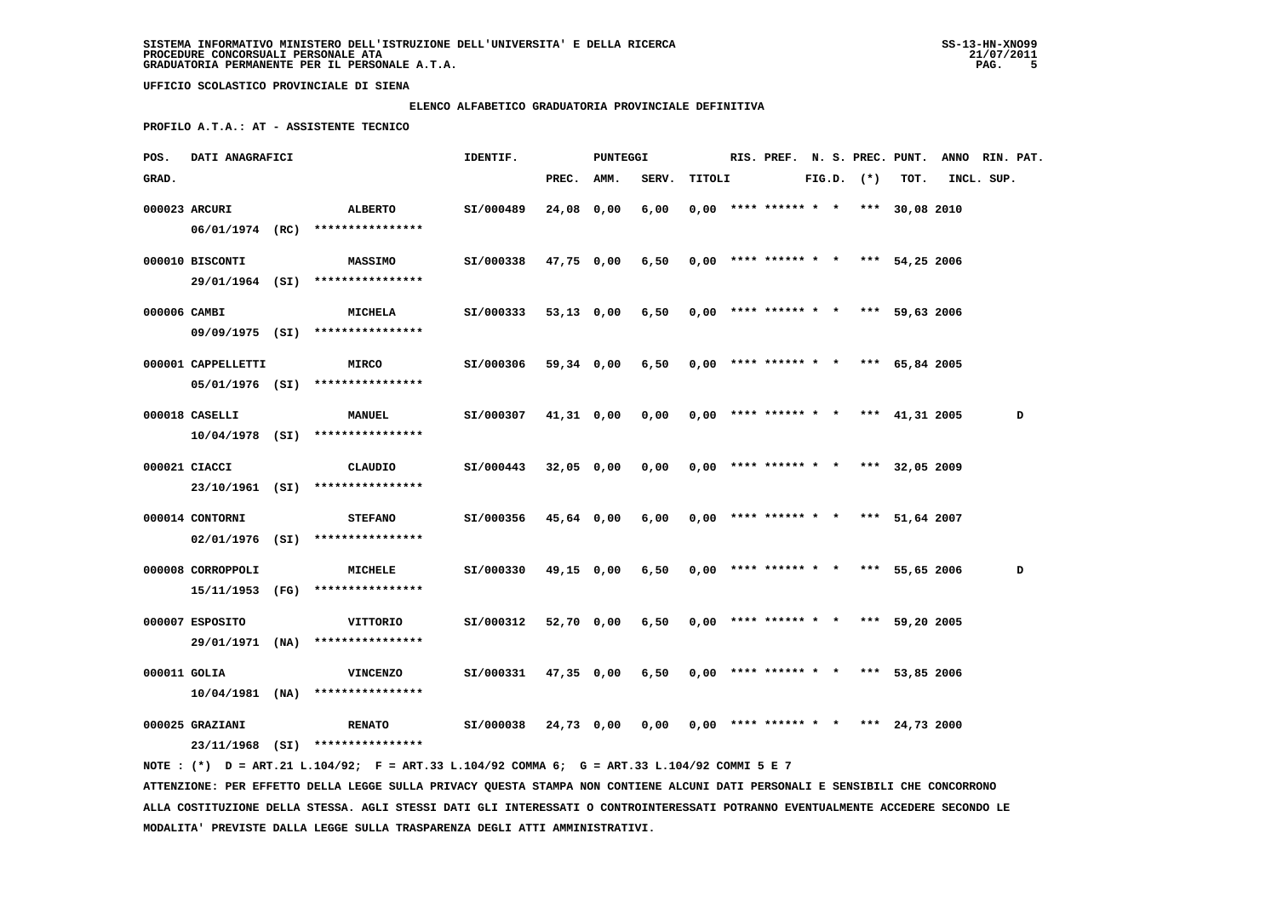# **ELENCO ALFABETICO GRADUATORIA PROVINCIALE DEFINITIVA**

 **PROFILO A.T.A.: AT - ASSISTENTE TECNICO**

| POS.         | DATI ANAGRAFICI    |                                                                                                                               | IDENTIF.  |              | PUNTEGGI   |       |        |  |  |                | RIS. PREF. N. S. PREC. PUNT.          | ANNO RIN. PAT. |   |
|--------------|--------------------|-------------------------------------------------------------------------------------------------------------------------------|-----------|--------------|------------|-------|--------|--|--|----------------|---------------------------------------|----------------|---|
| GRAD.        |                    |                                                                                                                               |           | PREC. AMM.   |            | SERV. | TITOLI |  |  | $FIG.D.$ $(*)$ | TOT.                                  | INCL. SUP.     |   |
|              | 000023 ARCURI      | ALBERTO                                                                                                                       | SI/000489 | 24,08 0,00   |            | 6,00  |        |  |  |                | $0,00$ **** ****** * * *** 30,08 2010 |                |   |
|              | 06/01/1974 (RC)    | ****************                                                                                                              |           |              |            |       |        |  |  |                |                                       |                |   |
|              |                    |                                                                                                                               |           |              |            |       |        |  |  |                |                                       |                |   |
|              | 000010 BISCONTI    | <b>MASSIMO</b>                                                                                                                | SI/000338 |              | 47,75 0,00 | 6,50  |        |  |  |                | $0,00$ **** ****** * * *** 54,25 2006 |                |   |
|              | 29/01/1964 (SI)    | ****************                                                                                                              |           |              |            |       |        |  |  |                |                                       |                |   |
| 000006 CAMBI |                    | <b>MICHELA</b>                                                                                                                | SI/000333 | 53,13 0,00   |            | 6,50  |        |  |  |                | $0,00$ **** ****** * * *** 59,63 2006 |                |   |
|              |                    | 09/09/1975 (SI) ****************                                                                                              |           |              |            |       |        |  |  |                |                                       |                |   |
|              | 000001 CAPPELLETTI | <b>MIRCO</b>                                                                                                                  | SI/000306 | 59,34 0,00   |            | 6,50  |        |  |  |                | $0,00$ **** ****** * * *** 65,84 2005 |                |   |
|              |                    |                                                                                                                               |           |              |            |       |        |  |  |                |                                       |                |   |
|              |                    | $05/01/1976$ (SI) ****************                                                                                            |           |              |            |       |        |  |  |                |                                       |                |   |
|              | 000018 CASELLI     | <b>MANUEL</b>                                                                                                                 | SI/000307 | $41,31$ 0,00 |            | 0,00  |        |  |  |                | $0,00$ **** ****** * * *** 41,31 2005 |                | D |
|              |                    | $10/04/1978$ (SI) ****************                                                                                            |           |              |            |       |        |  |  |                |                                       |                |   |
|              | 000021 CIACCI      | CLAUDIO                                                                                                                       | SI/000443 | $32,05$ 0,00 |            | 0,00  |        |  |  |                | $0,00$ **** ****** * * *** 32,05 2009 |                |   |
|              |                    | 23/10/1961 (SI) ****************                                                                                              |           |              |            |       |        |  |  |                |                                       |                |   |
|              |                    |                                                                                                                               |           |              |            |       |        |  |  |                |                                       |                |   |
|              | 000014 CONTORNI    | <b>STEFANO</b>                                                                                                                | SI/000356 | 45,64 0,00   |            | 6,00  |        |  |  |                | $0,00$ **** ****** * * *** 51,64 2007 |                |   |
|              | 02/01/1976 (SI)    | ****************                                                                                                              |           |              |            |       |        |  |  |                |                                       |                |   |
|              | 000008 CORROPPOLI  | MICHELE                                                                                                                       | SI/000330 | 49,15 0,00   |            | 6,50  |        |  |  |                | $0,00$ **** ****** * * *** 55,65 2006 |                | D |
|              | 15/11/1953 (FG)    | ****************                                                                                                              |           |              |            |       |        |  |  |                |                                       |                |   |
|              |                    |                                                                                                                               |           |              |            |       |        |  |  |                |                                       |                |   |
|              | 000007 ESPOSITO    | VITTORIO                                                                                                                      | SI/000312 | 52,70 0,00   |            | 6,50  |        |  |  |                | $0,00$ **** ****** * * *** 59,20 2005 |                |   |
|              | 29/01/1971 (NA)    | ****************                                                                                                              |           |              |            |       |        |  |  |                |                                       |                |   |
| 000011 GOLIA |                    | <b>VINCENZO</b>                                                                                                               | SI/000331 |              | 47,35 0,00 | 6,50  |        |  |  |                | $0,00$ **** ****** * * *** 53,85 2006 |                |   |
|              | $10/04/1981$ (NA)  | ****************                                                                                                              |           |              |            |       |        |  |  |                |                                       |                |   |
|              | 000025 GRAZIANI    | <b>RENATO</b>                                                                                                                 | SI/000038 |              | 24,73 0,00 | 0,00  |        |  |  |                | $0,00$ **** ****** * * *** 24,73 2000 |                |   |
|              |                    | 23/11/1968 (SI) ****************                                                                                              |           |              |            |       |        |  |  |                |                                       |                |   |
|              |                    | NOTE: (*) D = ART.21 L.104/92; F = ART.33 L.104/92 COMMA 6; G = ART.33 L.104/92 COMMI 5 E 7                                   |           |              |            |       |        |  |  |                |                                       |                |   |
|              |                    | ATTENZIONE: PER EFFETTO DELLA LEGGE SULLA PRIVACY QUESTA STAMPA NON CONTIENE ALCUNI DATI PERSONALI E SENSIBILI CHE CONCORRONO |           |              |            |       |        |  |  |                |                                       |                |   |

 **ALLA COSTITUZIONE DELLA STESSA. AGLI STESSI DATI GLI INTERESSATI O CONTROINTERESSATI POTRANNO EVENTUALMENTE ACCEDERE SECONDO LE MODALITA' PREVISTE DALLA LEGGE SULLA TRASPARENZA DEGLI ATTI AMMINISTRATIVI.**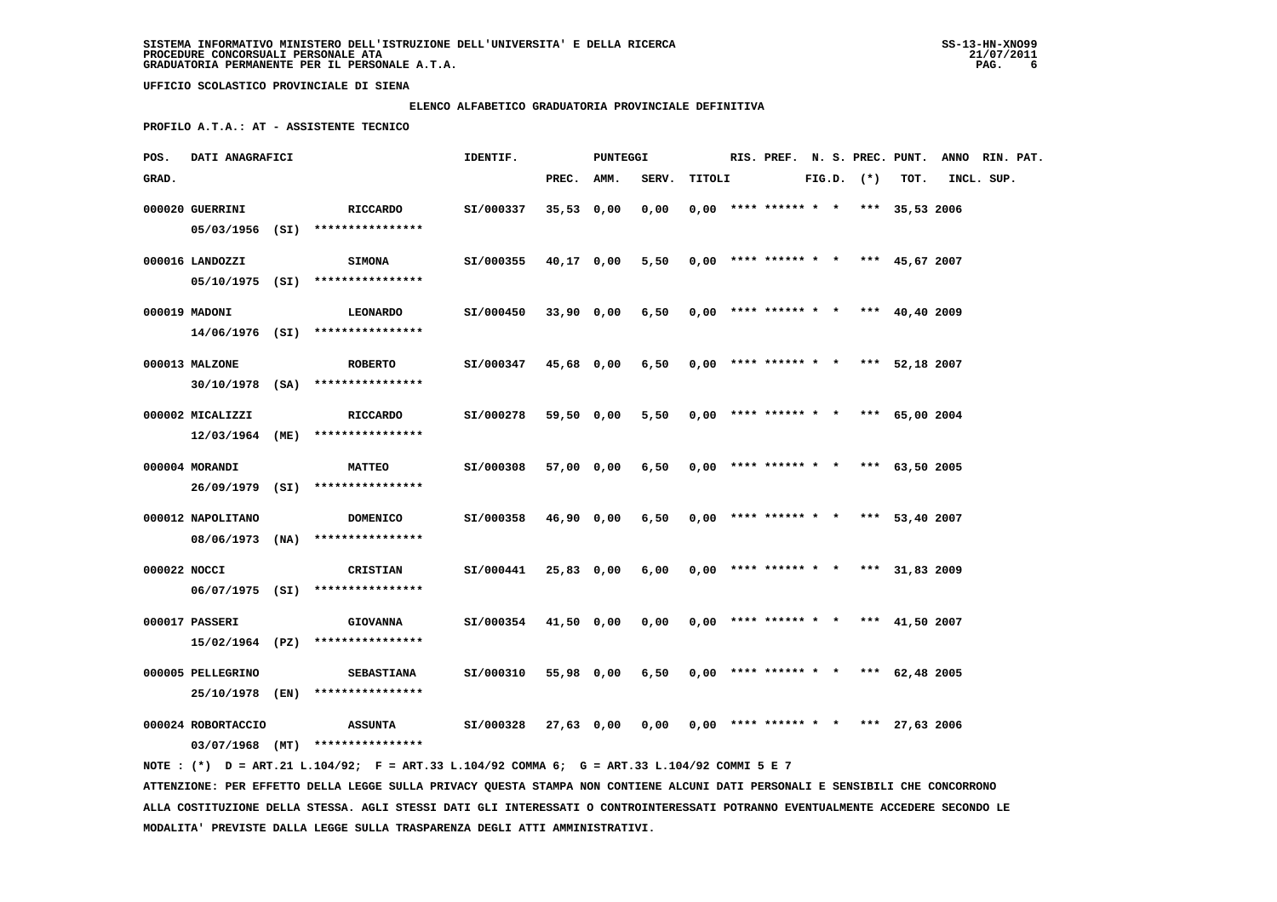# **ELENCO ALFABETICO GRADUATORIA PROVINCIALE DEFINITIVA**

 **PROFILO A.T.A.: AT - ASSISTENTE TECNICO**

| POS.         | DATI ANAGRAFICI    |                                                                                             | IDENTIF.  |              | PUNTEGGI   |                                            |        |                                       |  |                |      | RIS. PREF. N. S. PREC. PUNT. ANNO RIN. PAT. |  |
|--------------|--------------------|---------------------------------------------------------------------------------------------|-----------|--------------|------------|--------------------------------------------|--------|---------------------------------------|--|----------------|------|---------------------------------------------|--|
| GRAD.        |                    |                                                                                             |           | PREC. AMM.   |            | SERV.                                      | TITOLI |                                       |  | $FIG.D.$ $(*)$ | TOT. | INCL. SUP.                                  |  |
|              | 000020 GUERRINI    | RICCARDO<br>05/03/1956 (SI) ****************                                                | SI/000337 | $35,53$ 0,00 |            | 0.00                                       |        | $0.00$ **** ****** * * *** 35.53 2006 |  |                |      |                                             |  |
|              | 000016 LANDOZZI    | <b>SIMONA</b><br>$05/10/1975$ (SI) ****************                                         | SI/000355 |              | 40,17 0,00 | 5,50                                       |        | $0,00$ **** ****** * * *** 45,67 2007 |  |                |      |                                             |  |
|              | 000019 MADONI      | <b>LEONARDO</b><br>14/06/1976 (SI) ****************                                         | SI/000450 |              | 33,90 0,00 | 6,50                                       |        | $0,00$ **** ****** * * *** 40,40 2009 |  |                |      |                                             |  |
|              | 000013 MALZONE     | <b>ROBERTO</b>                                                                              | SI/000347 | 45,68 0,00   |            | $6,50$ 0,00 **** ****** * * *** 52,18 2007 |        |                                       |  |                |      |                                             |  |
|              | 000002 MICALIZZI   | $30/10/1978$ (SA) *****************<br><b>RICCARDO</b>                                      | SI/000278 | 59,50 0,00   |            | 5,50                                       |        | $0.00$ **** ****** * * *** 65.00 2004 |  |                |      |                                             |  |
|              | 000004 MORANDI     | $12/03/1964$ (ME) *****************<br><b>MATTEO</b>                                        | SI/000308 |              | 57,00 0,00 | 6,50                                       |        | $0,00$ **** ****** * * *** 63,50 2005 |  |                |      |                                             |  |
|              | 000012 NAPOLITANO  | 26/09/1979 (SI) ****************<br>DOMENICO                                                | SI/000358 | 46,90 0,00   |            | 6,50                                       |        | $0,00$ **** ****** * * *** 53,40 2007 |  |                |      |                                             |  |
| 000022 NOCCI |                    | 08/06/1973 (NA) ****************<br>CRISTIAN                                                | SI/000441 | 25,83 0,00   |            | 6,00                                       |        | $0,00$ **** ****** * * *** 31,83 2009 |  |                |      |                                             |  |
|              | 000017 PASSERI     | 06/07/1975 (SI) ****************<br><b>GIOVANNA</b>                                         | SI/000354 | 41,50 0,00   |            | 0,00                                       |        | $0,00$ **** ****** * * *** 41,50 2007 |  |                |      |                                             |  |
|              |                    | 15/02/1964 (PZ) ****************                                                            |           |              |            |                                            |        |                                       |  |                |      |                                             |  |
|              | 000005 PELLEGRINO  | <b>SEBASTIANA</b><br>25/10/1978 (EN) ****************                                       | SI/000310 |              | 55,98 0,00 | 6,50                                       |        | $0,00$ **** ****** * * *** 62,48 2005 |  |                |      |                                             |  |
|              | 000024 ROBORTACCIO | <b>ASSUNTA</b><br>03/07/1968 (MT) ****************                                          | SI/000328 |              | 27,63 0,00 | $0,00$ 0,00 **** ****** * * *** 27,63 2006 |        |                                       |  |                |      |                                             |  |
|              |                    | NOTE: (*) D = ART.21 L.104/92; F = ART.33 L.104/92 COMMA 6; G = ART.33 L.104/92 COMMI 5 E 7 |           |              |            |                                            |        |                                       |  |                |      |                                             |  |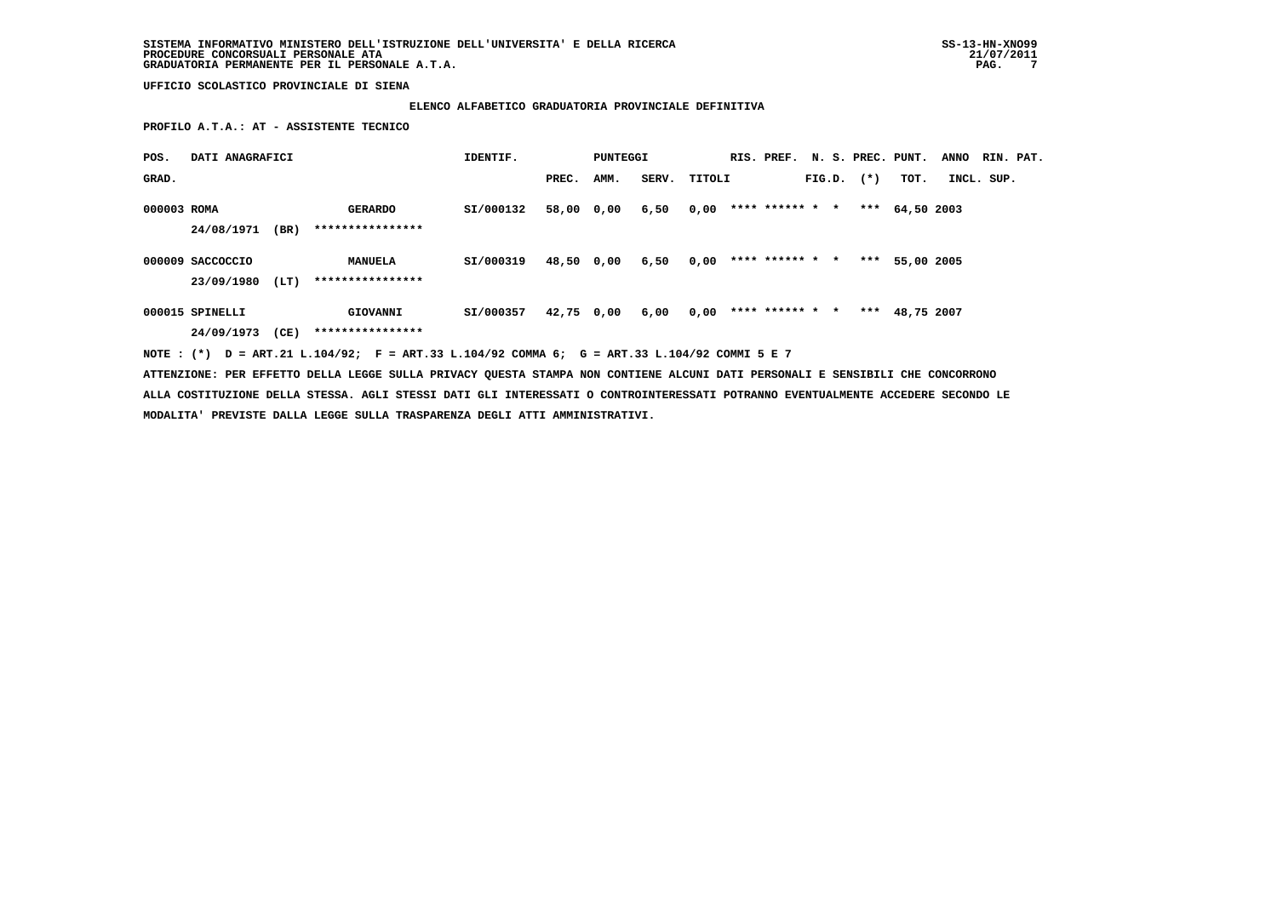# **ELENCO ALFABETICO GRADUATORIA PROVINCIALE DEFINITIVA**

 **PROFILO A.T.A.: AT - ASSISTENTE TECNICO**

| POS.        | DATI ANAGRAFICI  |      |                                                                                             | IDENTIF.  |            | PUNTEGGI |       |        |                 |  |                | RIS. PREF. N. S. PREC. PUNT. | <b>ANNO</b> | RIN. PAT. |
|-------------|------------------|------|---------------------------------------------------------------------------------------------|-----------|------------|----------|-------|--------|-----------------|--|----------------|------------------------------|-------------|-----------|
| GRAD.       |                  |      |                                                                                             |           | PREC.      | AMM.     | SERV. | TITOLI |                 |  | $FIG.D.$ $(*)$ | TOT.                         | INCL. SUP.  |           |
| 000003 ROMA |                  |      | <b>GERARDO</b>                                                                              | SI/000132 | 58,00 0,00 |          | 6,50  | 0,00   | **** ****** * * |  | ***            | 64,50 2003                   |             |           |
|             | 24/08/1971       | (BR) | ****************                                                                            |           |            |          |       |        |                 |  |                |                              |             |           |
|             | 000009 SACCOCCIO |      | <b>MANUELA</b>                                                                              | SI/000319 | 48,50 0,00 |          | 6,50  | 0,00   | **** ****** * * |  | ***            | 55,00 2005                   |             |           |
|             | 23/09/1980       | (LT) | ****************                                                                            |           |            |          |       |        |                 |  |                |                              |             |           |
|             | 000015 SPINELLI  |      | GIOVANNI                                                                                    | SI/000357 | 42,75 0,00 |          | 6,00  | 0,00   | **** ****** * * |  |                | *** 48,75 2007               |             |           |
|             | 24/09/1973       | (CE) | ****************                                                                            |           |            |          |       |        |                 |  |                |                              |             |           |
|             |                  |      | NOTE: (*) D = ART.21 L.104/92; F = ART.33 L.104/92 COMMA 6; G = ART.33 L.104/92 COMMI 5 E 7 |           |            |          |       |        |                 |  |                |                              |             |           |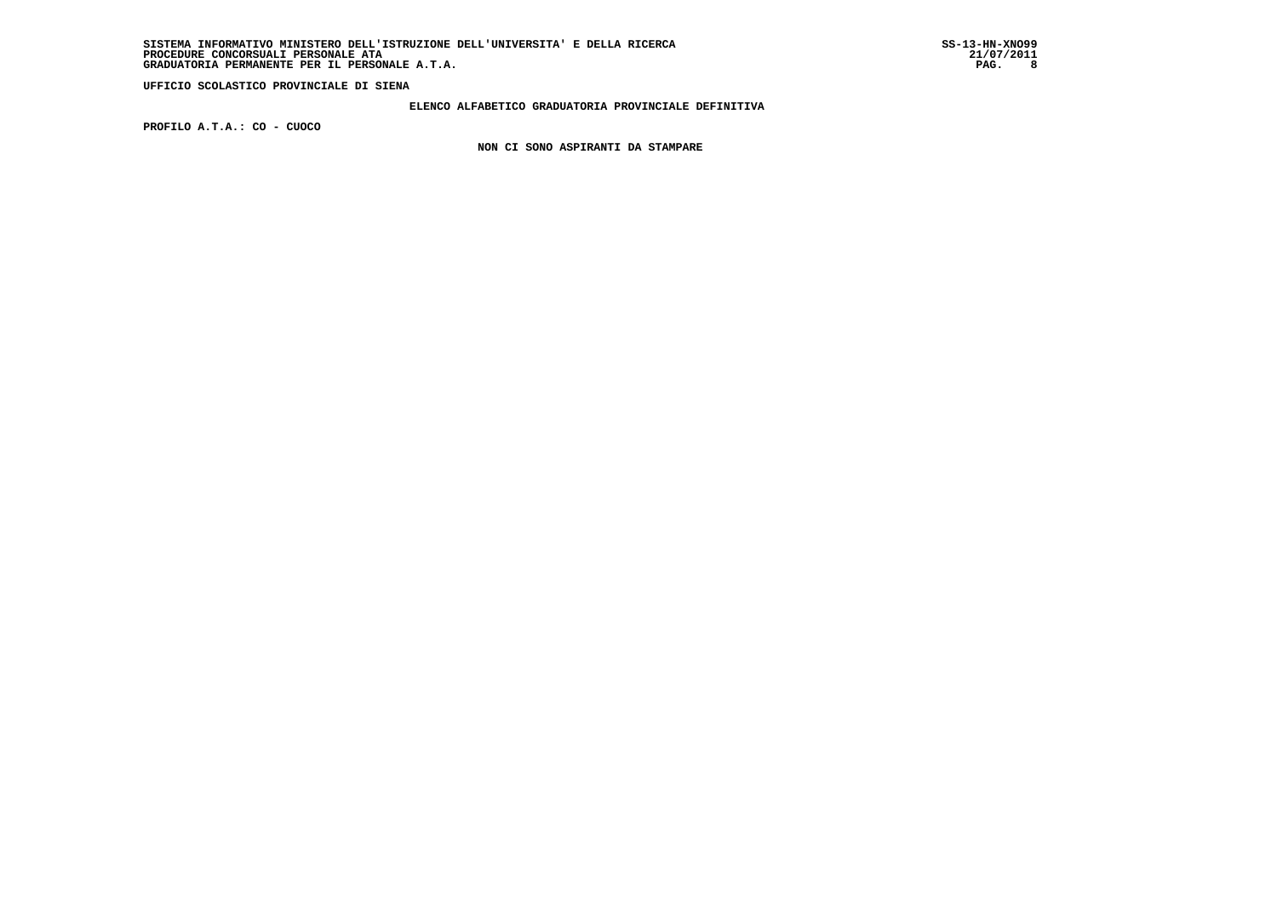### **ELENCO ALFABETICO GRADUATORIA PROVINCIALE DEFINITIVA**

 **PROFILO A.T.A.: CO - CUOCO**

 **NON CI SONO ASPIRANTI DA STAMPARE**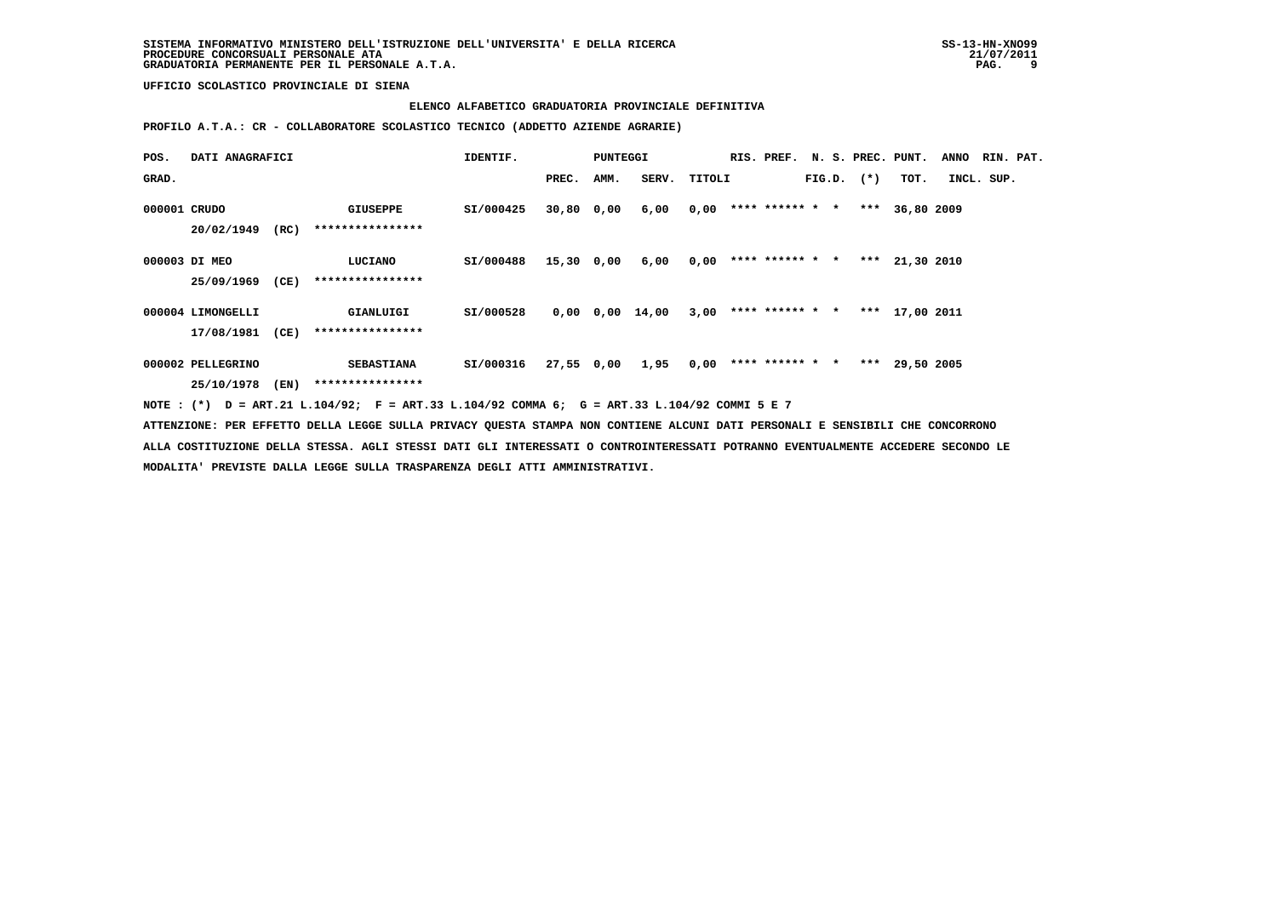### **ELENCO ALFABETICO GRADUATORIA PROVINCIALE DEFINITIVA**

 **PROFILO A.T.A.: CR - COLLABORATORE SCOLASTICO TECNICO (ADDETTO AZIENDE AGRARIE)**

| POS.         | DATI ANAGRAFICI   |      |                                                                                                                               | IDENTIF.  |            | <b>PUNTEGGI</b> |                                                     |        |                        |  |                | RIS. PREF. N. S. PREC. PUNT.          | ANNO RIN. PAT. |  |
|--------------|-------------------|------|-------------------------------------------------------------------------------------------------------------------------------|-----------|------------|-----------------|-----------------------------------------------------|--------|------------------------|--|----------------|---------------------------------------|----------------|--|
| GRAD.        |                   |      |                                                                                                                               |           | PREC. AMM. |                 | SERV.                                               | TITOLI |                        |  | $FIG.D.$ $(*)$ | TOT.                                  | INCL. SUP.     |  |
| 000001 CRUDO |                   |      | <b>GIUSEPPE</b>                                                                                                               | SI/000425 | 30,80 0,00 |                 | 6,00                                                |        |                        |  |                | $0,00$ **** ****** * * *** 36,80 2009 |                |  |
|              | 20/02/1949        | (RC) | ****************                                                                                                              |           |            |                 |                                                     |        |                        |  |                |                                       |                |  |
|              | 000003 DI MEO     |      | <b>LUCIANO</b>                                                                                                                | SI/000488 |            |                 | $15,30$ 0,00 6,00 0,00 **** ****** * *** 21,30 2010 |        |                        |  |                |                                       |                |  |
|              | 25/09/1969        | (CE) | ****************                                                                                                              |           |            |                 |                                                     |        |                        |  |                |                                       |                |  |
|              | 000004 LIMONGELLI |      | GIANLUIGI                                                                                                                     | SI/000528 |            |                 | 0,00 0,00 14,00                                     |        | $3,00$ **** ****** * * |  |                | *** 17,00 2011                        |                |  |
|              | 17/08/1981 (CE)   |      | ****************                                                                                                              |           |            |                 |                                                     |        |                        |  |                |                                       |                |  |
|              | 000002 PELLEGRINO |      | <b>SEBASTIANA</b>                                                                                                             | SI/000316 |            |                 | 27,55 0,00 1,95 0,00 **** ****** * *** 29,50 2005   |        |                        |  |                |                                       |                |  |
|              | 25/10/1978 (EN)   |      | ****************                                                                                                              |           |            |                 |                                                     |        |                        |  |                |                                       |                |  |
|              |                   |      | NOTE: (*) D = ART.21 L.104/92; F = ART.33 L.104/92 COMMA 6; G = ART.33 L.104/92 COMMI 5 E 7                                   |           |            |                 |                                                     |        |                        |  |                |                                       |                |  |
|              |                   |      | ATTENZIONE: PER EFFETTO DELLA LEGGE SULLA PRIVACY QUESTA STAMPA NON CONTIENE ALCUNI DATI PERSONALI E SENSIBILI CHE CONCORRONO |           |            |                 |                                                     |        |                        |  |                |                                       |                |  |

 **ALLA COSTITUZIONE DELLA STESSA. AGLI STESSI DATI GLI INTERESSATI O CONTROINTERESSATI POTRANNO EVENTUALMENTE ACCEDERE SECONDO LE MODALITA' PREVISTE DALLA LEGGE SULLA TRASPARENZA DEGLI ATTI AMMINISTRATIVI.**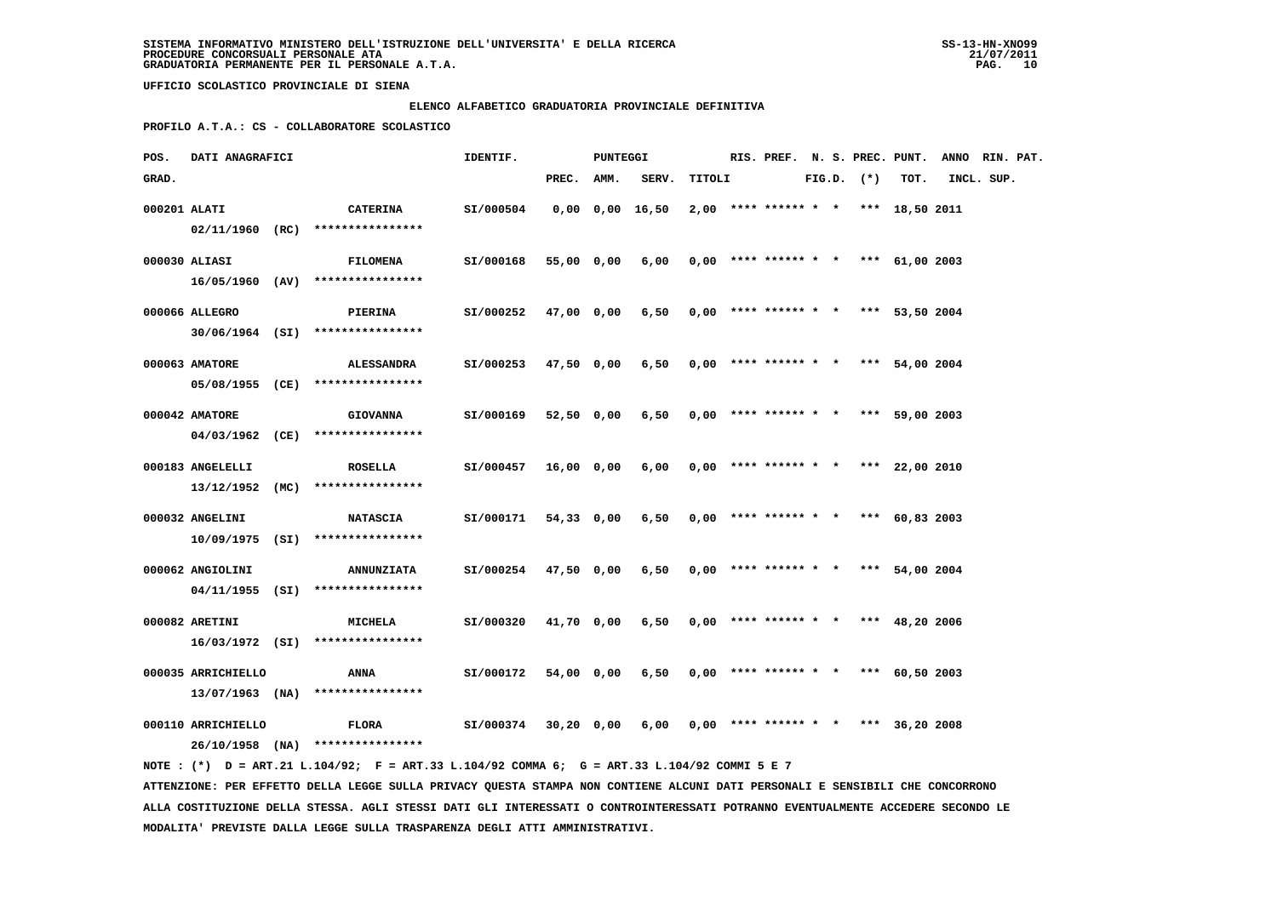#### **ELENCO ALFABETICO GRADUATORIA PROVINCIALE DEFINITIVA**

 **PROFILO A.T.A.: CS - COLLABORATORE SCOLASTICO**

| POS.         | DATI ANAGRAFICI                         |                                                                                             | IDENTIF.  |            | PUNTEGGI |                       |        |  |  |                |                                       | RIS. PREF. N. S. PREC. PUNT. ANNO RIN. PAT. |  |
|--------------|-----------------------------------------|---------------------------------------------------------------------------------------------|-----------|------------|----------|-----------------------|--------|--|--|----------------|---------------------------------------|---------------------------------------------|--|
| GRAD.        |                                         |                                                                                             |           | PREC. AMM. |          | SERV.                 | TITOLI |  |  | $FIG.D.$ $(*)$ | TOT.                                  | INCL. SUP.                                  |  |
| 000201 ALATI |                                         | <b>CATERINA</b><br>$02/11/1960$ (RC) *****************                                      | SI/000504 |            |          | $0,00$ $0,00$ $16,50$ |        |  |  |                | $2,00$ **** ****** * * *** 18,50 2011 |                                             |  |
|              | 000030 ALIASI                           | <b>FILOMENA</b>                                                                             | SI/000168 | 55,00 0,00 |          | 6,00                  |        |  |  |                | $0,00$ **** ****** * * *** 61,00 2003 |                                             |  |
|              | 000066 ALLEGRO                          | 16/05/1960 (AV) ****************<br><b>PIERINA</b>                                          | SI/000252 | 47,00 0,00 |          | 6,50                  |        |  |  |                | $0.00$ **** ****** * * *** 53.50 2004 |                                             |  |
|              | 000063 AMATORE                          | 30/06/1964 (SI) ****************<br><b>ALESSANDRA</b>                                       | SI/000253 | 47,50 0,00 |          | 6,50                  |        |  |  |                | $0.00$ **** ****** * * *** 54.00 2004 |                                             |  |
|              |                                         | 05/08/1955 (CE) ****************                                                            |           |            |          |                       |        |  |  |                |                                       |                                             |  |
|              | 000042 AMATORE                          | <b>GIOVANNA</b><br>04/03/1962 (CE) ****************                                         | SI/000169 | 52,50 0,00 |          | 6,50                  |        |  |  |                | $0,00$ **** ****** * * *** 59,00 2003 |                                             |  |
|              | 000183 ANGELELLI                        | <b>ROSELLA</b>                                                                              | SI/000457 | 16,00 0,00 |          | 6,00                  |        |  |  |                | $0,00$ **** ****** * * *** 22,00 2010 |                                             |  |
|              | 000032 ANGELINI                         | $13/12/1952$ (MC) ****************<br><b>NATASCIA</b>                                       | SI/000171 | 54,33 0,00 |          | 6,50                  |        |  |  |                | $0,00$ **** ****** * * *** 60,83 2003 |                                             |  |
|              |                                         | 10/09/1975 (SI) ****************                                                            |           |            |          |                       |        |  |  |                |                                       |                                             |  |
|              | 000062 ANGIOLINI                        | <b>ANNUNZIATA</b><br>$04/11/1955$ (SI) *****************                                    | SI/000254 | 47,50 0,00 |          | 6,50                  |        |  |  |                | $0,00$ **** ****** * * *** 54,00 2004 |                                             |  |
|              | 000082 ARETINI                          | MICHELA<br>$16/03/1972$ (SI) *****************                                              | SI/000320 | 41,70 0,00 |          | 6,50                  |        |  |  |                | $0,00$ **** ****** * * *** 48,20 2006 |                                             |  |
|              | 000035 ARRICHIELLO                      | ANNA                                                                                        | SI/000172 | 54,00 0,00 |          | 6,50                  |        |  |  |                | $0,00$ **** ****** * * *** 60,50 2003 |                                             |  |
|              | $13/07/1963$ (NA)<br>000110 ARRICHIELLO | ****************<br><b>FLORA</b>                                                            | SI/000374 | 30,20 0,00 |          | 6,00                  |        |  |  |                | $0.00$ **** ****** * * *** 36.20 2008 |                                             |  |
|              |                                         | 26/10/1958 (NA) ****************                                                            |           |            |          |                       |        |  |  |                |                                       |                                             |  |
|              |                                         | NOTE: (*) D = ART.21 L.104/92; F = ART.33 L.104/92 COMMA 6; G = ART.33 L.104/92 COMMI 5 E 7 |           |            |          |                       |        |  |  |                |                                       |                                             |  |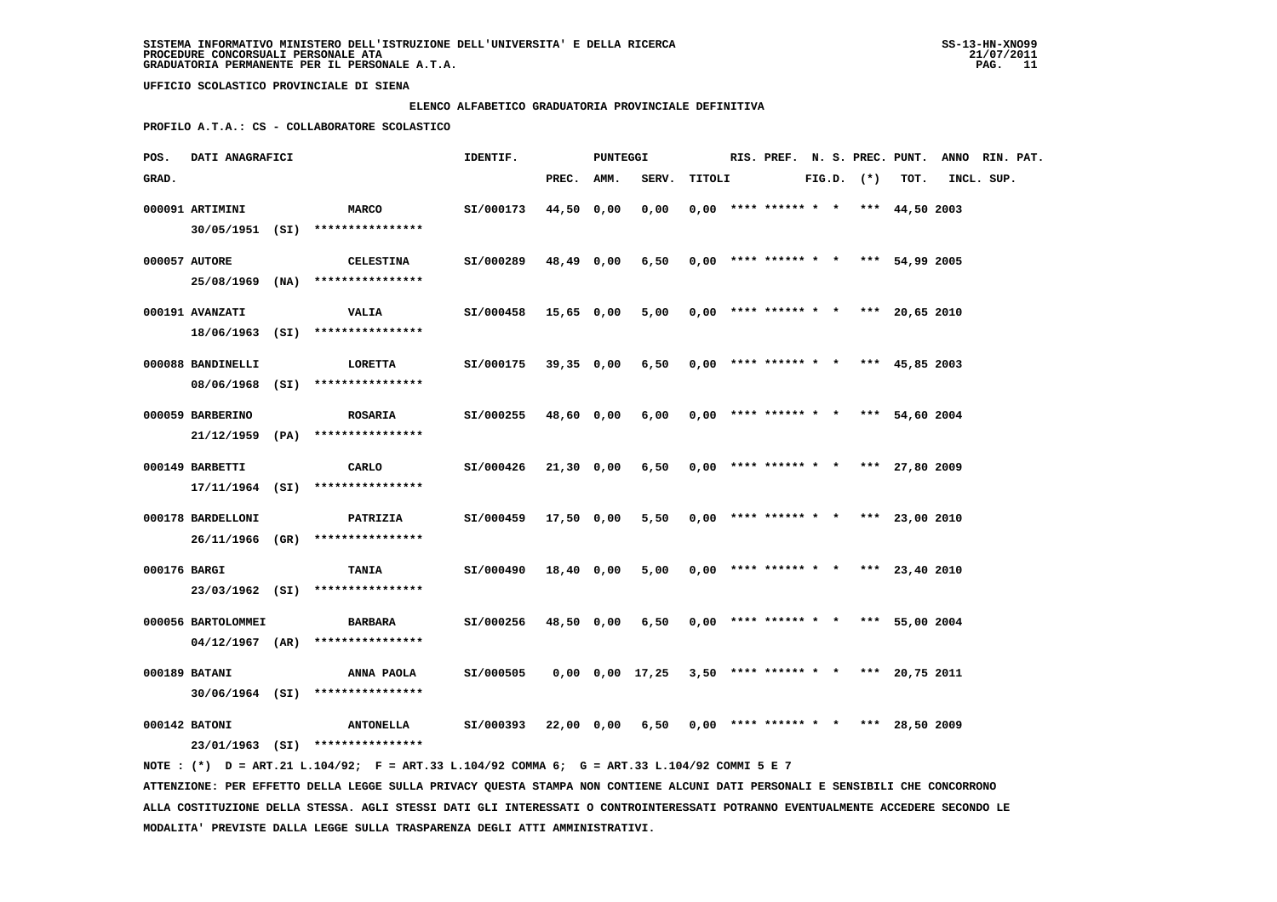#### **ELENCO ALFABETICO GRADUATORIA PROVINCIALE DEFINITIVA**

 **PROFILO A.T.A.: CS - COLLABORATORE SCOLASTICO**

| POS.         | DATI ANAGRAFICI                         |                                                                                                                                 | IDENTIF.  |            | PUNTEGGI |                 |        |                                       |  |                |      | RIS. PREF. N. S. PREC. PUNT. ANNO RIN. PAT. |  |
|--------------|-----------------------------------------|---------------------------------------------------------------------------------------------------------------------------------|-----------|------------|----------|-----------------|--------|---------------------------------------|--|----------------|------|---------------------------------------------|--|
| GRAD.        |                                         |                                                                                                                                 |           | PREC. AMM. |          | SERV.           | TITOLI |                                       |  | $FIG.D.$ $(*)$ | TOT. | INCL. SUP.                                  |  |
|              | 000091 ARTIMINI                         | <b>MARCO</b><br>30/05/1951 (SI) *****************                                                                               | SI/000173 | 44,50 0,00 |          | 0,00            |        | $0,00$ **** ****** * * *** 44,50 2003 |  |                |      |                                             |  |
|              | 000057 AUTORE                           | <b>CELESTINA</b>                                                                                                                | SI/000289 | 48,49 0,00 |          | 6,50            |        | $0,00$ **** ****** * * *** 54,99 2005 |  |                |      |                                             |  |
|              | 000191 AVANZATI                         | 25/08/1969 (NA) ****************<br><b>VALIA</b>                                                                                | SI/000458 | 15,65 0,00 |          | 5,00            |        | $0.00$ **** ****** * * *** 20.65 2010 |  |                |      |                                             |  |
|              |                                         | 18/06/1963 (SI) ****************                                                                                                |           |            |          |                 |        |                                       |  |                |      |                                             |  |
|              | 000088 BANDINELLI                       | LORETTA<br>08/06/1968 (SI) ****************                                                                                     | SI/000175 | 39,35 0,00 |          | 6,50            |        | $0.00$ **** ****** * * *** 45.85 2003 |  |                |      |                                             |  |
|              | 000059 BARBERINO                        | <b>ROSARIA</b><br>$21/12/1959$ (PA) ****************                                                                            | SI/000255 | 48,60 0,00 |          | 6,00            |        | $0,00$ **** ****** * * *** 54,60 2004 |  |                |      |                                             |  |
|              | 000149 BARBETTI                         | CARLO                                                                                                                           | SI/000426 | 21,30 0,00 |          | 6,50            |        | $0,00$ **** ****** * * *** 27,80 2009 |  |                |      |                                             |  |
|              | 000178 BARDELLONI                       | $17/11/1964$ (SI) ****************<br>PATRIZIA                                                                                  | SI/000459 | 17,50 0,00 |          | 5,50            |        | $0,00$ **** ****** * * *** 23,00 2010 |  |                |      |                                             |  |
|              |                                         | 26/11/1966 (GR) ****************                                                                                                |           |            |          |                 |        |                                       |  |                |      |                                             |  |
| 000176 BARGI |                                         | TANIA<br>23/03/1962 (SI) ****************                                                                                       | SI/000490 | 18,40 0,00 |          | 5,00            |        | $0,00$ **** ****** * * *** 23,40 2010 |  |                |      |                                             |  |
|              | 000056 BARTOLOMMEI<br>$04/12/1967$ (AR) | <b>BARBARA</b><br>****************                                                                                              | SI/000256 | 48,50 0,00 |          | 6,50            |        | $0,00$ **** ****** * * *** 55,00 2004 |  |                |      |                                             |  |
|              | 000189 BATANI                           | ANNA PAOLA                                                                                                                      | SI/000505 |            |          | 0,00 0,00 17,25 |        | $3,50$ **** ****** * * *** 20,75 2011 |  |                |      |                                             |  |
|              | 000142 BATONI                           | 30/06/1964 (SI) ****************<br><b>ANTONELLA</b>                                                                            | SI/000393 | 22,00 0,00 |          | 6,50            |        | $0.00$ **** ****** * * *** 28.50 2009 |  |                |      |                                             |  |
|              |                                         | 23/01/1963 (SI) ****************<br>NOTE: (*) D = ART.21 L.104/92; F = ART.33 L.104/92 COMMA 6; G = ART.33 L.104/92 COMMI 5 E 7 |           |            |          |                 |        |                                       |  |                |      |                                             |  |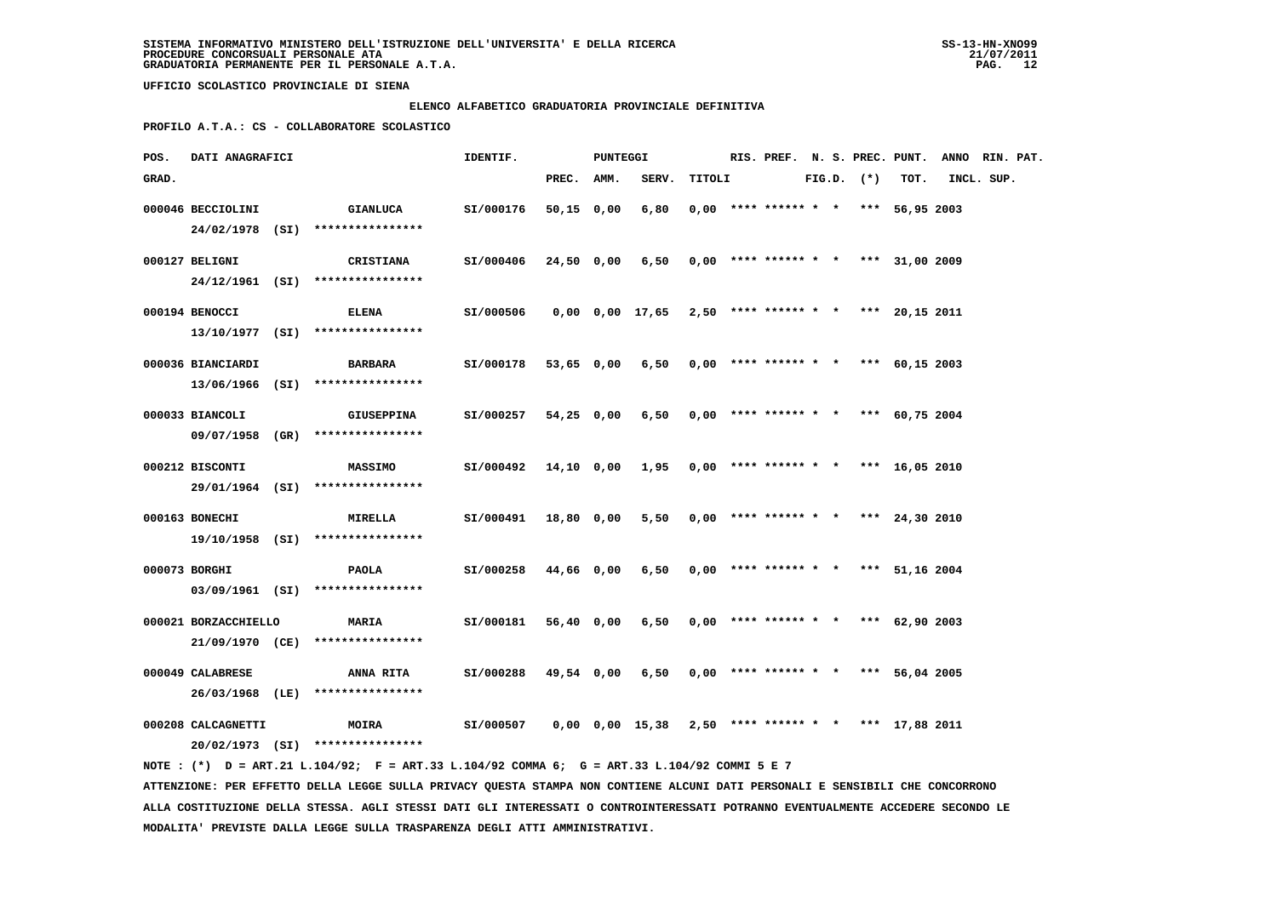#### **ELENCO ALFABETICO GRADUATORIA PROVINCIALE DEFINITIVA**

 **PROFILO A.T.A.: CS - COLLABORATORE SCOLASTICO**

| POS.  | <b>DATI ANAGRAFICI</b> |                                                                                             | IDENTIF.                                                    |            | PUNTEGGI |                                                           |        |  |  |                |                                       | RIS. PREF. N. S. PREC. PUNT. ANNO RIN. PAT. |  |
|-------|------------------------|---------------------------------------------------------------------------------------------|-------------------------------------------------------------|------------|----------|-----------------------------------------------------------|--------|--|--|----------------|---------------------------------------|---------------------------------------------|--|
| GRAD. |                        |                                                                                             |                                                             | PREC. AMM. |          | SERV.                                                     | TITOLI |  |  | $FIG.D.$ $(*)$ | TOT.                                  | INCL. SUP.                                  |  |
|       | 000046 BECCIOLINI      | <b>GIANLUCA</b><br>24/02/1978 (SI) ****************                                         | SI/000176                                                   | 50,15 0,00 |          | 6,80                                                      |        |  |  |                | $0,00$ **** ****** * * *** 56,95 2003 |                                             |  |
|       | 000127 BELIGNI         | CRISTIANA<br>24/12/1961 (SI) ****************                                               | SI/000406                                                   | 24,50 0,00 |          | $6,50$ 0,00 **** ****** * * *** 31,00 2009                |        |  |  |                |                                       |                                             |  |
|       | 000194 BENOCCI         | <b>ELENA</b><br>13/10/1977 (SI) ****************                                            | SI/000506                                                   |            |          | $0,00$ $0,00$ $17,65$ $2,50$ **** ****** * *** 20,15 2011 |        |  |  |                |                                       |                                             |  |
|       | 000036 BIANCIARDI      | <b>BARBARA</b><br>13/06/1966 (SI) ****************                                          | SI/000178                                                   |            |          | 53,65 0,00 6,50 0,00 **** ****** * * *** 60,15 2003       |        |  |  |                |                                       |                                             |  |
|       | 000033 BIANCOLI        | <b>GIUSEPPINA</b><br>09/07/1958 (GR) ****************                                       | SI/000257                                                   | 54,25 0,00 |          | $6,50$ 0,00 **** ****** * * *** 60,75 2004                |        |  |  |                |                                       |                                             |  |
|       | 000212 BISCONTI        | <b>MASSIMO</b><br>29/01/1964 (SI) ****************                                          | SI/000492 14,10 0,00 1,95 0,00 **** ****** * *** 16,05 2010 |            |          |                                                           |        |  |  |                |                                       |                                             |  |
|       | 000163 BONECHI         | <b>MIRELLA</b><br>19/10/1958 (SI) ****************                                          | SI/000491                                                   | 18,80 0,00 |          | 5,50                                                      |        |  |  |                | $0,00$ **** ****** * * *** 24,30 2010 |                                             |  |
|       | 000073 BORGHI          | PAOLA<br>03/09/1961 (SI) ****************                                                   | SI/000258                                                   | 44,66 0,00 |          | 6,50                                                      |        |  |  |                | $0,00$ **** ****** * * *** 51,16 2004 |                                             |  |
|       | 000021 BORZACCHIELLO   | <b>MARIA</b><br>21/09/1970 (CE) ****************                                            | SI/000181                                                   | 56,40 0,00 |          | 6,50                                                      |        |  |  |                | $0,00$ **** ****** * * *** 62,90 2003 |                                             |  |
|       | 000049 CALABRESE       | ANNA RITA<br>26/03/1968 (LE) ****************                                               | SI/000288                                                   | 49,54 0,00 |          | 6,50                                                      |        |  |  |                | $0.00$ **** ****** * * *** 56.04 2005 |                                             |  |
|       | 000208 CALCAGNETTI     | <b>MOIRA</b><br>20/02/1973 (SI) ****************                                            | SI/000507                                                   |            |          | $0,00$ $0,00$ $15,38$ $2,50$ **** ****** * *** 17,88 2011 |        |  |  |                |                                       |                                             |  |
|       |                        | NOTE: (*) D = ART.21 L.104/92; F = ART.33 L.104/92 COMMA 6; G = ART.33 L.104/92 COMMI 5 E 7 |                                                             |            |          |                                                           |        |  |  |                |                                       |                                             |  |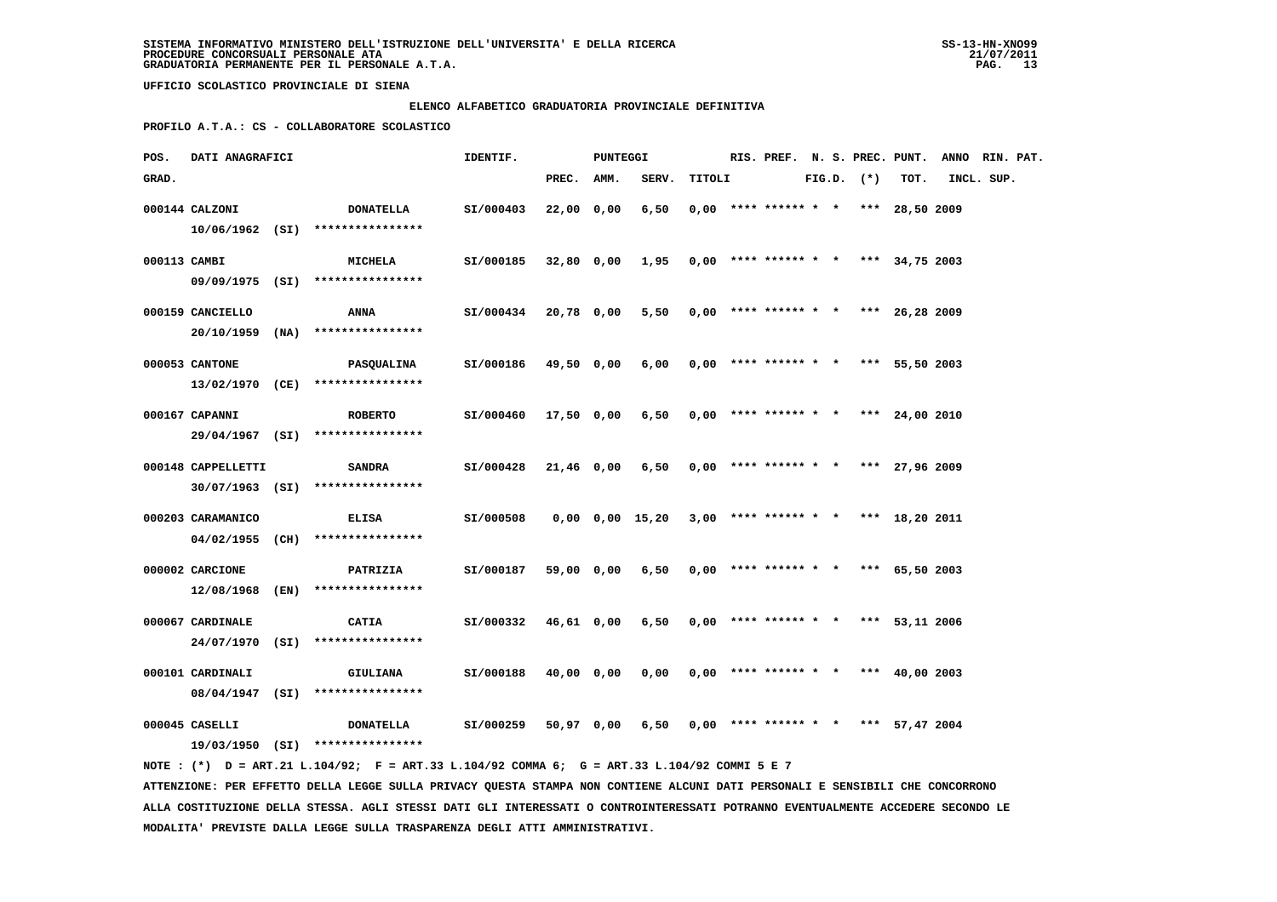#### **ELENCO ALFABETICO GRADUATORIA PROVINCIALE DEFINITIVA**

 **PROFILO A.T.A.: CS - COLLABORATORE SCOLASTICO**

| POS.         | DATI ANAGRAFICI    |                                                                                             | IDENTIF.  |            | <b>PUNTEGGI</b> |                                                     |        |                                       |  |                |      | RIS. PREF. N. S. PREC. PUNT. ANNO RIN. PAT. |  |
|--------------|--------------------|---------------------------------------------------------------------------------------------|-----------|------------|-----------------|-----------------------------------------------------|--------|---------------------------------------|--|----------------|------|---------------------------------------------|--|
| GRAD.        |                    |                                                                                             |           | PREC.      | AMM.            | SERV.                                               | TITOLI |                                       |  | $FIG.D.$ $(*)$ | TOT. | INCL. SUP.                                  |  |
|              | 000144 CALZONI     | <b>DONATELLA</b><br>$10/06/1962$ (SI) ****************                                      | SI/000403 | 22,00 0,00 |                 | 6,50                                                |        | $0,00$ **** ****** * * *** 28,50 2009 |  |                |      |                                             |  |
| 000113 CAMBI |                    | <b>MICHELA</b><br>09/09/1975 (SI) ****************                                          | SI/000185 |            |                 | $32,80$ 0,00 1,95 0,00 **** ****** * *** 34,75 2003 |        |                                       |  |                |      |                                             |  |
|              | 000159 CANCIELLO   | ANNA<br>20/10/1959 (NA) ****************                                                    | SI/000434 | 20,78 0,00 |                 | $5,50$ 0,00 **** ****** * * *** 26,28 2009          |        |                                       |  |                |      |                                             |  |
|              | 000053 CANTONE     | PASQUALINA<br>13/02/1970 (CE) ****************                                              | SI/000186 | 49,50 0,00 |                 | 6,00                                                |        | $0,00$ **** ****** * * *** 55,50 2003 |  |                |      |                                             |  |
|              | 000167 CAPANNI     | <b>ROBERTO</b>                                                                              | SI/000460 | 17,50 0,00 |                 | 6,50                                                |        | $0.00$ **** ****** * * *** 24,00 2010 |  |                |      |                                             |  |
|              | 000148 CAPPELLETTI | 29/04/1967 (SI) ****************<br><b>SANDRA</b>                                           | SI/000428 | 21,46 0,00 |                 | 6,50                                                |        | $0.00$ **** ****** * * *** 27,96 2009 |  |                |      |                                             |  |
|              | 000203 CARAMANICO  | 30/07/1963 (SI) ****************<br>ELISA                                                   | SI/000508 |            |                 | 0,00 0,00 15,20                                     |        | $3,00$ **** ****** * * *** 18,20 2011 |  |                |      |                                             |  |
|              | 000002 CARCIONE    | $04/02/1955$ (CH) *****************<br>PATRIZIA                                             | SI/000187 | 59,00 0,00 |                 | 6,50                                                |        | $0,00$ **** ****** * * *** 65,50 2003 |  |                |      |                                             |  |
|              | 000067 CARDINALE   | $12/08/1968$ (EN) ****************<br><b>CATIA</b>                                          | SI/000332 | 46,61 0,00 |                 | 6,50                                                |        | $0,00$ **** ****** * * *** 53,11 2006 |  |                |      |                                             |  |
|              |                    | 24/07/1970 (SI) ****************                                                            |           |            |                 |                                                     |        |                                       |  |                |      |                                             |  |
|              | 000101 CARDINALI   | <b>GIULIANA</b><br>08/04/1947 (SI) ****************                                         | SI/000188 | 40,00 0,00 |                 | 0,00                                                |        | $0,00$ **** ****** * * *** 40,00 2003 |  |                |      |                                             |  |
|              | 000045 CASELLI     | <b>DONATELLA</b><br>19/03/1950 (SI) ****************                                        | SI/000259 | 50,97 0,00 |                 | 6,50                                                |        | $0,00$ **** ****** * * *** 57,47 2004 |  |                |      |                                             |  |
|              |                    | NOTE: (*) D = ART.21 L.104/92; F = ART.33 L.104/92 COMMA 6; G = ART.33 L.104/92 COMMI 5 E 7 |           |            |                 |                                                     |        |                                       |  |                |      |                                             |  |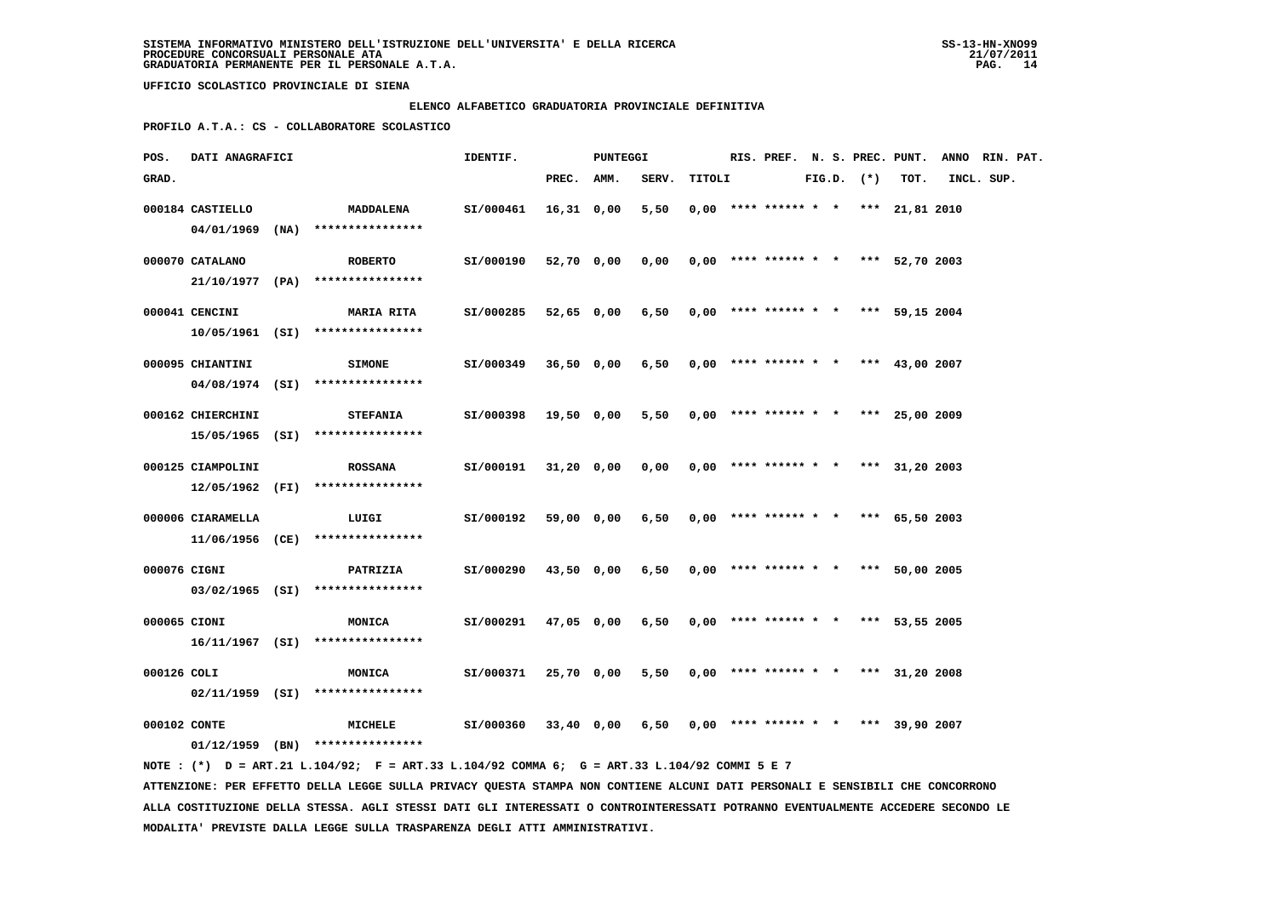#### **ELENCO ALFABETICO GRADUATORIA PROVINCIALE DEFINITIVA**

 **PROFILO A.T.A.: CS - COLLABORATORE SCOLASTICO**

| POS.         | DATI ANAGRAFICI   |                                                     | IDENTIF.             |            | <b>PUNTEGGI</b> |                                            |        |  |                                       |  |                |      | RIS. PREF. N. S. PREC. PUNT. ANNO RIN. PAT. |  |
|--------------|-------------------|-----------------------------------------------------|----------------------|------------|-----------------|--------------------------------------------|--------|--|---------------------------------------|--|----------------|------|---------------------------------------------|--|
| GRAD.        |                   |                                                     |                      | PREC. AMM. |                 | SERV.                                      | TITOLI |  |                                       |  | $FIG.D.$ $(*)$ | TOT. | INCL. SUP.                                  |  |
|              | 000184 CASTIELLO  | MADDALENA                                           | SI/000461            | 16,31 0,00 |                 | 5,50                                       |        |  | $0.00$ **** ****** * * *** 21,81 2010 |  |                |      |                                             |  |
|              |                   | 04/01/1969 (NA) ****************                    |                      |            |                 |                                            |        |  |                                       |  |                |      |                                             |  |
|              | 000070 CATALANO   | <b>ROBERTO</b>                                      | SI/000190            |            | 52,70 0,00      | 0,00                                       |        |  | $0,00$ **** ****** * * *** 52,70 2003 |  |                |      |                                             |  |
|              |                   | $21/10/1977$ (PA) ****************                  |                      |            |                 |                                            |        |  |                                       |  |                |      |                                             |  |
|              | 000041 CENCINI    | <b>MARIA RITA</b>                                   | SI/000285            |            | 52,65 0,00      | 6,50                                       |        |  | $0.00$ **** ****** * * *** 59.15 2004 |  |                |      |                                             |  |
|              |                   | $10/05/1961$ (SI) ****************                  |                      |            |                 |                                            |        |  |                                       |  |                |      |                                             |  |
|              | 000095 CHIANTINI  | <b>SIMONE</b>                                       | SI/000349            |            | 36,50 0,00      | 6,50                                       |        |  | $0,00$ **** ****** * * *** 43,00 2007 |  |                |      |                                             |  |
|              |                   | $04/08/1974$ (SI) *****************                 |                      |            |                 |                                            |        |  |                                       |  |                |      |                                             |  |
|              |                   |                                                     |                      |            |                 |                                            |        |  |                                       |  |                |      |                                             |  |
|              | 000162 CHIERCHINI | <b>STEFANIA</b><br>15/05/1965 (SI) **************** | SI/000398 19,50 0,00 |            |                 | 5,50                                       |        |  | $0,00$ **** ****** * * *** 25,00 2009 |  |                |      |                                             |  |
|              |                   |                                                     |                      |            |                 |                                            |        |  |                                       |  |                |      |                                             |  |
|              | 000125 CIAMPOLINI | <b>ROSSANA</b>                                      | SI/000191            |            | 31,20 0,00      | 0,00                                       |        |  | $0,00$ **** ****** * * *** 31,20 2003 |  |                |      |                                             |  |
|              |                   | $12/05/1962$ (FI) *****************                 |                      |            |                 |                                            |        |  |                                       |  |                |      |                                             |  |
|              | 000006 CIARAMELLA | LUIGI                                               | SI/000192            |            | 59,00 0,00      | 6,50                                       |        |  | $0,00$ **** ****** * * *** 65,50 2003 |  |                |      |                                             |  |
|              |                   | $11/06/1956$ (CE) ****************                  |                      |            |                 |                                            |        |  |                                       |  |                |      |                                             |  |
| 000076 CIGNI |                   | <b>PATRIZIA</b>                                     | SI/000290            |            | 43,50 0,00      | 6,50                                       |        |  | $0,00$ **** ****** * * *** 50,00 2005 |  |                |      |                                             |  |
|              |                   | $03/02/1965$ (SI) *****************                 |                      |            |                 |                                            |        |  |                                       |  |                |      |                                             |  |
| 000065 CIONI |                   | <b>MONICA</b>                                       | SI/000291            |            | 47,05 0,00      | 6,50                                       |        |  | $0,00$ **** ****** * * *** 53,55 2005 |  |                |      |                                             |  |
|              |                   | $16/11/1967$ (SI) ****************                  |                      |            |                 |                                            |        |  |                                       |  |                |      |                                             |  |
| 000126 COLI  |                   | <b>MONICA</b>                                       | SI/000371            |            | 25,70 0,00      | $5,50$ 0,00 **** ****** * * *** 31,20 2008 |        |  |                                       |  |                |      |                                             |  |
|              |                   | $02/11/1959$ (SI) ****************                  |                      |            |                 |                                            |        |  |                                       |  |                |      |                                             |  |
| 000102 CONTE |                   | <b>MICHELE</b>                                      | SI/000360            |            | 33,40 0,00      | 6,50                                       |        |  | $0,00$ **** ****** * * *** 39,90 2007 |  |                |      |                                             |  |
|              |                   | $01/12/1959$ (BN) ****************                  |                      |            |                 |                                            |        |  |                                       |  |                |      |                                             |  |
|              |                   |                                                     |                      |            |                 |                                            |        |  |                                       |  |                |      |                                             |  |

 **NOTE : (\*) D = ART.21 L.104/92; F = ART.33 L.104/92 COMMA 6; G = ART.33 L.104/92 COMMI 5 E 7 ATTENZIONE: PER EFFETTO DELLA LEGGE SULLA PRIVACY QUESTA STAMPA NON CONTIENE ALCUNI DATI PERSONALI E SENSIBILI CHE CONCORRONO ALLA COSTITUZIONE DELLA STESSA. AGLI STESSI DATI GLI INTERESSATI O CONTROINTERESSATI POTRANNO EVENTUALMENTE ACCEDERE SECONDO LE MODALITA' PREVISTE DALLA LEGGE SULLA TRASPARENZA DEGLI ATTI AMMINISTRATIVI.**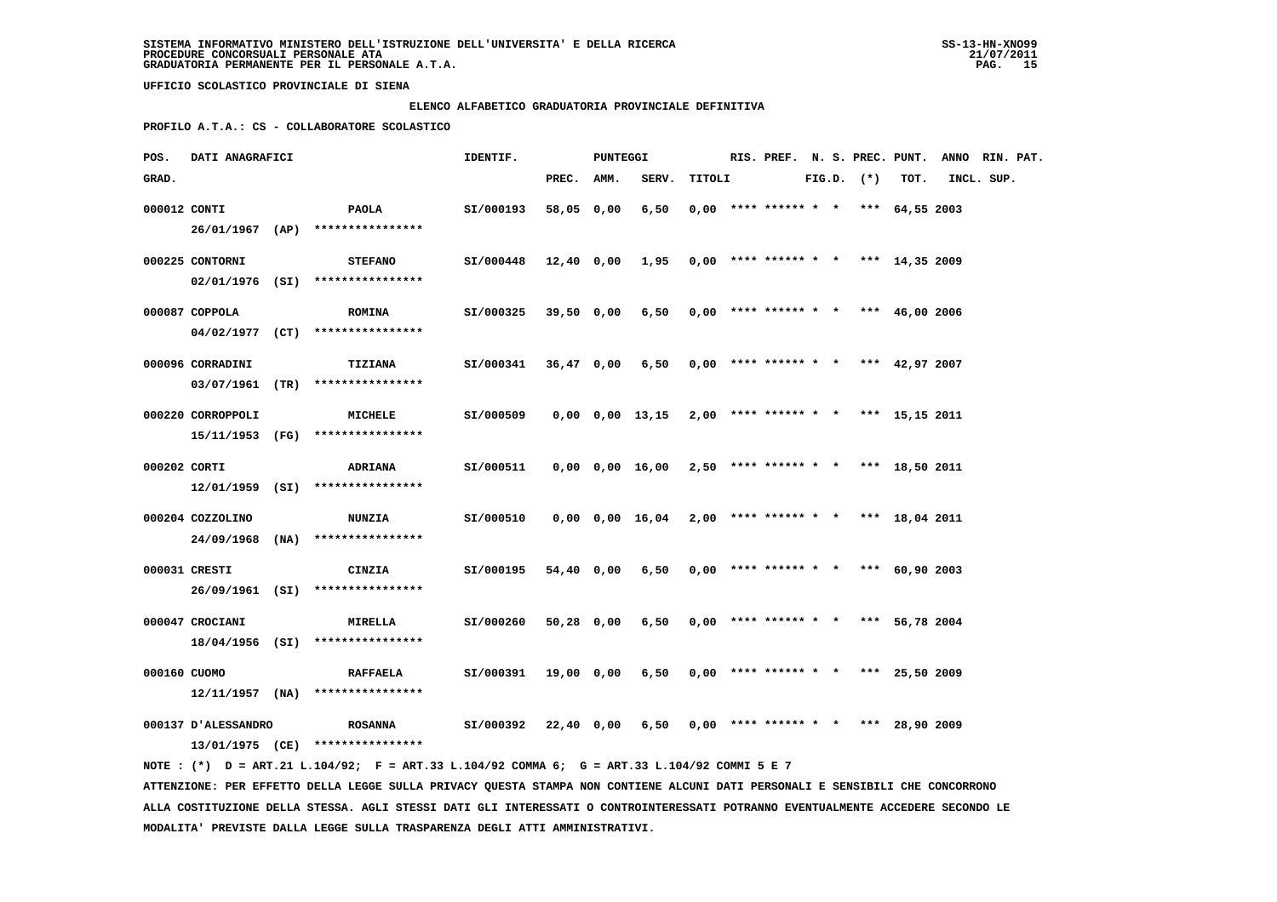#### **ELENCO ALFABETICO GRADUATORIA PROVINCIALE DEFINITIVA**

 **PROFILO A.T.A.: CS - COLLABORATORE SCOLASTICO**

| POS.         | DATI ANAGRAFICI     |                                                                                             | IDENTIF.  |            | PUNTEGGI |                                                           |        |  |                                            |  |                |      | RIS. PREF. N. S. PREC. PUNT. ANNO RIN. PAT. |  |
|--------------|---------------------|---------------------------------------------------------------------------------------------|-----------|------------|----------|-----------------------------------------------------------|--------|--|--------------------------------------------|--|----------------|------|---------------------------------------------|--|
| GRAD.        |                     |                                                                                             |           | PREC. AMM. |          | SERV.                                                     | TITOLI |  |                                            |  | $FIG.D.$ $(*)$ | TOT. | INCL. SUP.                                  |  |
| 000012 CONTI |                     | PAOLA                                                                                       | SI/000193 | 58,05 0,00 |          | 6,50                                                      |        |  | $0,00$ **** ****** * * *** 64,55 2003      |  |                |      |                                             |  |
|              |                     | $26/01/1967$ (AP) *****************                                                         |           |            |          |                                                           |        |  |                                            |  |                |      |                                             |  |
|              | 000225 CONTORNI     | <b>STEFANO</b>                                                                              | SI/000448 |            |          | 12,40 0,00 1,95                                           |        |  | $0,00$ **** ****** * * *** 14,35 2009      |  |                |      |                                             |  |
|              |                     | 02/01/1976 (SI) ****************                                                            |           |            |          |                                                           |        |  |                                            |  |                |      |                                             |  |
|              | 000087 COPPOLA      | <b>ROMINA</b>                                                                               | SI/000325 | 39,50 0,00 |          |                                                           |        |  | $6,50$ 0,00 **** ****** * * *** 46,00 2006 |  |                |      |                                             |  |
|              |                     | $04/02/1977$ (CT) ****************                                                          |           |            |          |                                                           |        |  |                                            |  |                |      |                                             |  |
|              | 000096 CORRADINI    | TIZIANA                                                                                     | SI/000341 | 36,47 0,00 |          | 6,50                                                      |        |  | $0.00$ **** ****** * * *** 42.97 2007      |  |                |      |                                             |  |
|              |                     | 03/07/1961 (TR) ****************                                                            |           |            |          |                                                           |        |  |                                            |  |                |      |                                             |  |
|              | 000220 CORROPPOLI   | MICHELE                                                                                     | SI/000509 |            |          | 0,00 0,00 13,15                                           |        |  | 2,00 **** ****** * * *** 15,15 2011        |  |                |      |                                             |  |
|              |                     | 15/11/1953 (FG) ****************                                                            |           |            |          |                                                           |        |  |                                            |  |                |      |                                             |  |
| 000202 CORTI |                     | <b>ADRIANA</b>                                                                              | SI/000511 |            |          | 0,00 0,00 16,00                                           |        |  | 2,50 **** ****** * * *** 18,50 2011        |  |                |      |                                             |  |
|              |                     | $12/01/1959$ (SI) ****************                                                          |           |            |          |                                                           |        |  |                                            |  |                |      |                                             |  |
|              | 000204 COZZOLINO    | <b>NUNZIA</b>                                                                               | SI/000510 |            |          | $0,00$ $0,00$ $16,04$ $2,00$ **** ****** * *** 18,04 2011 |        |  |                                            |  |                |      |                                             |  |
|              |                     | 24/09/1968 (NA) ****************                                                            |           |            |          |                                                           |        |  |                                            |  |                |      |                                             |  |
|              | 000031 CRESTI       | CINZIA                                                                                      | SI/000195 | 54,40 0,00 |          | 6,50                                                      |        |  | $0,00$ **** ****** * * *** 60,90 2003      |  |                |      |                                             |  |
|              |                     | 26/09/1961 (SI) *****************                                                           |           |            |          |                                                           |        |  |                                            |  |                |      |                                             |  |
|              | 000047 CROCIANI     | <b>MIRELLA</b>                                                                              | SI/000260 | 50,28 0,00 |          | 6,50                                                      |        |  | $0,00$ **** ****** * * *** 56,78 2004      |  |                |      |                                             |  |
|              |                     | 18/04/1956 (SI) ****************                                                            |           |            |          |                                                           |        |  |                                            |  |                |      |                                             |  |
|              |                     |                                                                                             |           |            |          |                                                           |        |  |                                            |  |                |      |                                             |  |
| 000160 CUOMO |                     | <b>RAFFAELA</b>                                                                             | SI/000391 | 19,00 0,00 |          | 6,50                                                      |        |  | $0,00$ **** ****** * * *** 25,50 2009      |  |                |      |                                             |  |
|              |                     | $12/11/1957$ (NA) ****************                                                          |           |            |          |                                                           |        |  |                                            |  |                |      |                                             |  |
|              | 000137 D'ALESSANDRO | <b>ROSANNA</b>                                                                              | SI/000392 | 22,40 0,00 |          | 6,50                                                      |        |  | $0,00$ **** ****** * * *** 28,90 2009      |  |                |      |                                             |  |
|              |                     | 13/01/1975 (CE) ****************                                                            |           |            |          |                                                           |        |  |                                            |  |                |      |                                             |  |
|              |                     | NOTE: (*) D = ART.21 L.104/92; F = ART.33 L.104/92 COMMA 6; G = ART.33 L.104/92 COMMI 5 E 7 |           |            |          |                                                           |        |  |                                            |  |                |      |                                             |  |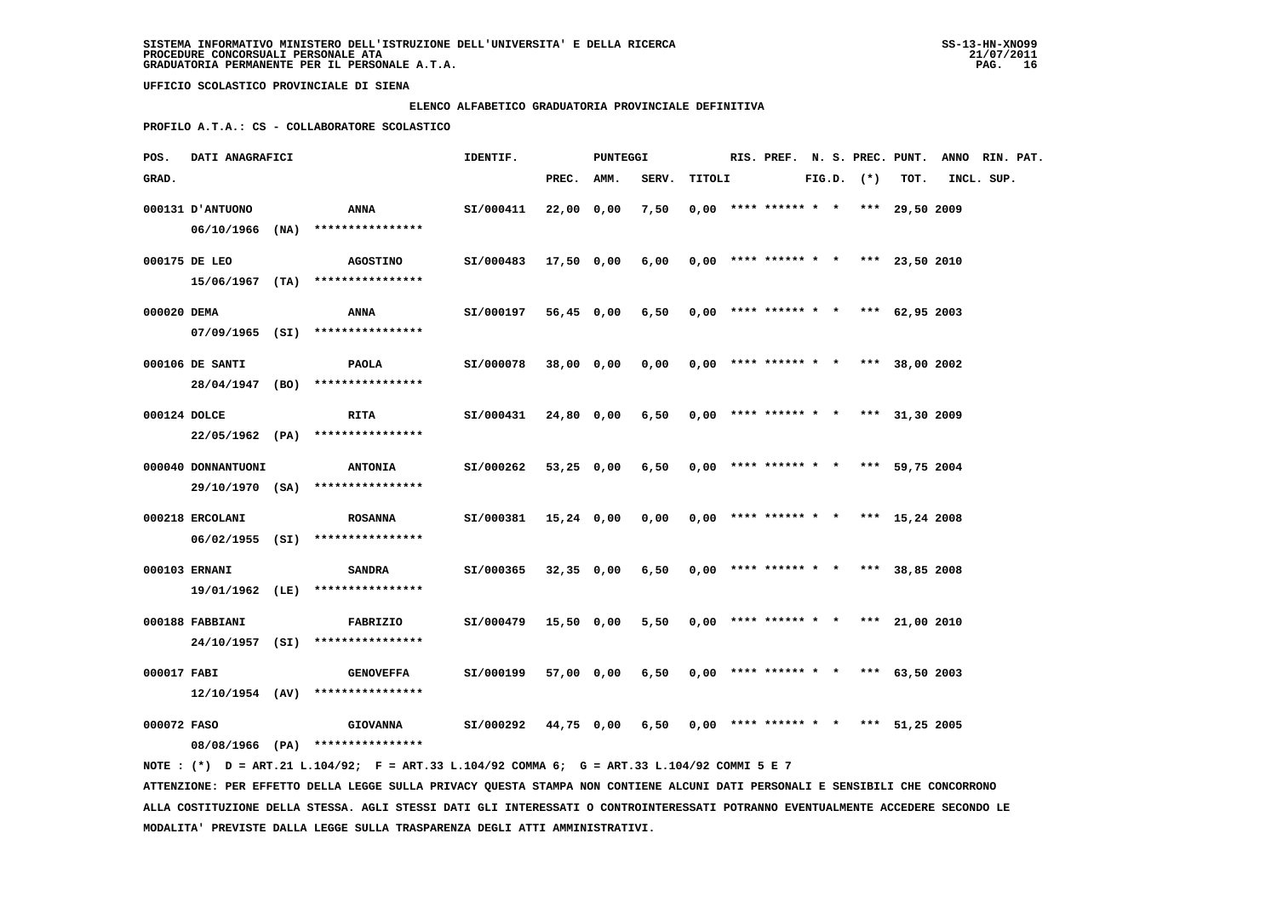#### **ELENCO ALFABETICO GRADUATORIA PROVINCIALE DEFINITIVA**

 **PROFILO A.T.A.: CS - COLLABORATORE SCOLASTICO**

| POS.         | DATI ANAGRAFICI    | IDENTIF.<br><b>PUNTEGGI</b>                         |           |              |            |       | RIS. PREF. N. S. PREC. PUNT. |                                       |  |                | ANNO RIN. PAT.   |            |  |
|--------------|--------------------|-----------------------------------------------------|-----------|--------------|------------|-------|------------------------------|---------------------------------------|--|----------------|------------------|------------|--|
| GRAD.        |                    |                                                     |           | PREC.        | AMM.       | SERV. | TITOLI                       |                                       |  | $FIG.D.$ $(*)$ | TOT.             | INCL. SUP. |  |
|              | 000131 J'ANTUONO   | ANNA                                                | SI/000411 | 22,00 0,00   |            | 7,50  |                              | $0,00$ **** ****** * * *** 29,50 2009 |  |                |                  |            |  |
|              |                    | 06/10/1966 (NA) ****************                    |           |              |            |       |                              |                                       |  |                |                  |            |  |
|              | 000175 DE LEO      | <b>AGOSTINO</b>                                     | SI/000483 | 17,50 0,00   |            | 6,00  |                              | $0.00$ **** ****** * * *** 23.50 2010 |  |                |                  |            |  |
|              |                    | $15/06/1967$ (TA) ****************                  |           |              |            |       |                              |                                       |  |                |                  |            |  |
| 000020 DEMA  |                    | ANNA                                                | SI/000197 |              | 56,45 0,00 | 6,50  |                              | $0,00$ **** ****** * *                |  |                | *** $62,95,2003$ |            |  |
|              |                    | $07/09/1965$ (SI) *****************                 |           |              |            |       |                              |                                       |  |                |                  |            |  |
|              | 000106 DE SANTI    | PAOLA                                               | SI/000078 | 38,00 0,00   |            | 0,00  |                              | $0,00$ **** ****** * * *** 38,00 2002 |  |                |                  |            |  |
|              |                    | 28/04/1947 (BO) ****************                    |           |              |            |       |                              |                                       |  |                |                  |            |  |
| 000124 DOLCE |                    | <b>RITA</b>                                         | SI/000431 |              | 24,80 0,00 | 6,50  |                              | $0,00$ **** ****** * * *** 31,30 2009 |  |                |                  |            |  |
|              |                    | 22/05/1962 (PA) ****************                    |           |              |            |       |                              |                                       |  |                |                  |            |  |
|              | 000040 DONNANTUONI | <b>ANTONIA</b>                                      | SI/000262 | 53,25 0,00   |            | 6,50  |                              | $0,00$ **** ****** * * *** 59,75 2004 |  |                |                  |            |  |
|              | 29/10/1970 (SA)    | ****************                                    |           |              |            |       |                              |                                       |  |                |                  |            |  |
|              | 000218 ERCOLANI    | <b>ROSANNA</b>                                      | SI/000381 | 15,24 0,00   |            | 0,00  |                              | $0.00$ **** ****** * * *** 15.24 2008 |  |                |                  |            |  |
|              |                    | 06/02/1955 (SI) ****************                    |           |              |            |       |                              |                                       |  |                |                  |            |  |
|              | 000103 ERNANI      | <b>SANDRA</b>                                       | SI/000365 | $32,35$ 0,00 |            | 6,50  |                              | $0,00$ **** ****** * * *** 38,85 2008 |  |                |                  |            |  |
|              |                    | 19/01/1962 (LE) ****************                    |           |              |            |       |                              |                                       |  |                |                  |            |  |
|              | 000188 FABBIANI    | <b>FABRIZIO</b>                                     | SI/000479 |              | 15,50 0,00 | 5,50  |                              | $0,00$ **** ****** * * *** 21,00 2010 |  |                |                  |            |  |
|              |                    | 24/10/1957 (SI) ****************                    |           |              |            |       |                              |                                       |  |                |                  |            |  |
| 000017 FABI  |                    | <b>GENOVEFFA</b>                                    | SI/000199 |              | 57,00 0,00 | 6,50  |                              | $0.00$ **** ****** * * *** 63.50 2003 |  |                |                  |            |  |
|              |                    | $12/10/1954$ (AV) *****************                 |           |              |            |       |                              |                                       |  |                |                  |            |  |
|              |                    |                                                     |           |              |            |       |                              |                                       |  |                |                  |            |  |
| 000072 FASO  |                    | <b>GIOVANNA</b><br>08/08/1966 (PA) **************** | SI/000292 |              | 44,75 0,00 | 6,50  |                              | $0,00$ **** ****** * *                |  |                | *** 51,25 2005   |            |  |
|              |                    |                                                     |           |              |            |       |                              |                                       |  |                |                  |            |  |

 **NOTE : (\*) D = ART.21 L.104/92; F = ART.33 L.104/92 COMMA 6; G = ART.33 L.104/92 COMMI 5 E 7 ATTENZIONE: PER EFFETTO DELLA LEGGE SULLA PRIVACY QUESTA STAMPA NON CONTIENE ALCUNI DATI PERSONALI E SENSIBILI CHE CONCORRONO ALLA COSTITUZIONE DELLA STESSA. AGLI STESSI DATI GLI INTERESSATI O CONTROINTERESSATI POTRANNO EVENTUALMENTE ACCEDERE SECONDO LE MODALITA' PREVISTE DALLA LEGGE SULLA TRASPARENZA DEGLI ATTI AMMINISTRATIVI.**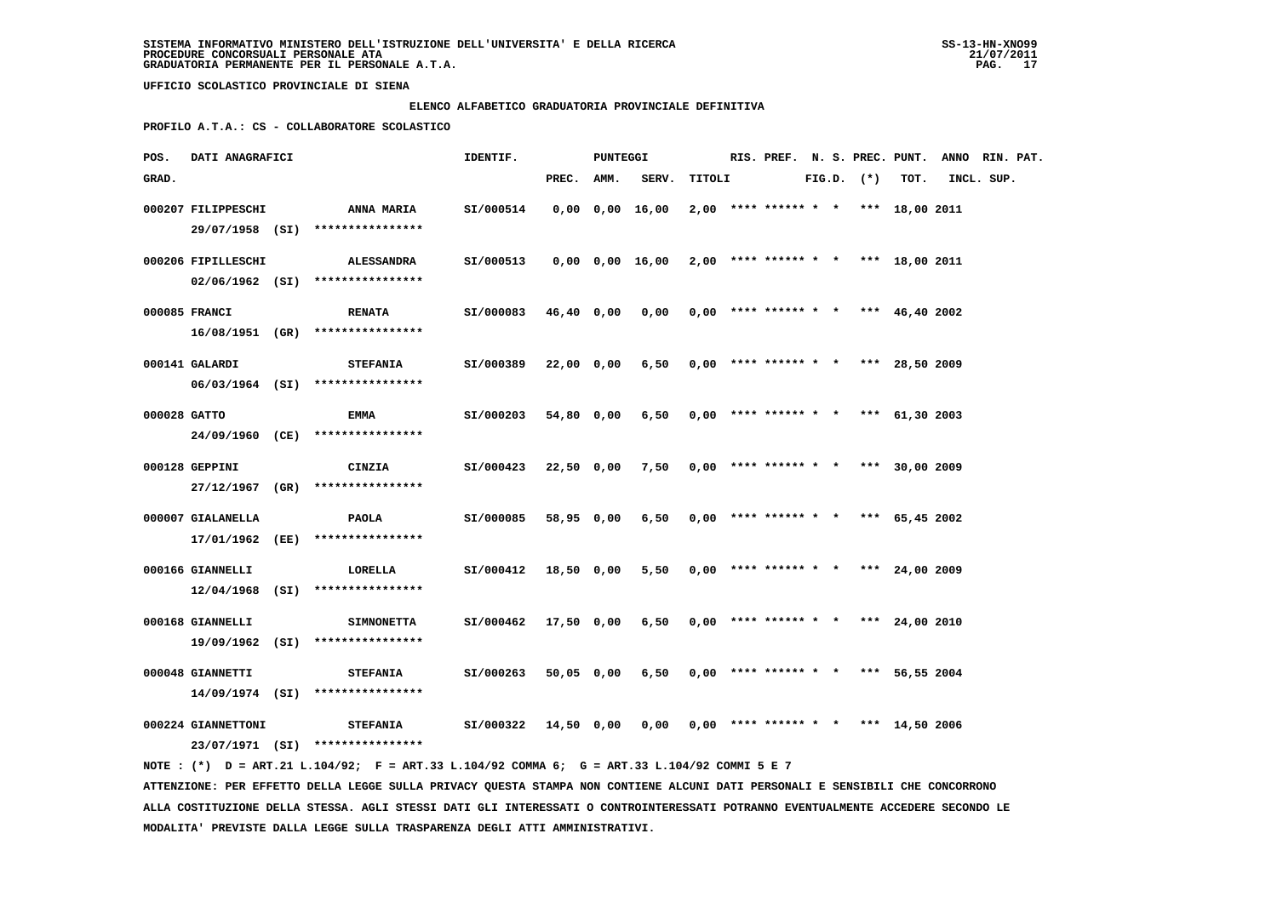#### **ELENCO ALFABETICO GRADUATORIA PROVINCIALE DEFINITIVA**

 **PROFILO A.T.A.: CS - COLLABORATORE SCOLASTICO**

| POS.         | DATI ANAGRAFICI    |                                                                                             | IDENTIF.             |            | PUNTEGGI |                       |        |                                       |  |                |      | RIS. PREF. N. S. PREC. PUNT. ANNO RIN. PAT. |  |
|--------------|--------------------|---------------------------------------------------------------------------------------------|----------------------|------------|----------|-----------------------|--------|---------------------------------------|--|----------------|------|---------------------------------------------|--|
| GRAD.        |                    |                                                                                             |                      | PREC. AMM. |          | SERV.                 | TITOLI |                                       |  | $FIG.D.$ $(*)$ | TOT. | INCL. SUP.                                  |  |
|              | 000207 FILIPPESCHI | <b>ANNA MARIA</b><br>29/07/1958 (SI) ****************                                       | SI/000514            |            |          | $0,00$ $0,00$ $16,00$ |        | $2,00$ **** ****** * * *** 18,00 2011 |  |                |      |                                             |  |
|              | 000206 FIPILLESCHI | <b>ALESSANDRA</b><br>$02/06/1962$ (SI) ****************                                     | SI/000513            |            |          | 0,00 0,00 16,00       |        | $2,00$ **** ****** * * *** 18,00 2011 |  |                |      |                                             |  |
|              | 000085 FRANCI      | <b>RENATA</b><br>16/08/1951 (GR) ****************                                           | SI/000083            | 46,40 0,00 |          | 0,00                  |        | $0,00$ **** ****** * * *** 46,40 2002 |  |                |      |                                             |  |
|              | 000141 GALARDI     | <b>STEFANIA</b><br>06/03/1964 (SI) ****************                                         | SI/000389            | 22,00 0,00 |          | 6,50                  |        | $0,00$ **** ****** * * *** 28,50 2009 |  |                |      |                                             |  |
| 000028 GATTO |                    | EMMA                                                                                        | SI/000203            | 54,80 0,00 |          | 6,50                  |        | $0,00$ **** ****** * * *** 61,30 2003 |  |                |      |                                             |  |
|              | 000128 GEPPINI     | 24/09/1960 (CE) ****************<br>CINZIA                                                  | SI/000423            | 22,50 0,00 |          | 7,50                  |        | $0,00$ **** ****** * * *** 30,00 2009 |  |                |      |                                             |  |
|              | 000007 GIALANELLA  | 27/12/1967 (GR) ****************<br><b>PAOLA</b>                                            | SI/000085            | 58,95 0,00 |          | 6,50                  |        | $0,00$ **** ****** * * *** 65,45 2002 |  |                |      |                                             |  |
|              | 000166 GIANNELLI   | 17/01/1962 (EE) ****************<br>LORELLA                                                 | SI/000412            | 18,50 0,00 |          | 5,50                  |        | $0,00$ **** ****** * * *** 24,00 2009 |  |                |      |                                             |  |
|              | 000168 GIANNELLI   | $12/04/1968$ (SI) ****************<br><b>SIMNONETTA</b>                                     | SI/000462            | 17,50 0,00 |          | 6,50                  |        | $0,00$ **** ****** * * *** 24,00 2010 |  |                |      |                                             |  |
|              |                    | 19/09/1962 (SI) ****************                                                            |                      |            |          |                       |        |                                       |  |                |      |                                             |  |
|              | 000048 GIANNETTI   | <b>STEFANIA</b><br>$14/09/1974$ (SI) ****************                                       | SI/000263            | 50,05 0,00 |          | 6,50                  |        | $0.00$ **** ****** * * *** 56,55 2004 |  |                |      |                                             |  |
|              | 000224 GIANNETTONI | <b>STEFANIA</b><br>23/07/1971 (SI) ****************                                         | SI/000322 14,50 0,00 |            |          | 0,00                  |        | $0,00$ **** ****** * * *** 14,50 2006 |  |                |      |                                             |  |
|              |                    | NOTE: (*) D = ART.21 L.104/92; F = ART.33 L.104/92 COMMA 6; G = ART.33 L.104/92 COMMI 5 E 7 |                      |            |          |                       |        |                                       |  |                |      |                                             |  |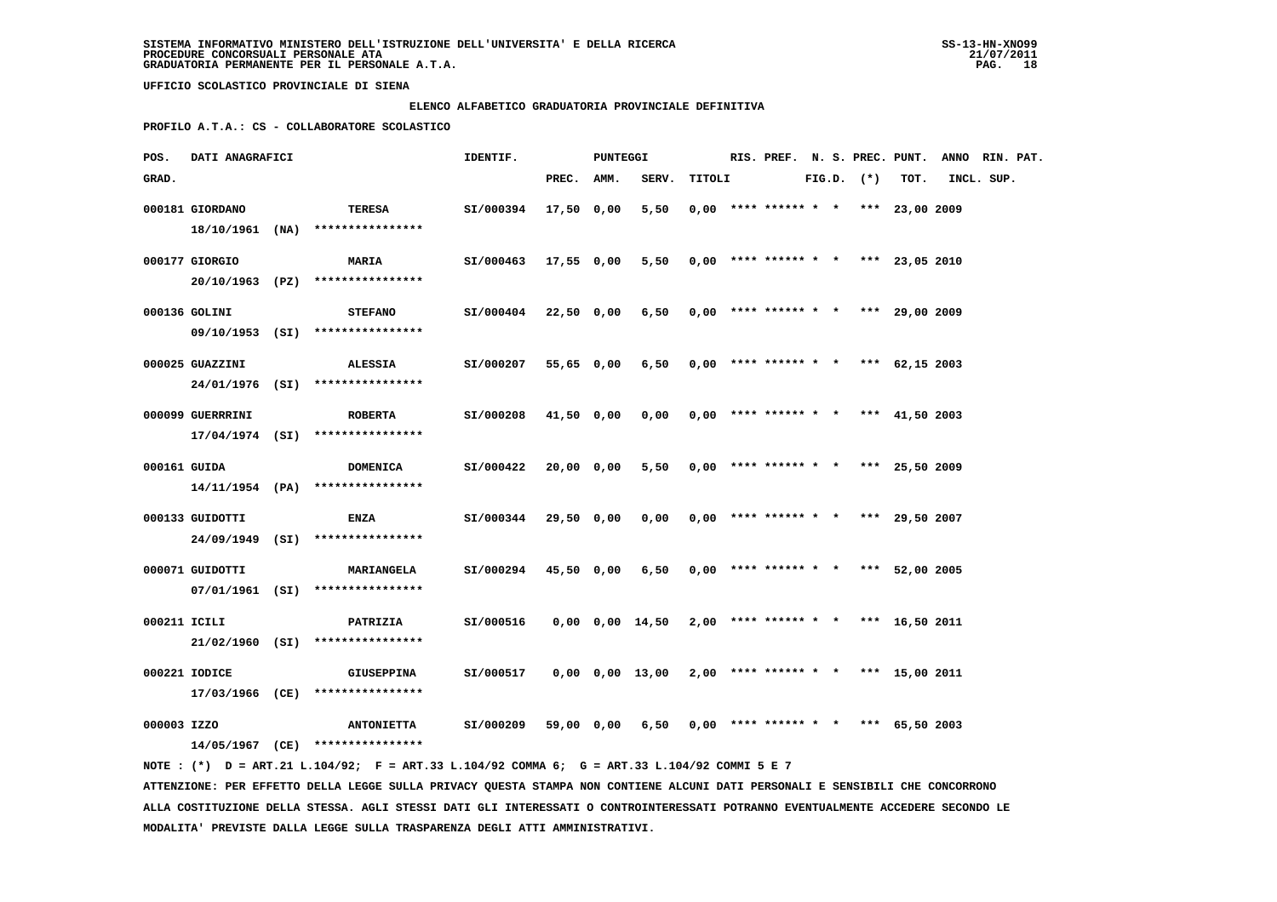#### **ELENCO ALFABETICO GRADUATORIA PROVINCIALE DEFINITIVA**

 **PROFILO A.T.A.: CS - COLLABORATORE SCOLASTICO**

| POS.         | DATI ANAGRAFICI  |                                                                                             | IDENTIF.                                                      |            | PUNTEGGI |                                                             |        |  |                                       |  |                |      | RIS. PREF. N. S. PREC. PUNT. ANNO RIN. PAT. |  |
|--------------|------------------|---------------------------------------------------------------------------------------------|---------------------------------------------------------------|------------|----------|-------------------------------------------------------------|--------|--|---------------------------------------|--|----------------|------|---------------------------------------------|--|
| GRAD.        |                  |                                                                                             |                                                               | PREC. AMM. |          | SERV.                                                       | TITOLI |  |                                       |  | $FIG.D.$ $(*)$ | тот. | INCL. SUP.                                  |  |
|              | 000181 GIORDANO  | TERESA                                                                                      | SI/000394                                                     | 17,50 0,00 |          | 5,50                                                        |        |  | $0,00$ **** ****** * * *** 23,00 2009 |  |                |      |                                             |  |
|              |                  | $18/10/1961$ (NA) *****************                                                         |                                                               |            |          |                                                             |        |  |                                       |  |                |      |                                             |  |
|              | 000177 GIORGIO   | <b>MARIA</b>                                                                                | SI/000463 17,55 0,00                                          |            |          | 5,50                                                        |        |  | $0,00$ **** ****** * * *** 23,05 2010 |  |                |      |                                             |  |
|              |                  | 20/10/1963 (PZ) ****************                                                            |                                                               |            |          |                                                             |        |  |                                       |  |                |      |                                             |  |
|              |                  |                                                                                             |                                                               |            |          |                                                             |        |  |                                       |  |                |      |                                             |  |
|              | 000136 GOLINI    | <b>STEFANO</b>                                                                              | $SI/000404$ 22,50 0,00 6,50 0,00 **** ****** * *** 29,00 2009 |            |          |                                                             |        |  |                                       |  |                |      |                                             |  |
|              |                  | 09/10/1953 (SI) ****************                                                            |                                                               |            |          |                                                             |        |  |                                       |  |                |      |                                             |  |
|              | 000025 GUAZZINI  | <b>ALESSIA</b>                                                                              | SI/000207                                                     | 55,65 0,00 |          | 6,50                                                        |        |  | $0,00$ **** ****** * * *** 62,15 2003 |  |                |      |                                             |  |
|              |                  | 24/01/1976 (SI) ****************                                                            |                                                               |            |          |                                                             |        |  |                                       |  |                |      |                                             |  |
|              | 000099 GUERRRINI | <b>ROBERTA</b>                                                                              | SI/000208                                                     | 41,50 0,00 |          | 0,00                                                        |        |  | $0,00$ **** ****** * * *** 41,50 2003 |  |                |      |                                             |  |
|              |                  | $17/04/1974$ (SI) ****************                                                          |                                                               |            |          |                                                             |        |  |                                       |  |                |      |                                             |  |
|              |                  |                                                                                             |                                                               |            |          |                                                             |        |  |                                       |  |                |      |                                             |  |
|              | 000161 GUIDA     | <b>DOMENICA</b>                                                                             | SI/000422                                                     | 20,00 0,00 |          | 5,50                                                        |        |  | $0,00$ **** ****** * * *** 25,50 2009 |  |                |      |                                             |  |
|              |                  | $14/11/1954$ (PA) ****************                                                          |                                                               |            |          |                                                             |        |  |                                       |  |                |      |                                             |  |
|              | 000133 GUIDOTTI  | <b>ENZA</b>                                                                                 | SI/000344                                                     | 29,50 0,00 |          | 0,00                                                        |        |  | $0,00$ **** ****** * * *** 29,50 2007 |  |                |      |                                             |  |
|              |                  | 24/09/1949 (SI) ****************                                                            |                                                               |            |          |                                                             |        |  |                                       |  |                |      |                                             |  |
|              | 000071 GUIDOTTI  | <b>MARIANGELA</b>                                                                           | SI/000294                                                     | 45,50 0,00 |          | 6,50                                                        |        |  | $0,00$ **** ****** * * *** 52,00 2005 |  |                |      |                                             |  |
|              |                  | $07/01/1961$ (SI) ****************                                                          |                                                               |            |          |                                                             |        |  |                                       |  |                |      |                                             |  |
|              |                  |                                                                                             |                                                               |            |          |                                                             |        |  |                                       |  |                |      |                                             |  |
| 000211 ICILI |                  | <b>PATRIZIA</b>                                                                             | SI/000516                                                     |            |          | $0,00$ $0,00$ $14,50$ $2,00$ **** ****** * * *** 16,50 2011 |        |  |                                       |  |                |      |                                             |  |
|              |                  | $21/02/1960$ (SI) ****************                                                          |                                                               |            |          |                                                             |        |  |                                       |  |                |      |                                             |  |
|              | 000221 IODICE    | <b>GIUSEPPINA</b>                                                                           | SI/000517                                                     |            |          | 0,00 0,00 13,00                                             |        |  | $2,00$ **** ****** * * *** 15,00 2011 |  |                |      |                                             |  |
|              |                  | 17/03/1966 (CE) ****************                                                            |                                                               |            |          |                                                             |        |  |                                       |  |                |      |                                             |  |
|              |                  |                                                                                             |                                                               |            |          |                                                             |        |  |                                       |  |                |      |                                             |  |
| 000003 IZZO  |                  | <b>ANTONIETTA</b><br>14/05/1967 (CE) ****************                                       | SI/000209                                                     | 59,00 0,00 |          | 6,50                                                        |        |  | $0,00$ **** ****** * * *** 65,50 2003 |  |                |      |                                             |  |
|              |                  | NOTE: (*) D = ART.21 L.104/92; F = ART.33 L.104/92 COMMA 6; G = ART.33 L.104/92 COMMI 5 E 7 |                                                               |            |          |                                                             |        |  |                                       |  |                |      |                                             |  |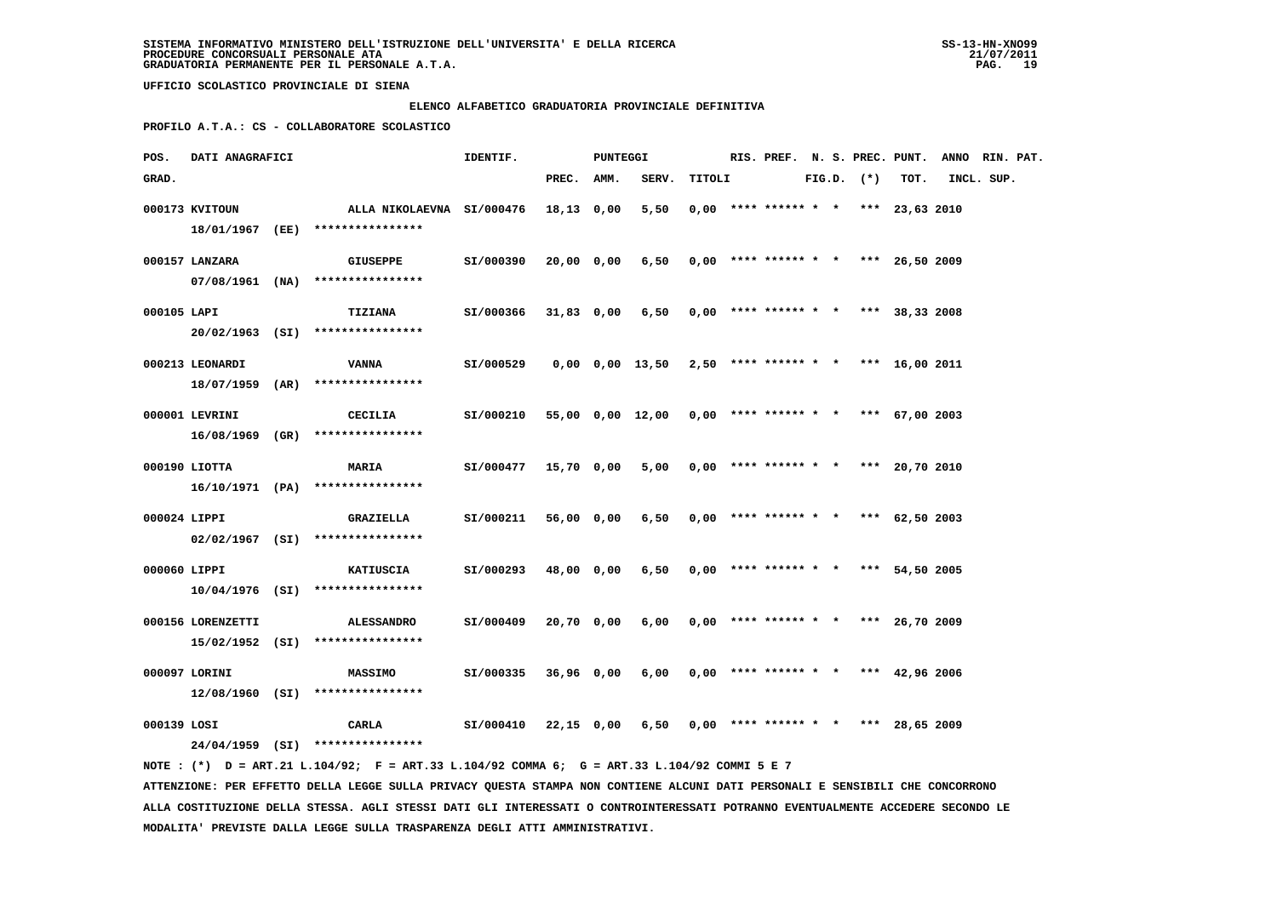#### **ELENCO ALFABETICO GRADUATORIA PROVINCIALE DEFINITIVA**

 **PROFILO A.T.A.: CS - COLLABORATORE SCOLASTICO**

| POS.         |                   | DATI ANAGRAFICI |                                                               |           |            | PUNTEGGI |                                                           |        |                                       |  |                |      | RIS. PREF. N. S. PREC. PUNT. ANNO RIN. PAT. |  |
|--------------|-------------------|-----------------|---------------------------------------------------------------|-----------|------------|----------|-----------------------------------------------------------|--------|---------------------------------------|--|----------------|------|---------------------------------------------|--|
| GRAD.        |                   |                 |                                                               |           | PREC. AMM. |          | SERV.                                                     | TITOLI |                                       |  | $FIG.D.$ $(*)$ | TOT. | INCL. SUP.                                  |  |
|              | 000173 KVITOUN    |                 | ALLA NIKOLAEVNA SI/000476<br>18/01/1967 (EE) **************** |           | 18,13 0,00 |          | 5,50                                                      |        | $0.00$ **** ****** * * *** 23.63 2010 |  |                |      |                                             |  |
|              | 000157 LANZARA    |                 | <b>GIUSEPPE</b><br>$07/08/1961$ (NA) *****************        | SI/000390 | 20,00 0,00 |          | $6,50$ 0,00 **** ****** * * *** 26,50 2009                |        |                                       |  |                |      |                                             |  |
| 000105 LAPI  |                   |                 | <b>TIZIANA</b><br>20/02/1963 (SI) ****************            | SI/000366 | 31,83 0,00 |          | 6,50                                                      |        | $0,00$ **** ****** * * *** 38,33 2008 |  |                |      |                                             |  |
|              | 000213 LEONARDI   |                 | VANNA<br>$18/07/1959$ (AR) *****************                  | SI/000529 |            |          | $0,00$ $0,00$ $13,50$ $2,50$ **** ****** * *** 16,00 2011 |        |                                       |  |                |      |                                             |  |
|              | 000001 LEVRINI    |                 | CECILIA<br>16/08/1969 (GR) ****************                   | SI/000210 |            |          | 55,00 0,00 12,00 0,00 **** ****** * * *** 67,00 2003      |        |                                       |  |                |      |                                             |  |
|              | 000190 LIOTTA     |                 | <b>MARIA</b><br>$16/10/1971$ (PA) *****************           | SI/000477 | 15,70 0,00 |          | 5,00                                                      |        | $0.00$ **** ****** * * *** 20.70 2010 |  |                |      |                                             |  |
| 000024 LIPPI |                   |                 | GRAZIELLA<br>$02/02/1967$ (SI) *****************              | SI/000211 | 56,00 0,00 |          | 6,50                                                      |        | $0.00$ **** ****** * * *** 62.50 2003 |  |                |      |                                             |  |
| 000060 LIPPI |                   |                 | KATIUSCIA<br>$10/04/1976$ (SI) ****************               | SI/000293 | 48,00 0,00 |          | 6,50                                                      |        | $0,00$ **** ****** * * *** 54,50 2005 |  |                |      |                                             |  |
|              | 000156 LORENZETTI |                 | ALESSANDRO<br>$15/02/1952$ (SI) *****************             | SI/000409 | 20,70 0,00 |          | 6,00                                                      |        | $0.00$ **** ****** * * *** 26.70 2009 |  |                |      |                                             |  |
|              | 000097 LORINI     |                 | <b>MASSIMO</b><br>$12/08/1960$ (SI) *****************         | SI/000335 | 36,96 0,00 |          | 6,00                                                      |        | $0,00$ **** ****** * * *** 42,96 2006 |  |                |      |                                             |  |
| 000139 LOSI  |                   |                 | CARLA<br>24/04/1959 (SI) ****************                     | SI/000410 | 22,15 0,00 |          | 6,50                                                      |        | $0,00$ **** ****** * * *** 28,65 2009 |  |                |      |                                             |  |

 **NOTE : (\*) D = ART.21 L.104/92; F = ART.33 L.104/92 COMMA 6; G = ART.33 L.104/92 COMMI 5 E 7 ATTENZIONE: PER EFFETTO DELLA LEGGE SULLA PRIVACY QUESTA STAMPA NON CONTIENE ALCUNI DATI PERSONALI E SENSIBILI CHE CONCORRONO ALLA COSTITUZIONE DELLA STESSA. AGLI STESSI DATI GLI INTERESSATI O CONTROINTERESSATI POTRANNO EVENTUALMENTE ACCEDERE SECONDO LE MODALITA' PREVISTE DALLA LEGGE SULLA TRASPARENZA DEGLI ATTI AMMINISTRATIVI.**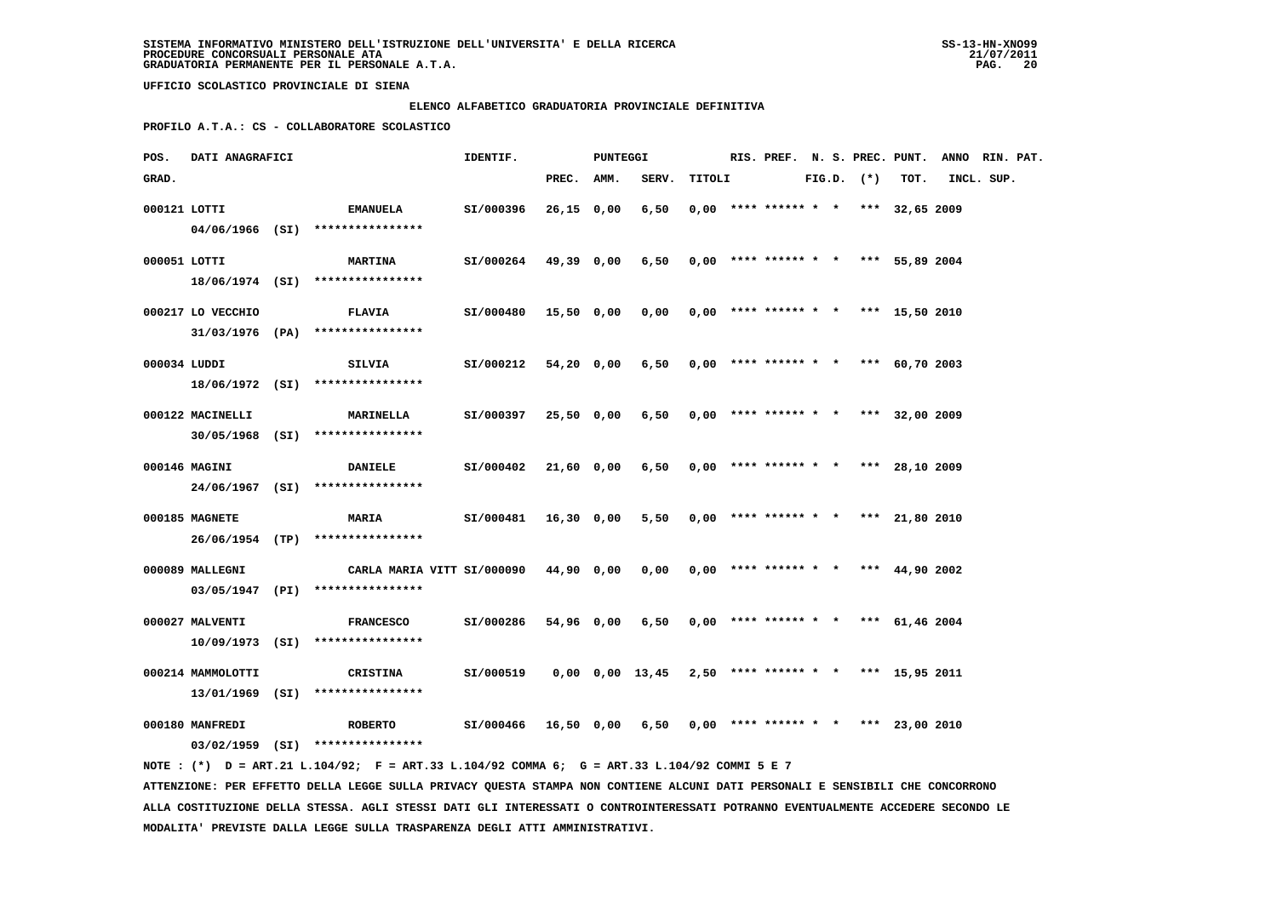## **ELENCO ALFABETICO GRADUATORIA PROVINCIALE DEFINITIVA**

 **PROFILO A.T.A.: CS - COLLABORATORE SCOLASTICO**

| POS.         | DATI ANAGRAFICI   |                                                                                                                                                                                                                              | IDENTIF.  |              | <b>PUNTEGGI</b> |                 |        |                        |  |                | RIS. PREF. N. S. PREC. PUNT.          | ANNO RIN. PAT. |  |
|--------------|-------------------|------------------------------------------------------------------------------------------------------------------------------------------------------------------------------------------------------------------------------|-----------|--------------|-----------------|-----------------|--------|------------------------|--|----------------|---------------------------------------|----------------|--|
| GRAD.        |                   |                                                                                                                                                                                                                              |           | PREC. AMM.   |                 | SERV.           | TITOLI |                        |  | $FIG.D.$ $(*)$ | TOT.                                  | INCL. SUP.     |  |
| 000121 LOTTI |                   | <b>EMANUELA</b>                                                                                                                                                                                                              | SI/000396 | $26,15$ 0,00 |                 | 6,50            |        | $0,00$ **** ****** * * |  |                | *** 32,65 2009                        |                |  |
|              |                   | 04/06/1966 (SI) ****************                                                                                                                                                                                             |           |              |                 |                 |        |                        |  |                |                                       |                |  |
|              |                   |                                                                                                                                                                                                                              |           |              |                 |                 |        |                        |  |                |                                       |                |  |
| 000051 LOTTI |                   | <b>MARTINA</b><br>18/06/1974 (SI) ****************                                                                                                                                                                           | SI/000264 | 49,39 0,00   |                 | 6,50            |        |                        |  |                | $0,00$ **** ****** * * *** 55,89 2004 |                |  |
|              |                   |                                                                                                                                                                                                                              |           |              |                 |                 |        |                        |  |                |                                       |                |  |
|              | 000217 LO VECCHIO | <b>FLAVIA</b>                                                                                                                                                                                                                | SI/000480 | 15,50 0,00   |                 | 0,00            |        |                        |  |                | $0,00$ **** ****** * * *** 15,50 2010 |                |  |
|              |                   | $31/03/1976$ (PA) ****************                                                                                                                                                                                           |           |              |                 |                 |        |                        |  |                |                                       |                |  |
| 000034 LUDDI |                   | <b>SILVIA</b>                                                                                                                                                                                                                | SI/000212 | 54,20 0,00   |                 | 6,50            |        |                        |  |                | $0,00$ **** ****** * * *** 60,70 2003 |                |  |
|              |                   | 18/06/1972 (SI) ****************                                                                                                                                                                                             |           |              |                 |                 |        |                        |  |                |                                       |                |  |
|              |                   |                                                                                                                                                                                                                              |           |              |                 |                 |        |                        |  |                |                                       |                |  |
|              | 000122 MACINELLI  | <b>MARINELLA</b>                                                                                                                                                                                                             | SI/000397 | 25,50 0,00   |                 | 6,50            |        |                        |  |                | $0,00$ **** ****** * * *** 32,00 2009 |                |  |
|              |                   | $30/05/1968$ (SI) *****************                                                                                                                                                                                          |           |              |                 |                 |        |                        |  |                |                                       |                |  |
|              | 000146 MAGINI     | <b>DANIELE</b>                                                                                                                                                                                                               | SI/000402 | 21,60 0,00   |                 | 6,50            |        |                        |  |                | $0,00$ **** ****** * * *** 28,10 2009 |                |  |
|              |                   | 24/06/1967 (SI) ****************                                                                                                                                                                                             |           |              |                 |                 |        |                        |  |                |                                       |                |  |
|              | 000185 MAGNETE    | <b>MARIA</b>                                                                                                                                                                                                                 | SI/000481 | 16,30 0,00   |                 | 5,50            |        |                        |  |                | $0,00$ **** ****** * * *** 21,80 2010 |                |  |
|              |                   | 26/06/1954 (TP) ****************                                                                                                                                                                                             |           |              |                 |                 |        |                        |  |                |                                       |                |  |
|              |                   |                                                                                                                                                                                                                              |           |              |                 |                 |        |                        |  |                |                                       |                |  |
|              | 000089 MALLEGNI   | CARLA MARIA VITT SI/000090                                                                                                                                                                                                   |           | 44,90 0,00   |                 | 0,00            |        |                        |  |                | $0,00$ **** ****** * * *** 44,90 2002 |                |  |
|              |                   | 03/05/1947 (PI) ****************                                                                                                                                                                                             |           |              |                 |                 |        |                        |  |                |                                       |                |  |
|              | 000027 MALVENTI   | <b>FRANCESCO</b>                                                                                                                                                                                                             | SI/000286 | 54,96 0,00   |                 | 6,50            |        |                        |  |                | $0,00$ **** ****** * * *** 61,46 2004 |                |  |
|              |                   | 10/09/1973 (SI) ****************                                                                                                                                                                                             |           |              |                 |                 |        |                        |  |                |                                       |                |  |
|              | 000214 MAMMOLOTTI | <b>CRISTINA</b>                                                                                                                                                                                                              | SI/000519 |              |                 | 0,00 0,00 13,45 |        |                        |  |                | 2,50 **** ****** * * *** 15,95 2011   |                |  |
|              |                   | 13/01/1969 (SI) ****************                                                                                                                                                                                             |           |              |                 |                 |        |                        |  |                |                                       |                |  |
|              |                   |                                                                                                                                                                                                                              |           |              |                 |                 |        |                        |  |                |                                       |                |  |
|              | 000180 MANFREDI   | <b>ROBERTO</b>                                                                                                                                                                                                               | SI/000466 | 16,50 0,00   |                 | 6,50            |        |                        |  |                | $0,00$ **** ****** * * *** 23,00 2010 |                |  |
|              |                   | 03/02/1959 (SI) ****************                                                                                                                                                                                             |           |              |                 |                 |        |                        |  |                |                                       |                |  |
|              |                   | NOTE: (*) D = ART.21 L.104/92; F = ART.33 L.104/92 COMMA 6; G = ART.33 L.104/92 COMMI 5 E 7<br>ATTENZIONE: PER EFFETTO DELLA LEGGE SULLA PRIVACY QUESTA STAMPA NON CONTIENE ALCUNI DATI PERSONALI E SENSIBILI CHE CONCORRONO |           |              |                 |                 |        |                        |  |                |                                       |                |  |
|              |                   |                                                                                                                                                                                                                              |           |              |                 |                 |        |                        |  |                |                                       |                |  |

 **ALLA COSTITUZIONE DELLA STESSA. AGLI STESSI DATI GLI INTERESSATI O CONTROINTERESSATI POTRANNO EVENTUALMENTE ACCEDERE SECONDO LE MODALITA' PREVISTE DALLA LEGGE SULLA TRASPARENZA DEGLI ATTI AMMINISTRATIVI.**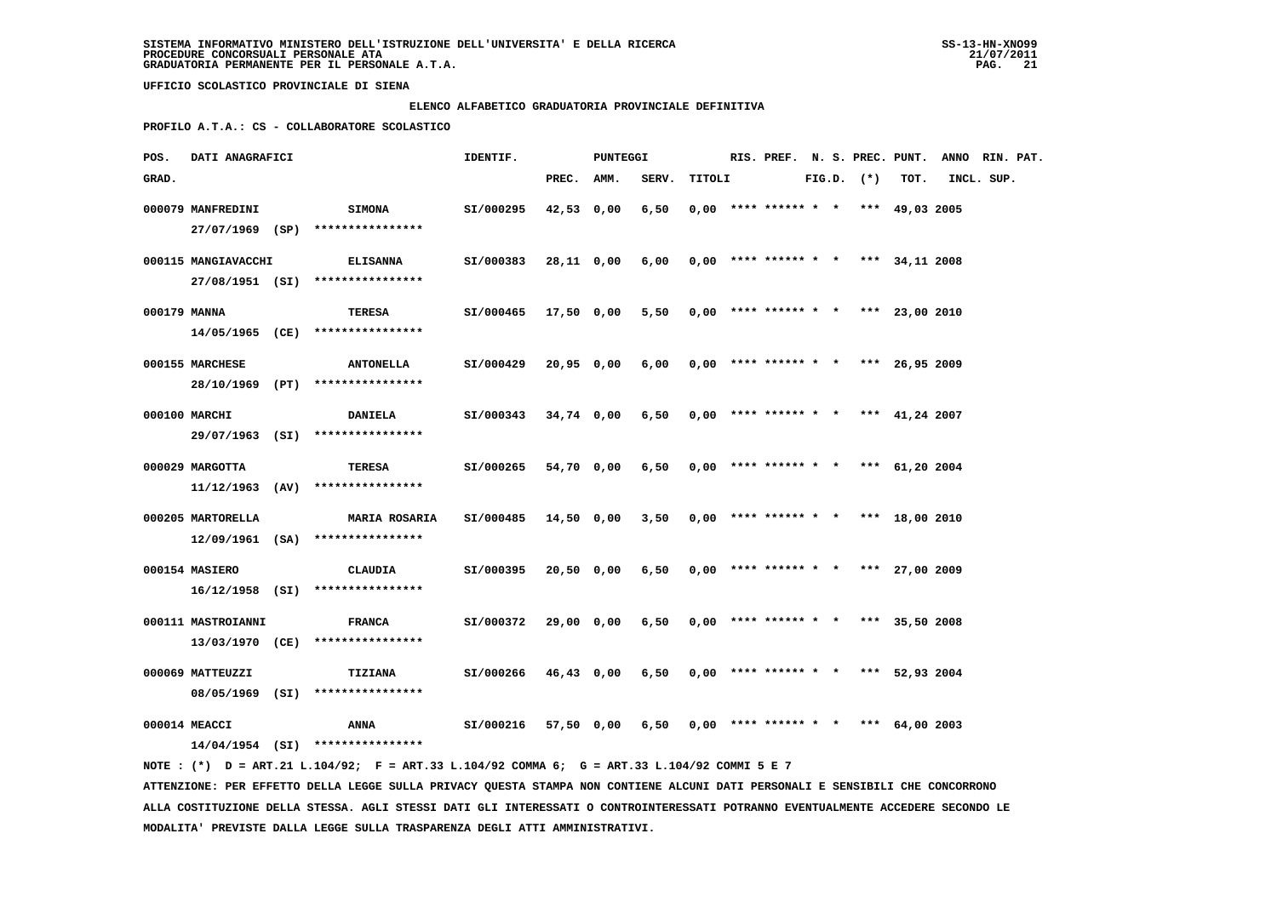#### **ELENCO ALFABETICO GRADUATORIA PROVINCIALE DEFINITIVA**

 **PROFILO A.T.A.: CS - COLLABORATORE SCOLASTICO**

| POS.         | DATI ANAGRAFICI     |                                                                                             | IDENTIF.  |            | <b>PUNTEGGI</b> |                                            |        |                                       |  |                |      | RIS. PREF. N. S. PREC. PUNT. ANNO RIN. PAT. |  |
|--------------|---------------------|---------------------------------------------------------------------------------------------|-----------|------------|-----------------|--------------------------------------------|--------|---------------------------------------|--|----------------|------|---------------------------------------------|--|
| GRAD.        |                     |                                                                                             |           | PREC. AMM. |                 | SERV.                                      | TITOLI |                                       |  | $FIG.D.$ $(*)$ | TOT. | INCL. SUP.                                  |  |
|              | 000079 MANFREDINI   | <b>SIMONA</b><br>27/07/1969 (SP) ****************                                           | SI/000295 | 42,53 0,00 |                 | 6,50                                       |        | $0,00$ **** ****** * * *** 49,03 2005 |  |                |      |                                             |  |
|              | 000115 MANGIAVACCHI | <b>ELISANNA</b>                                                                             | SI/000383 |            | 28,11 0,00      | 6,00                                       |        | $0,00$ **** ****** * * *** 34,11 2008 |  |                |      |                                             |  |
| 000179 MANNA |                     | 27/08/1951 (SI) ****************<br>TERESA                                                  | SI/000465 | 17,50 0,00 |                 | $5,50$ 0,00 **** ****** * * *** 23,00 2010 |        |                                       |  |                |      |                                             |  |
|              |                     | 14/05/1965 (CE) ****************                                                            |           |            |                 |                                            |        |                                       |  |                |      |                                             |  |
|              | 000155 MARCHESE     | <b>ANTONELLA</b><br>28/10/1969 (PT) ****************                                        | SI/000429 | 20,95 0,00 |                 | 6,00                                       |        | $0.00$ **** ****** * * *** 26.95 2009 |  |                |      |                                             |  |
|              | 000100 MARCHI       | <b>DANIELA</b>                                                                              | SI/000343 |            | 34,74 0,00      | 6,50                                       |        | $0,00$ **** ****** * * *** 41,24 2007 |  |                |      |                                             |  |
|              |                     | 29/07/1963 (SI) ****************                                                            |           |            |                 |                                            |        |                                       |  |                |      |                                             |  |
|              | 000029 MARGOTTA     | TERESA<br>$11/12/1963$ (AV) ****************                                                | SI/000265 |            | 54,70 0,00      | 6,50                                       |        | $0,00$ **** ****** * * *** 61,20 2004 |  |                |      |                                             |  |
|              | 000205 MARTORELLA   | <b>MARIA ROSARIA</b>                                                                        | SI/000485 | 14,50 0,00 |                 | 3,50                                       |        | $0,00$ **** ****** * * *** 18,00 2010 |  |                |      |                                             |  |
|              |                     | $12/09/1961$ (SA) ****************                                                          |           |            |                 |                                            |        |                                       |  |                |      |                                             |  |
|              | 000154 MASIERO      | CLAUDIA<br>$16/12/1958$ (SI) ****************                                               | SI/000395 | 20,50 0,00 |                 | 6,50                                       |        | $0,00$ **** ****** * * *** 27,00 2009 |  |                |      |                                             |  |
|              | 000111 MASTROIANNI  | <b>FRANCA</b>                                                                               | SI/000372 |            | 29,00 0,00      | 6,50                                       |        | $0,00$ **** ****** * * *** 35,50 2008 |  |                |      |                                             |  |
|              |                     | 13/03/1970 (CE) *****************                                                           |           |            |                 |                                            |        |                                       |  |                |      |                                             |  |
|              | 000069 MATTEUZZI    | <b>TIZIANA</b><br>08/05/1969 (SI) ****************                                          | SI/000266 |            | 46,43 0,00      | 6,50                                       |        | $0,00$ **** ****** * * *** 52,93 2004 |  |                |      |                                             |  |
|              | 000014 MEACCI       | ANNA                                                                                        | SI/000216 |            | 57,50 0,00      | 6,50                                       |        | $0,00$ **** ****** * * *** 64,00 2003 |  |                |      |                                             |  |
|              |                     | 14/04/1954 (SI) ****************                                                            |           |            |                 |                                            |        |                                       |  |                |      |                                             |  |
|              |                     | NOTE: (*) D = ART.21 L.104/92; F = ART.33 L.104/92 COMMA 6; G = ART.33 L.104/92 COMMI 5 E 7 |           |            |                 |                                            |        |                                       |  |                |      |                                             |  |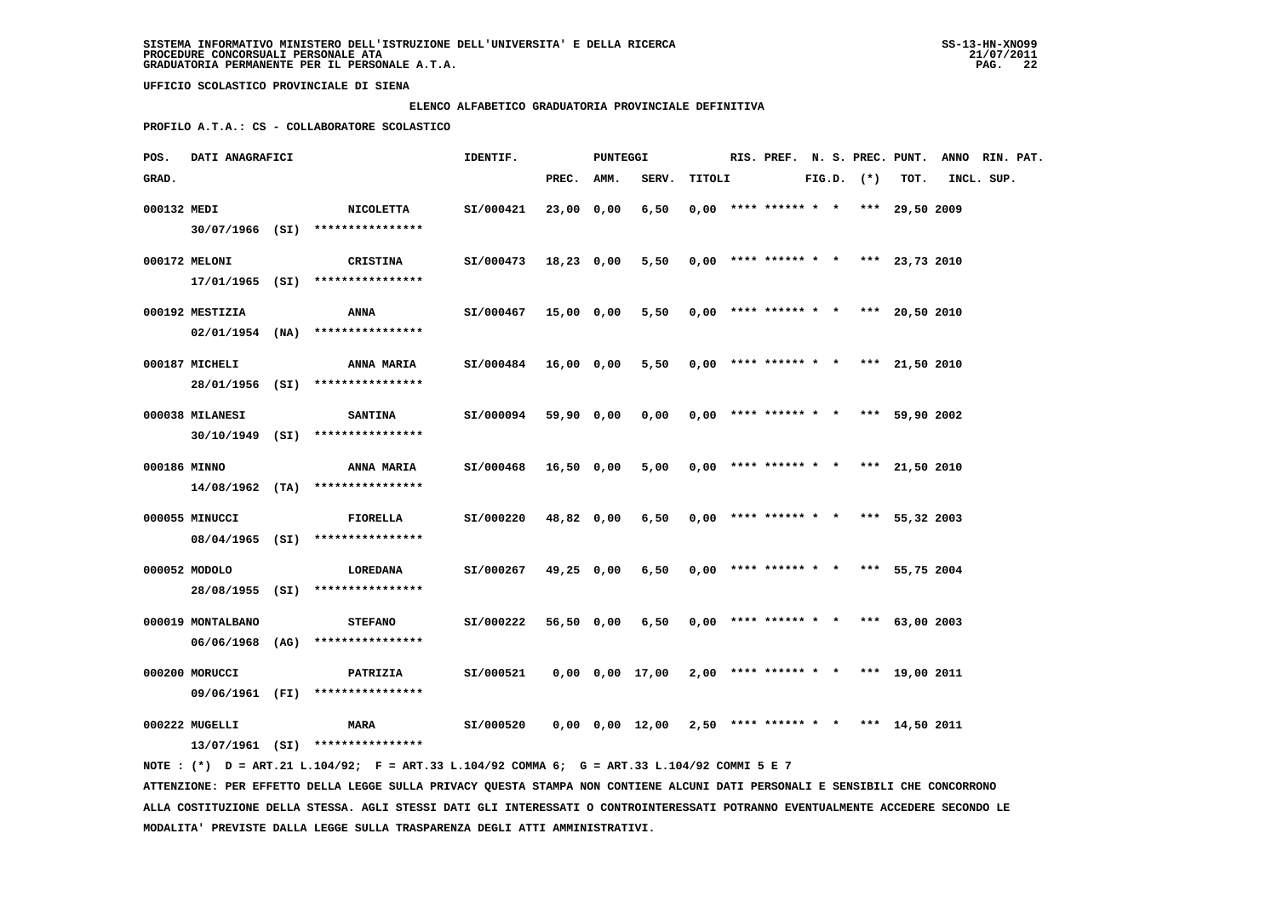#### **ELENCO ALFABETICO GRADUATORIA PROVINCIALE DEFINITIVA**

 **PROFILO A.T.A.: CS - COLLABORATORE SCOLASTICO**

| POS.         |                   | DATI ANAGRAFICI |                                                     |           |            | PUNTEGGI |                                            |        |                                       |  |                |      | RIS. PREF. N. S. PREC. PUNT. ANNO RIN. PAT. |  |
|--------------|-------------------|-----------------|-----------------------------------------------------|-----------|------------|----------|--------------------------------------------|--------|---------------------------------------|--|----------------|------|---------------------------------------------|--|
| GRAD.        |                   |                 |                                                     |           | PREC. AMM. |          | SERV.                                      | TITOLI |                                       |  | $FIG.D.$ $(*)$ | TOT. | INCL. SUP.                                  |  |
| 000132 MEDI  |                   |                 | <b>NICOLETTA</b>                                    | SI/000421 | 23,00 0,00 |          | 6,50                                       |        | $0,00$ **** ****** * * *** 29,50 2009 |  |                |      |                                             |  |
|              |                   |                 | 30/07/1966 (SI) ****************                    |           |            |          |                                            |        |                                       |  |                |      |                                             |  |
|              | 000172 MELONI     |                 | CRISTINA                                            | SI/000473 | 18,23 0,00 |          | $5,50$ 0,00 **** ****** * * *** 23,73 2010 |        |                                       |  |                |      |                                             |  |
|              |                   |                 | $17/01/1965$ (SI) ****************                  |           |            |          |                                            |        |                                       |  |                |      |                                             |  |
|              | 000192 MESTIZIA   |                 | <b>ANNA</b>                                         | SI/000467 | 15,00 0,00 |          | 5,50                                       |        | $0,00$ **** ****** * * *** 20,50 2010 |  |                |      |                                             |  |
|              |                   |                 | $02/01/1954$ (NA) ****************                  |           |            |          |                                            |        |                                       |  |                |      |                                             |  |
|              | 000187 MICHELI    |                 | <b>ANNA MARIA</b>                                   | SI/000484 | 16,00 0,00 |          | 5,50                                       |        | $0,00$ **** ****** * * *** 21,50 2010 |  |                |      |                                             |  |
|              |                   |                 | 28/01/1956 (SI) ****************                    |           |            |          |                                            |        |                                       |  |                |      |                                             |  |
|              | 000038 MILANESI   |                 | <b>SANTINA</b>                                      | SI/000094 | 59,90 0,00 |          | 0,00                                       |        | $0,00$ **** ****** * * *** 59,90 2002 |  |                |      |                                             |  |
|              |                   |                 | 30/10/1949 (SI) ****************                    |           |            |          |                                            |        |                                       |  |                |      |                                             |  |
| 000186 MINNO |                   |                 | <b>ANNA MARIA</b>                                   | SI/000468 | 16,50 0,00 |          | 5,00                                       |        | $0,00$ **** ****** * * *** 21,50 2010 |  |                |      |                                             |  |
|              |                   |                 | $14/08/1962$ (TA) ****************                  |           |            |          |                                            |        |                                       |  |                |      |                                             |  |
|              | 000055 MINUCCI    |                 |                                                     |           |            |          |                                            |        |                                       |  |                |      |                                             |  |
|              |                   |                 | <b>FIORELLA</b><br>08/04/1965 (SI) **************** | SI/000220 | 48,82 0,00 |          | 6,50                                       |        | $0,00$ **** ****** * * *** 55,32 2003 |  |                |      |                                             |  |
|              |                   |                 |                                                     |           |            |          |                                            |        |                                       |  |                |      |                                             |  |
|              | 000052 MODOLO     |                 | LOREDANA<br>28/08/1955 (SI) ****************        | SI/000267 | 49,25 0,00 |          | 6,50                                       |        | $0,00$ **** ****** * * *** 55,75 2004 |  |                |      |                                             |  |
|              |                   |                 |                                                     |           |            |          |                                            |        |                                       |  |                |      |                                             |  |
|              | 000019 MONTALBANO |                 | <b>STEFANO</b>                                      | SI/000222 | 56,50 0,00 |          | $6,50$ 0,00 **** ****** * * *** 63,00 2003 |        |                                       |  |                |      |                                             |  |
|              |                   |                 | 06/06/1968 (AG) ****************                    |           |            |          |                                            |        |                                       |  |                |      |                                             |  |
|              | 000200 MORUCCI    |                 | <b>PATRIZIA</b>                                     | SI/000521 |            |          | 0,00 0,00 17,00                            |        | $2,00$ **** ****** * * *** 19,00 2011 |  |                |      |                                             |  |
|              |                   |                 | 09/06/1961 (FI) ****************                    |           |            |          |                                            |        |                                       |  |                |      |                                             |  |
|              | 000222 MUGELLI    |                 | <b>MARA</b>                                         | SI/000520 |            |          | 0,00 0,00 12,00                            |        | $2,50$ **** ****** * * *** 14,50 2011 |  |                |      |                                             |  |
|              |                   |                 | 13/07/1961 (SI) ****************                    |           |            |          |                                            |        |                                       |  |                |      |                                             |  |

 **NOTE : (\*) D = ART.21 L.104/92; F = ART.33 L.104/92 COMMA 6; G = ART.33 L.104/92 COMMI 5 E 7 ATTENZIONE: PER EFFETTO DELLA LEGGE SULLA PRIVACY QUESTA STAMPA NON CONTIENE ALCUNI DATI PERSONALI E SENSIBILI CHE CONCORRONO ALLA COSTITUZIONE DELLA STESSA. AGLI STESSI DATI GLI INTERESSATI O CONTROINTERESSATI POTRANNO EVENTUALMENTE ACCEDERE SECONDO LE MODALITA' PREVISTE DALLA LEGGE SULLA TRASPARENZA DEGLI ATTI AMMINISTRATIVI.**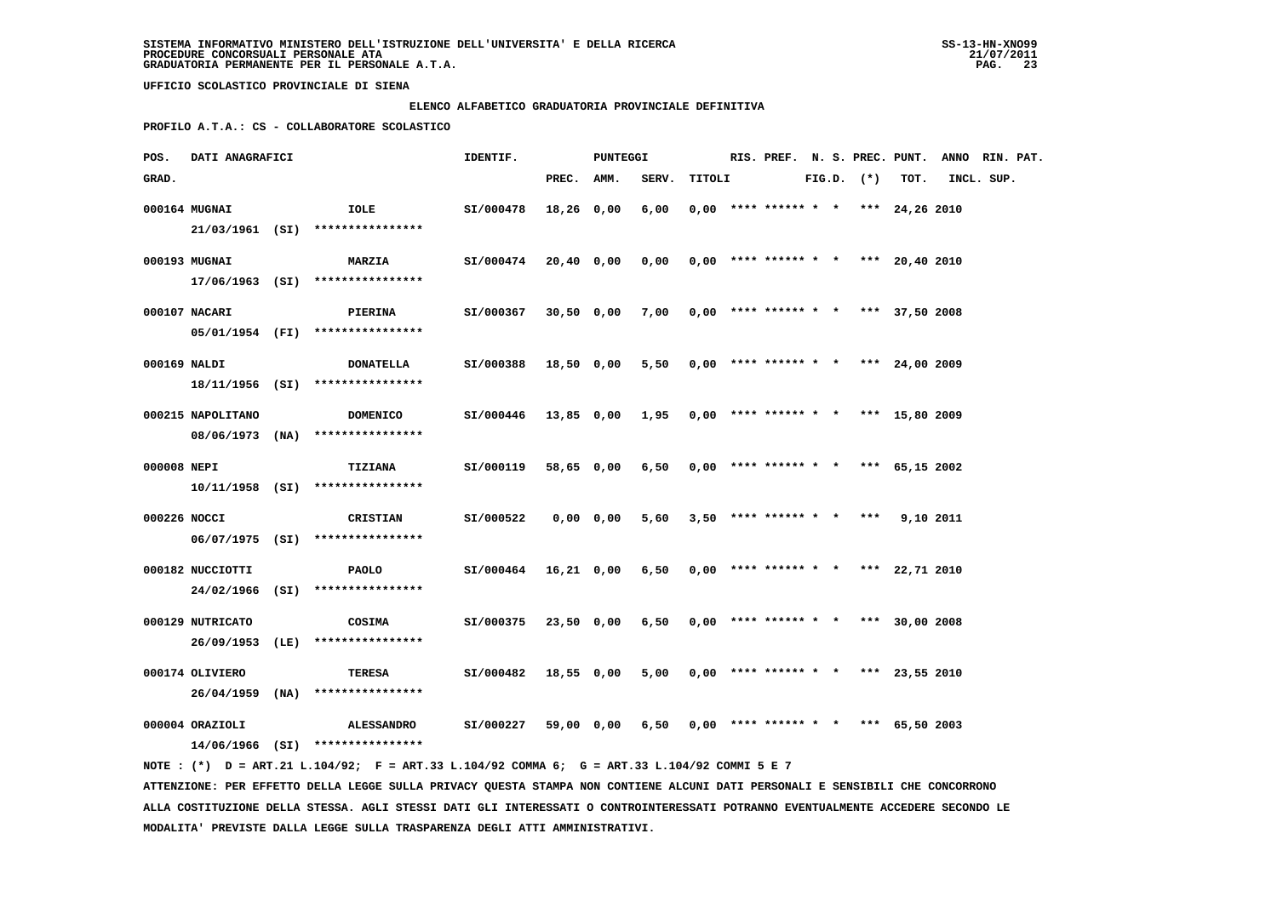#### **ELENCO ALFABETICO GRADUATORIA PROVINCIALE DEFINITIVA**

 **PROFILO A.T.A.: CS - COLLABORATORE SCOLASTICO**

| POS.         | DATI ANAGRAFICI   |                                                                                             | IDENTIF.             |            | <b>PUNTEGGI</b> |                                              |        |  |                                       |  |                |      | RIS. PREF. N. S. PREC. PUNT. ANNO RIN. PAT. |  |
|--------------|-------------------|---------------------------------------------------------------------------------------------|----------------------|------------|-----------------|----------------------------------------------|--------|--|---------------------------------------|--|----------------|------|---------------------------------------------|--|
| GRAD.        |                   |                                                                                             |                      | PREC. AMM. |                 | SERV.                                        | TITOLI |  |                                       |  | $FIG.D.$ $(*)$ | TOT. | INCL. SUP.                                  |  |
|              | 000164 MUGNAI     | IOLE                                                                                        | SI/000478            | 18,26 0,00 |                 | 6,00                                         |        |  | $0,00$ **** ****** * * *** 24,26 2010 |  |                |      |                                             |  |
|              |                   | 21/03/1961 (SI) ****************                                                            |                      |            |                 |                                              |        |  |                                       |  |                |      |                                             |  |
|              | 000193 MUGNAI     | <b>MARZIA</b>                                                                               | SI/000474            |            | 20,40 0,00      | $0,00$ $0,00$ **** ****** * * *** 20,40 2010 |        |  |                                       |  |                |      |                                             |  |
|              |                   | $17/06/1963$ (SI) *****************                                                         |                      |            |                 |                                              |        |  |                                       |  |                |      |                                             |  |
|              | 000107 NACARI     | <b>PIERINA</b>                                                                              | SI/000367            |            | 30,50 0,00      | $7,00$ 0,00 **** ****** * * *** 37,50 2008   |        |  |                                       |  |                |      |                                             |  |
|              |                   | 05/01/1954 (FI) ****************                                                            |                      |            |                 |                                              |        |  |                                       |  |                |      |                                             |  |
| 000169 NALDI |                   | <b>DONATELLA</b>                                                                            | SI/000388            |            | 18,50 0,00      | 5,50                                         |        |  | $0,00$ **** ****** * * *** 24,00 2009 |  |                |      |                                             |  |
|              |                   | 18/11/1956 (SI) ****************                                                            |                      |            |                 |                                              |        |  |                                       |  |                |      |                                             |  |
|              | 000215 NAPOLITANO | <b>DOMENICO</b>                                                                             | SI/000446            |            |                 | 13,85 0,00 1,95                              |        |  | $0,00$ **** ****** * * *** 15,80 2009 |  |                |      |                                             |  |
|              |                   | $08/06/1973$ (NA) *****************                                                         |                      |            |                 |                                              |        |  |                                       |  |                |      |                                             |  |
| 000008 NEPI  |                   | <b>TIZIANA</b>                                                                              | SI/000119            |            | 58,65 0,00      | 6,50                                         |        |  | $0.00$ **** ****** * * *** 65.15 2002 |  |                |      |                                             |  |
|              |                   | $10/11/1958$ (SI) ****************                                                          |                      |            |                 |                                              |        |  |                                       |  |                |      |                                             |  |
| 000226 NOCCI |                   | CRISTIAN                                                                                    | SI/000522            |            | 0,00 0,00       | 5,60                                         |        |  | $3,50$ **** ****** * * *** 9,10 2011  |  |                |      |                                             |  |
|              |                   | 06/07/1975 (SI) ****************                                                            |                      |            |                 |                                              |        |  |                                       |  |                |      |                                             |  |
|              | 000182 NUCCIOTTI  | PAOLO                                                                                       | SI/000464 16,21 0,00 |            |                 | 6,50                                         |        |  | $0,00$ **** ****** * * *** 22,71 2010 |  |                |      |                                             |  |
|              |                   | 24/02/1966 (SI) ****************                                                            |                      |            |                 |                                              |        |  |                                       |  |                |      |                                             |  |
|              | 000129 NUTRICATO  | COSIMA                                                                                      | SI/000375            |            | 23,50 0,00      | $6,50$ 0,00 **** ****** * * *** 30,00 2008   |        |  |                                       |  |                |      |                                             |  |
|              | 26/09/1953 (LE)   | ****************                                                                            |                      |            |                 |                                              |        |  |                                       |  |                |      |                                             |  |
|              | 000174 OLIVIERO   | TERESA                                                                                      | SI/000482            |            | 18,55 0,00      | 5,00                                         |        |  | $0,00$ **** ****** * * *** 23,55 2010 |  |                |      |                                             |  |
|              | 26/04/1959 (NA)   | ****************                                                                            |                      |            |                 |                                              |        |  |                                       |  |                |      |                                             |  |
|              | 000004 ORAZIOLI   | <b>ALESSANDRO</b>                                                                           | SI/000227            |            | 59,00 0,00      | 6,50                                         |        |  | $0,00$ **** ****** * * *** 65,50 2003 |  |                |      |                                             |  |
|              |                   | $14/06/1966$ (SI) ****************                                                          |                      |            |                 |                                              |        |  |                                       |  |                |      |                                             |  |
|              |                   | NOTE: (*) D = ART.21 L.104/92; F = ART.33 L.104/92 COMMA 6; G = ART.33 L.104/92 COMMI 5 E 7 |                      |            |                 |                                              |        |  |                                       |  |                |      |                                             |  |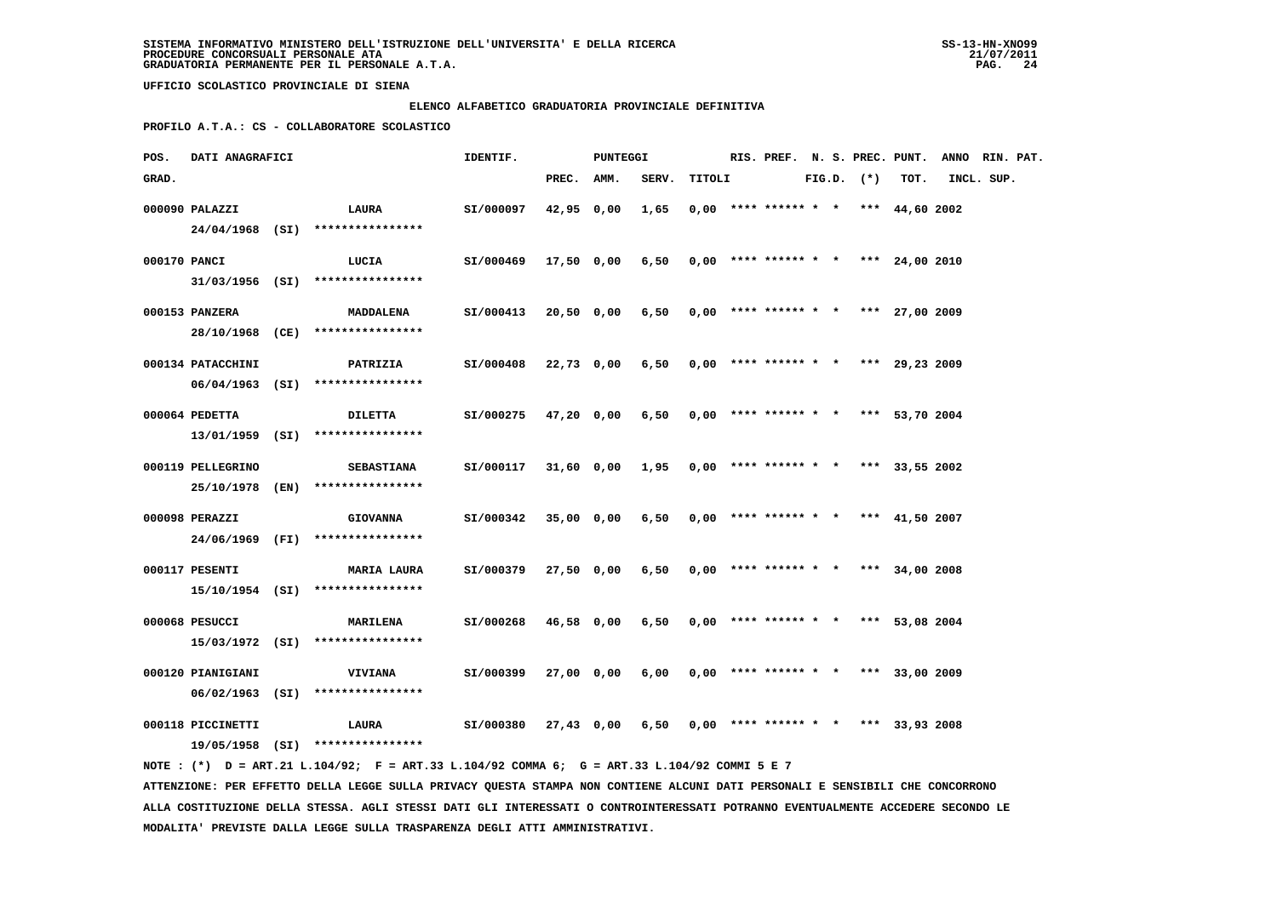#### **ELENCO ALFABETICO GRADUATORIA PROVINCIALE DEFINITIVA**

 **PROFILO A.T.A.: CS - COLLABORATORE SCOLASTICO**

| POS.         | <b>DATI ANAGRAFICI</b> |                                                                                             | IDENTIF.<br>PUNTEGGI |            |            |                                                       |        |  |                                       |  |                |      | RIS. PREF. N. S. PREC. PUNT. ANNO RIN. PAT. |  |
|--------------|------------------------|---------------------------------------------------------------------------------------------|----------------------|------------|------------|-------------------------------------------------------|--------|--|---------------------------------------|--|----------------|------|---------------------------------------------|--|
| GRAD.        |                        |                                                                                             |                      | PREC. AMM. |            | SERV.                                                 | TITOLI |  |                                       |  | $FIG.D.$ $(*)$ | TOT. | INCL. SUP.                                  |  |
|              | 000090 PALAZZI         | <b>LAURA</b>                                                                                | SI/000097            | 42,95 0,00 |            | 1,65                                                  |        |  | $0,00$ **** ****** * * *** 44,60 2002 |  |                |      |                                             |  |
|              |                        | 24/04/1968 (SI) ****************                                                            |                      |            |            |                                                       |        |  |                                       |  |                |      |                                             |  |
| 000170 PANCI |                        | LUCIA                                                                                       | SI/000469            |            |            | $17,50$ 0,00 6,50 0,00 **** ****** * * *** 24,00 2010 |        |  |                                       |  |                |      |                                             |  |
|              |                        | $31/03/1956$ (SI) ****************                                                          |                      |            |            |                                                       |        |  |                                       |  |                |      |                                             |  |
|              | 000153 PANZERA         | <b>MADDALENA</b>                                                                            | SI/000413            |            |            | 20,50 0,00 6,50 0,00 **** ****** * * *** 27,00 2009   |        |  |                                       |  |                |      |                                             |  |
|              |                        | 28/10/1968 (CE) ****************                                                            |                      |            |            |                                                       |        |  |                                       |  |                |      |                                             |  |
|              | 000134 PATACCHINI      | <b>PATRIZIA</b>                                                                             | SI/000408            |            | 22,73 0,00 | $6,50$ 0,00 **** ****** * * *** 29,23 2009            |        |  |                                       |  |                |      |                                             |  |
|              |                        | $06/04/1963$ (SI) ****************                                                          |                      |            |            |                                                       |        |  |                                       |  |                |      |                                             |  |
|              | 000064 PEDETTA         | <b>DILETTA</b>                                                                              | SI/000275            |            | 47,20 0,00 | 6,50                                                  |        |  | $0,00$ **** ****** * * *** 53,70 2004 |  |                |      |                                             |  |
|              |                        | 13/01/1959 (SI) ****************                                                            |                      |            |            |                                                       |        |  |                                       |  |                |      |                                             |  |
|              | 000119 PELLEGRINO      | <b>SEBASTIANA</b>                                                                           | SI/000117            |            |            | 31,60 0,00 1,95                                       |        |  | $0,00$ **** ****** * * *** 33,55 2002 |  |                |      |                                             |  |
|              |                        | 25/10/1978 (EN) ****************                                                            |                      |            |            |                                                       |        |  |                                       |  |                |      |                                             |  |
|              | 000098 PERAZZI         | <b>GIOVANNA</b>                                                                             | SI/000342            |            | 35,00 0,00 | 6,50                                                  |        |  | $0.00$ **** ****** * * *** 41,50 2007 |  |                |      |                                             |  |
|              |                        | 24/06/1969 (FI) ****************                                                            |                      |            |            |                                                       |        |  |                                       |  |                |      |                                             |  |
|              | 000117 PESENTI         | <b>MARIA LAURA</b>                                                                          | SI/000379            |            | 27,50 0,00 | $6,50$ 0,00 **** ****** * * *** 34,00 2008            |        |  |                                       |  |                |      |                                             |  |
|              |                        | 15/10/1954 (SI) *****************                                                           |                      |            |            |                                                       |        |  |                                       |  |                |      |                                             |  |
|              |                        |                                                                                             |                      |            |            |                                                       |        |  |                                       |  |                |      |                                             |  |
|              | 000068 PESUCCI         | <b>MARILENA</b>                                                                             | SI/000268            |            | 46,58 0,00 | 6,50                                                  |        |  | $0,00$ **** ****** * * *** 53,08 2004 |  |                |      |                                             |  |
|              |                        | $15/03/1972$ (SI) ****************                                                          |                      |            |            |                                                       |        |  |                                       |  |                |      |                                             |  |
|              | 000120 PIANIGIANI      | <b>VIVIANA</b>                                                                              | SI/000399            |            | 27,00 0,00 | $6,00$ 0,00 **** ****** * * *** 33,00 2009            |        |  |                                       |  |                |      |                                             |  |
|              |                        | $06/02/1963$ (SI) ****************                                                          |                      |            |            |                                                       |        |  |                                       |  |                |      |                                             |  |
|              | 000118 PICCINETTI      | LAURA                                                                                       | SI/000380            |            |            | 27,43 0,00 6,50 0,00 **** ****** * * *** 33,93 2008   |        |  |                                       |  |                |      |                                             |  |
|              |                        | 19/05/1958 (SI) ****************                                                            |                      |            |            |                                                       |        |  |                                       |  |                |      |                                             |  |
|              |                        | NOTE: (*) D = ART.21 L.104/92; F = ART.33 L.104/92 COMMA 6; G = ART.33 L.104/92 COMMI 5 E 7 |                      |            |            |                                                       |        |  |                                       |  |                |      |                                             |  |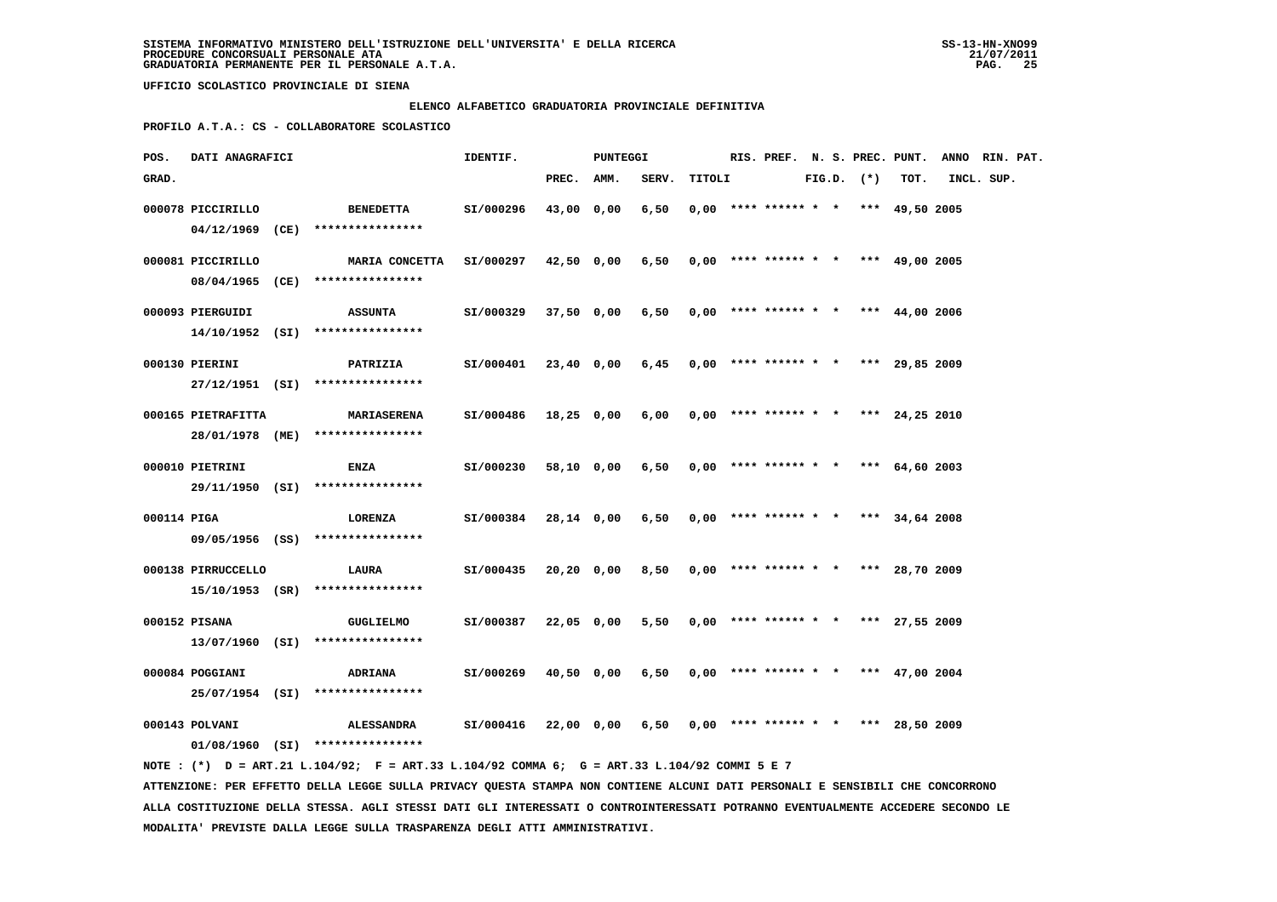#### **ELENCO ALFABETICO GRADUATORIA PROVINCIALE DEFINITIVA**

 **PROFILO A.T.A.: CS - COLLABORATORE SCOLASTICO**

| POS.        | DATI ANAGRAFICI    |                                                                                             | IDENTIF.  |            | PUNTEGGI   |                                            |        |  |                                       |  |                |      | RIS. PREF. N. S. PREC. PUNT. ANNO RIN. PAT. |  |
|-------------|--------------------|---------------------------------------------------------------------------------------------|-----------|------------|------------|--------------------------------------------|--------|--|---------------------------------------|--|----------------|------|---------------------------------------------|--|
| GRAD.       |                    |                                                                                             |           | PREC. AMM. |            | SERV.                                      | TITOLI |  |                                       |  | $FIG.D.$ $(*)$ | TOT. | INCL. SUP.                                  |  |
|             | 000078 PICCIRILLO  | <b>BENEDETTA</b><br>04/12/1969 (CE) ****************                                        | SI/000296 | 43,00 0,00 |            | 6,50                                       |        |  | $0.00$ **** ****** * * *** 49,50 2005 |  |                |      |                                             |  |
|             | 000081 PICCIRILLO  | MARIA CONCETTA SI/000297<br>08/04/1965 (CE) ****************                                |           |            | 42,50 0,00 | 6,50                                       |        |  | $0,00$ **** ****** * * *** 49,00 2005 |  |                |      |                                             |  |
|             | 000093 PIERGUIDI   | <b>ASSUNTA</b><br>$14/10/1952$ (SI) *****************                                       | SI/000329 |            | 37,50 0,00 | 6,50                                       |        |  | $0,00$ **** ****** * * *** 44,00 2006 |  |                |      |                                             |  |
|             | 000130 PIERINI     | <b>PATRIZIA</b>                                                                             | SI/000401 |            | 23,40 0,00 | 6,45                                       |        |  | $0,00$ **** ****** * * *** 29,85 2009 |  |                |      |                                             |  |
|             | 000165 PIETRAFITTA | 27/12/1951 (SI) ****************<br><b>MARIASERENA</b>                                      | SI/000486 |            | 18,25 0,00 | 6,00                                       |        |  | $0,00$ **** ****** * * *** 24,25 2010 |  |                |      |                                             |  |
|             | 000010 PIETRINI    | 28/01/1978 (ME) ****************<br><b>ENZA</b>                                             | SI/000230 |            | 58,10 0,00 | 6,50                                       |        |  | $0,00$ **** ****** * * *** 64,60 2003 |  |                |      |                                             |  |
| 000114 PIGA |                    | 29/11/1950 (SI) ****************<br><b>LORENZA</b>                                          | SI/000384 |            | 28,14 0,00 | 6,50                                       |        |  | $0.00$ **** ****** * * *** 34,64 2008 |  |                |      |                                             |  |
|             |                    | 09/05/1956 (SS) ****************                                                            |           |            |            |                                            |        |  |                                       |  |                |      |                                             |  |
|             | 000138 PIRRUCCELLO | LAURA<br>$15/10/1953$ (SR) ****************                                                 | SI/000435 |            | 20,20 0,00 | 8,50                                       |        |  | $0,00$ **** ****** * * *** 28,70 2009 |  |                |      |                                             |  |
|             | 000152 PISANA      | <b>GUGLIELMO</b><br>$13/07/1960$ (SI) ****************                                      | SI/000387 |            | 22,05 0,00 | 5,50                                       |        |  | $0,00$ **** ****** * * *** 27,55 2009 |  |                |      |                                             |  |
|             | 000084 POGGIANI    | <b>ADRIANA</b><br>25/07/1954 (SI) ****************                                          | SI/000269 |            | 40,50 0,00 | $6,50$ 0,00 **** ****** * * *** 47,00 2004 |        |  |                                       |  |                |      |                                             |  |
|             | 000143 POLVANI     | <b>ALESSANDRA</b><br>$01/08/1960$ (SI) ****************                                     | SI/000416 |            | 22,00 0,00 | $6,50$ 0,00 **** ****** * * *** 28,50 2009 |        |  |                                       |  |                |      |                                             |  |
|             |                    | NOTE: (*) D = ART.21 L.104/92; F = ART.33 L.104/92 COMMA 6; G = ART.33 L.104/92 COMMI 5 E 7 |           |            |            |                                            |        |  |                                       |  |                |      |                                             |  |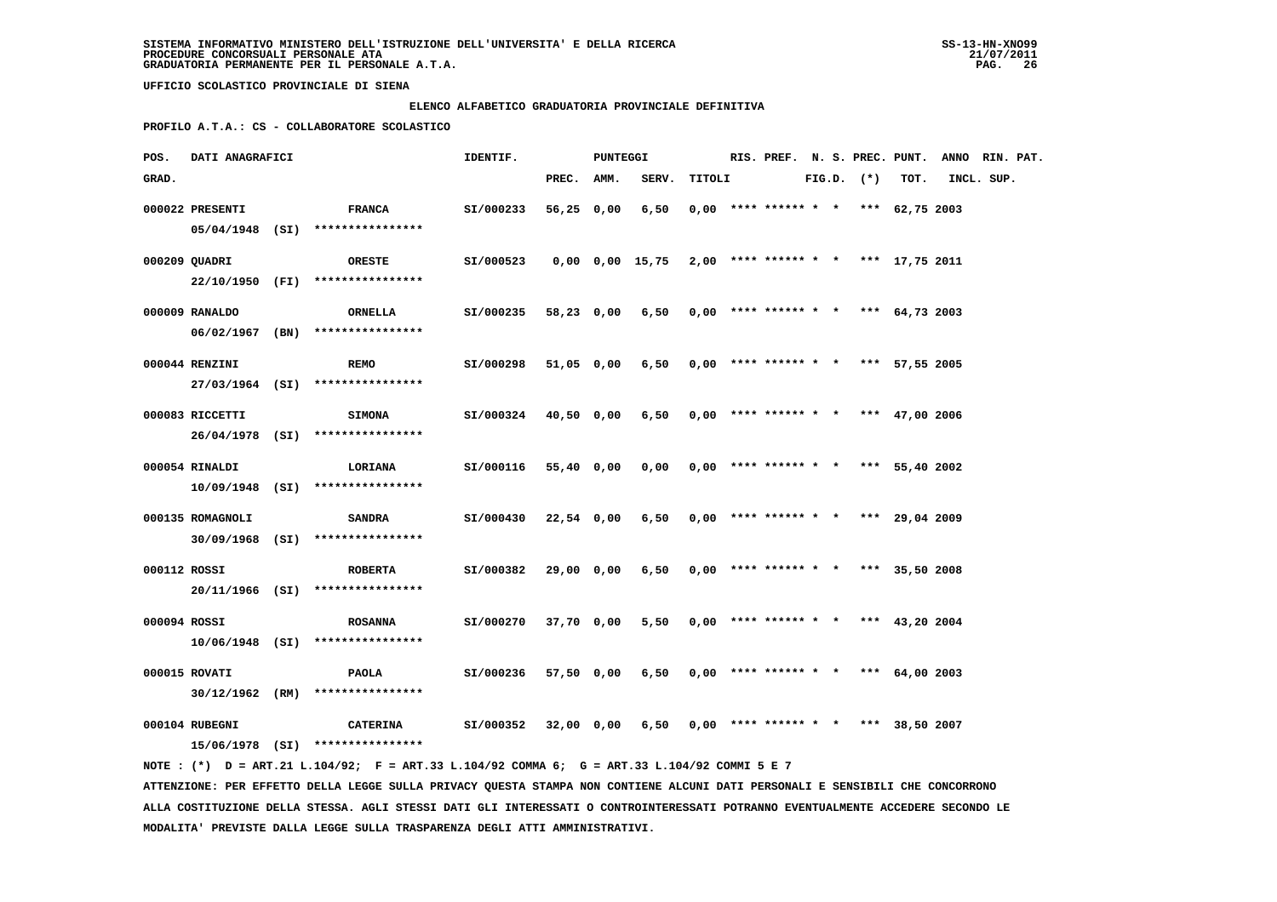#### **ELENCO ALFABETICO GRADUATORIA PROVINCIALE DEFINITIVA**

 **PROFILO A.T.A.: CS - COLLABORATORE SCOLASTICO**

| POS.         | DATI ANAGRAFICI  |  |                                                     | IDENTIF.<br><b>PUNTEGGI</b> |            |  |                                                             |        |                                       |  |                | RIS. PREF. N. S. PREC. PUNT. ANNO RIN. PAT. |            |  |
|--------------|------------------|--|-----------------------------------------------------|-----------------------------|------------|--|-------------------------------------------------------------|--------|---------------------------------------|--|----------------|---------------------------------------------|------------|--|
| GRAD.        |                  |  |                                                     |                             | PREC. AMM. |  | SERV.                                                       | TITOLI |                                       |  | $FIG.D.$ $(*)$ | TOT.                                        | INCL. SUP. |  |
|              | 000022 PRESENTI  |  | <b>FRANCA</b><br>05/04/1948 (SI) ****************   | SI/000233                   | 56,25 0,00 |  | 6,50                                                        |        | $0,00$ **** ****** * * *** 62,75 2003 |  |                |                                             |            |  |
|              | 000209 QUADRI    |  | ORESTE<br>22/10/1950 (FI) ****************          | SI/000523                   |            |  | $0,00$ $0,00$ $15,75$ $2,00$ **** ****** * * *** 17,75 2011 |        |                                       |  |                |                                             |            |  |
|              | 000009 RANALDO   |  | ORNELLA<br>$06/02/1967$ (BN) *****************      | SI/000235                   | 58,23 0,00 |  | 6,50                                                        |        | $0,00$ **** ****** * * *** 64,73 2003 |  |                |                                             |            |  |
|              | 000044 RENZINI   |  | <b>REMO</b>                                         | SI/000298                   | 51,05 0,00 |  | 6,50                                                        |        | $0,00$ **** ****** * * *** 57,55 2005 |  |                |                                             |            |  |
|              | 000083 RICCETTI  |  | 27/03/1964 (SI) ****************<br><b>SIMONA</b>   | SI/000324                   | 40,50 0,00 |  | 6,50                                                        |        | $0,00$ **** ****** * * *** 47,00 2006 |  |                |                                             |            |  |
|              | 000054 RINALDI   |  | 26/04/1978 (SI) ****************<br><b>LORIANA</b>  | SI/000116                   | 55,40 0,00 |  | 0,00                                                        |        | $0,00$ **** ****** * * *** 55,40 2002 |  |                |                                             |            |  |
|              | 000135 ROMAGNOLI |  | 10/09/1948 (SI) ****************<br><b>SANDRA</b>   | SI/000430                   | 22,54 0,00 |  | 6,50                                                        |        | $0,00$ **** ****** * * *** 29,04 2009 |  |                |                                             |            |  |
| 000112 ROSSI |                  |  | 30/09/1968 (SI) ****************<br><b>ROBERTA</b>  | SI/000382                   | 29,00 0,00 |  | 6,50                                                        |        | $0,00$ **** ****** * * *** 35,50 2008 |  |                |                                             |            |  |
| 000094 ROSSI |                  |  | 20/11/1966 (SI) ****************<br><b>ROSANNA</b>  | SI/000270                   | 37,70 0,00 |  | 5,50                                                        |        | $0,00$ **** ****** * * *** 43,20 2004 |  |                |                                             |            |  |
|              | 000015 ROVATI    |  | $10/06/1948$ (SI) ****************<br>PAOLA         | SI/000236                   | 57,50 0,00 |  | 6,50                                                        |        | $0,00$ **** ****** * * *** 64,00 2003 |  |                |                                             |            |  |
|              |                  |  | $30/12/1962$ (RM) *****************                 |                             |            |  |                                                             |        |                                       |  |                |                                             |            |  |
|              | 000104 RUBEGNI   |  | <b>CATERINA</b><br>15/06/1978 (SI) **************** | SI/000352                   | 32,00 0,00 |  | 6,50                                                        |        | $0,00$ **** ****** * * *** 38,50 2007 |  |                |                                             |            |  |

 **NOTE : (\*) D = ART.21 L.104/92; F = ART.33 L.104/92 COMMA 6; G = ART.33 L.104/92 COMMI 5 E 7 ATTENZIONE: PER EFFETTO DELLA LEGGE SULLA PRIVACY QUESTA STAMPA NON CONTIENE ALCUNI DATI PERSONALI E SENSIBILI CHE CONCORRONO ALLA COSTITUZIONE DELLA STESSA. AGLI STESSI DATI GLI INTERESSATI O CONTROINTERESSATI POTRANNO EVENTUALMENTE ACCEDERE SECONDO LE MODALITA' PREVISTE DALLA LEGGE SULLA TRASPARENZA DEGLI ATTI AMMINISTRATIVI.**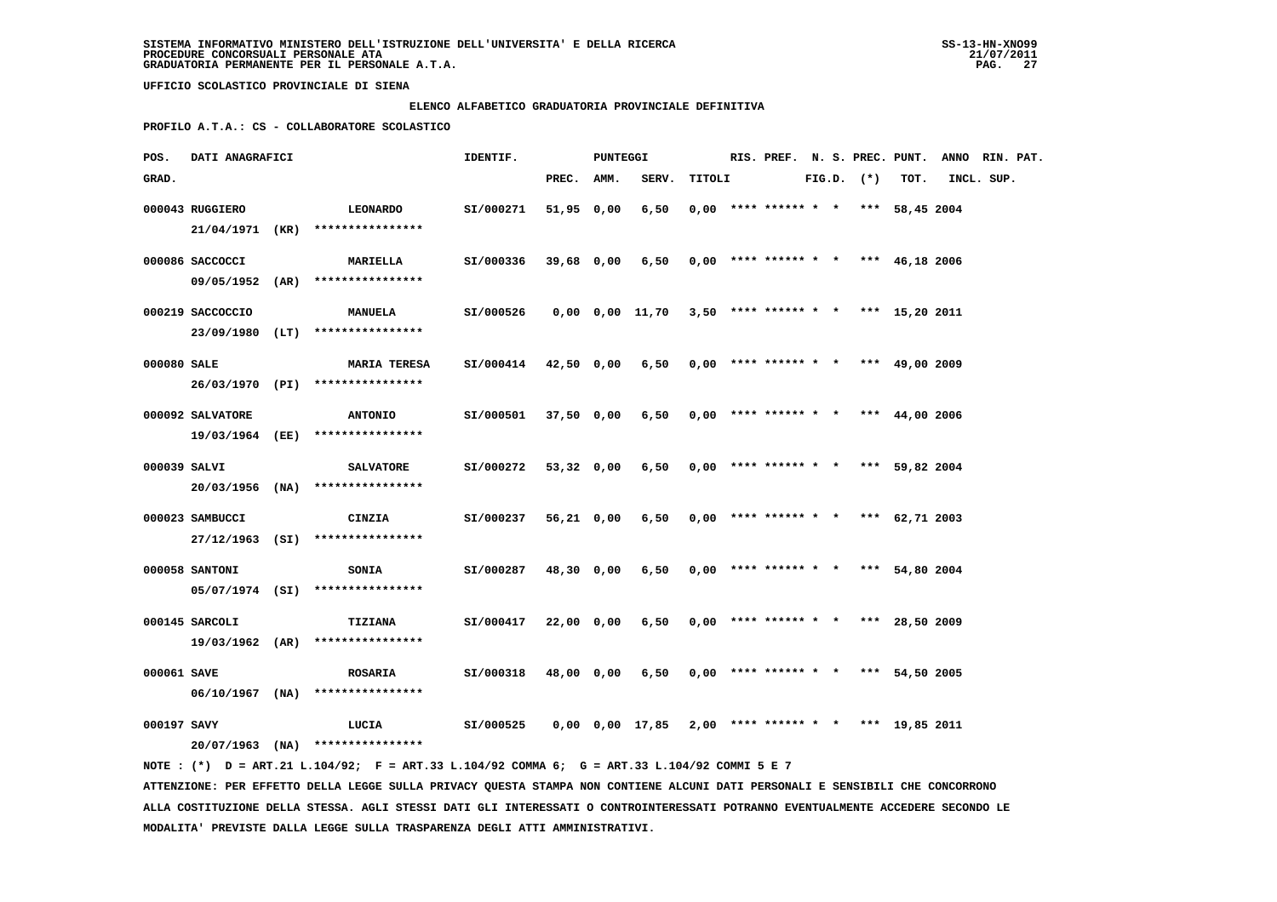#### **ELENCO ALFABETICO GRADUATORIA PROVINCIALE DEFINITIVA**

 **PROFILO A.T.A.: CS - COLLABORATORE SCOLASTICO**

| POS.         | <b>DATI ANAGRAFICI</b> | PUNTEGGI<br>IDENTIF.                                                                        |                                                             |            |  |                                                           |        |                                       |  |  |                | RIS. PREF. N. S. PREC. PUNT. ANNO RIN. PAT. |            |  |
|--------------|------------------------|---------------------------------------------------------------------------------------------|-------------------------------------------------------------|------------|--|-----------------------------------------------------------|--------|---------------------------------------|--|--|----------------|---------------------------------------------|------------|--|
| GRAD.        |                        |                                                                                             |                                                             | PREC. AMM. |  | SERV.                                                     | TITOLI |                                       |  |  | $FIG.D.$ $(*)$ | тот.                                        | INCL. SUP. |  |
|              | 000043 RUGGIERO        | <b>LEONARDO</b>                                                                             | SI/000271                                                   | 51,95 0,00 |  | 6,50                                                      |        | $0.00$ **** ****** * * *** 58.45 2004 |  |  |                |                                             |            |  |
|              |                        | $21/04/1971$ (KR) ****************                                                          |                                                             |            |  |                                                           |        |                                       |  |  |                |                                             |            |  |
|              | 000086 SACCOCCI        | <b>MARIELLA</b>                                                                             | SI/000336                                                   |            |  | 39,68 0,00 6,50                                           |        | $0,00$ **** ****** * * *** 46,18 2006 |  |  |                |                                             |            |  |
|              |                        | 09/05/1952 (AR) ****************                                                            |                                                             |            |  |                                                           |        |                                       |  |  |                |                                             |            |  |
|              | 000219 SACCOCCIO       | <b>MANUELA</b>                                                                              | SI/000526                                                   |            |  | 0,00 0,00 11,70 3,50 **** ****** * * *** 15,20 2011       |        |                                       |  |  |                |                                             |            |  |
|              |                        | 23/09/1980 (LT) ****************                                                            |                                                             |            |  |                                                           |        |                                       |  |  |                |                                             |            |  |
| 000080 SALE  |                        | <b>MARIA TERESA</b>                                                                         | SI/000414 42,50 0,00 6,50 0,00 **** ****** * *** 49,00 2009 |            |  |                                                           |        |                                       |  |  |                |                                             |            |  |
|              |                        | 26/03/1970 (PI) ****************                                                            |                                                             |            |  |                                                           |        |                                       |  |  |                |                                             |            |  |
|              | 000092 SALVATORE       | <b>ANTONIO</b>                                                                              | SI/000501                                                   | 37,50 0,00 |  | 6,50                                                      |        | $0,00$ **** ****** * * *** 44,00 2006 |  |  |                |                                             |            |  |
|              |                        | 19/03/1964 (EE) ****************                                                            |                                                             |            |  |                                                           |        |                                       |  |  |                |                                             |            |  |
| 000039 SALVI |                        | <b>SALVATORE</b>                                                                            | SI/000272                                                   | 53,32 0,00 |  | 6,50                                                      |        | $0,00$ **** ****** * * *** 59,82 2004 |  |  |                |                                             |            |  |
|              |                        | 20/03/1956 (NA) ****************                                                            |                                                             |            |  |                                                           |        |                                       |  |  |                |                                             |            |  |
|              | 000023 SAMBUCCI        | <b>CINZIA</b>                                                                               | SI/000237                                                   | 56,21 0,00 |  | 6,50                                                      |        | $0,00$ **** ****** * * *** 62,71 2003 |  |  |                |                                             |            |  |
|              |                        | 27/12/1963 (SI) ****************                                                            |                                                             |            |  |                                                           |        |                                       |  |  |                |                                             |            |  |
|              | 000058 SANTONI         | <b>SONIA</b>                                                                                | SI/000287                                                   | 48,30 0,00 |  | 6,50                                                      |        | $0,00$ **** ****** * * *** 54,80 2004 |  |  |                |                                             |            |  |
|              |                        | $05/07/1974$ (SI) ****************                                                          |                                                             |            |  |                                                           |        |                                       |  |  |                |                                             |            |  |
|              | 000145 SARCOLI         | TIZIANA                                                                                     | SI/000417                                                   | 22,00 0,00 |  | 6,50                                                      |        | $0,00$ **** ****** * * *** 28,50 2009 |  |  |                |                                             |            |  |
|              |                        | 19/03/1962 (AR) ****************                                                            |                                                             |            |  |                                                           |        |                                       |  |  |                |                                             |            |  |
| 000061 SAVE  |                        | <b>ROSARIA</b>                                                                              | SI/000318                                                   | 48,00 0,00 |  | 6,50                                                      |        | $0,00$ **** ****** * * *** 54,50 2005 |  |  |                |                                             |            |  |
|              |                        | $06/10/1967$ (NA) ****************                                                          |                                                             |            |  |                                                           |        |                                       |  |  |                |                                             |            |  |
| 000197 SAVY  |                        | LUCIA                                                                                       | SI/000525                                                   |            |  | $0,00$ $0,00$ $17,85$ $2,00$ **** ****** * *** 19,85 2011 |        |                                       |  |  |                |                                             |            |  |
|              |                        | $20/07/1963$ (NA) ****************                                                          |                                                             |            |  |                                                           |        |                                       |  |  |                |                                             |            |  |
|              |                        | NOTE: (*) D = ART.21 L.104/92; F = ART.33 L.104/92 COMMA 6; G = ART.33 L.104/92 COMMI 5 E 7 |                                                             |            |  |                                                           |        |                                       |  |  |                |                                             |            |  |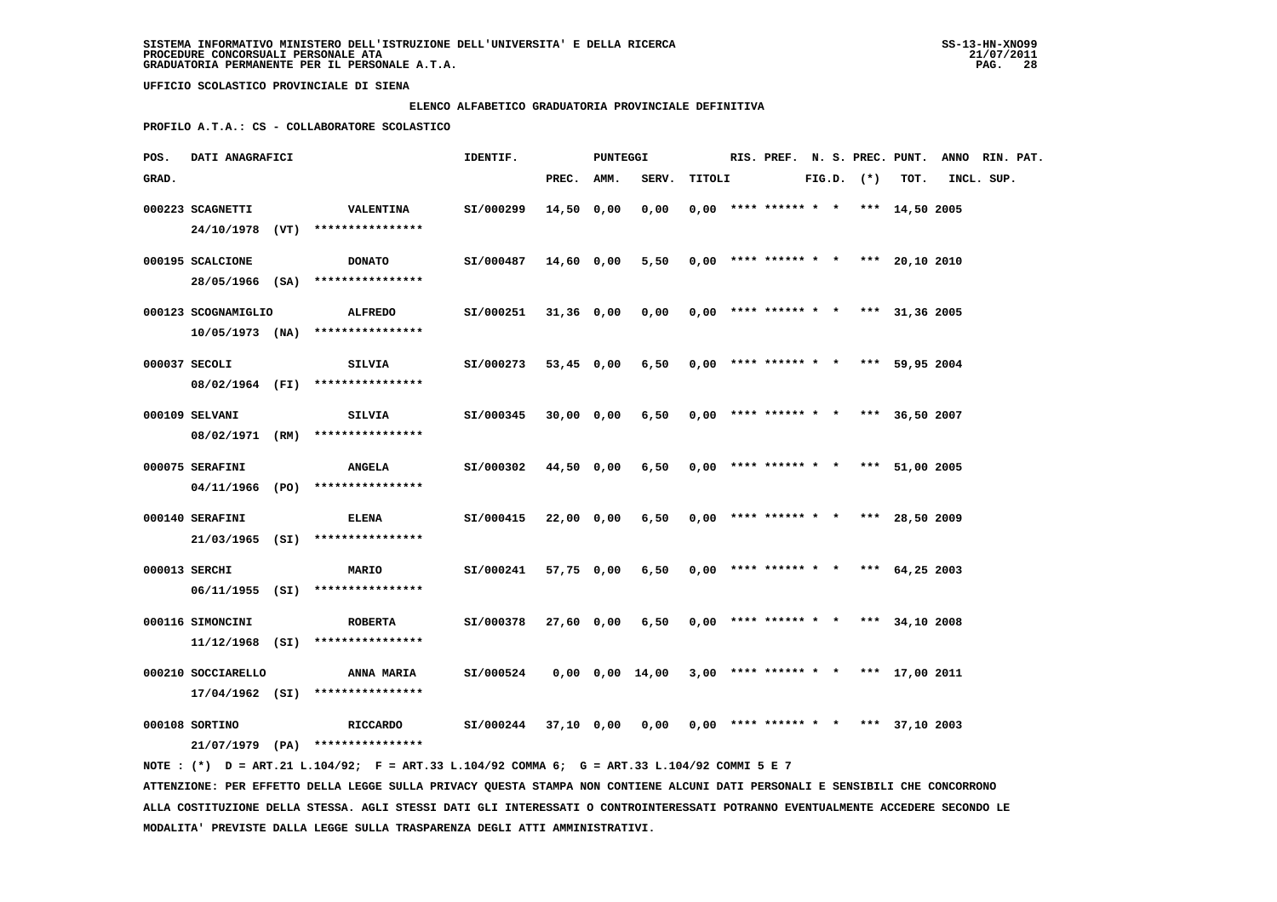#### **ELENCO ALFABETICO GRADUATORIA PROVINCIALE DEFINITIVA**

 **PROFILO A.T.A.: CS - COLLABORATORE SCOLASTICO**

| POS.  | DATI ANAGRAFICI     | IDENTIF. | PUNTEGGI                                                                                    |                                                               |            |  |                                            |        |                                       |  | RIS. PREF. N. S. PREC. PUNT. ANNO RIN. PAT. |      |            |  |
|-------|---------------------|----------|---------------------------------------------------------------------------------------------|---------------------------------------------------------------|------------|--|--------------------------------------------|--------|---------------------------------------|--|---------------------------------------------|------|------------|--|
| GRAD. |                     |          |                                                                                             |                                                               | PREC. AMM. |  | SERV.                                      | TITOLI |                                       |  | $FIG.D.$ $(*)$                              | TOT. | INCL. SUP. |  |
|       | 000223 SCAGNETTI    |          | <b>VALENTINA</b><br>24/10/1978 (VT) ****************                                        | SI/000299                                                     | 14,50 0,00 |  | 0,00                                       |        | $0,00$ **** ****** * * *** 14,50 2005 |  |                                             |      |            |  |
|       |                     |          |                                                                                             |                                                               |            |  |                                            |        |                                       |  |                                             |      |            |  |
|       | 000195 SCALCIONE    |          | <b>DONATO</b><br>28/05/1966 (SA) *****************                                          | SI/000487                                                     | 14,60 0,00 |  | $5,50$ 0,00 **** ****** * * *** 20,10 2010 |        |                                       |  |                                             |      |            |  |
|       | 000123 SCOGNAMIGLIO |          | <b>ALFREDO</b>                                                                              | SI/000251                                                     | 31,36 0,00 |  | 0,00                                       |        | $0,00$ **** ****** * * *** 31,36 2005 |  |                                             |      |            |  |
|       |                     |          | $10/05/1973$ (NA) *****************                                                         |                                                               |            |  |                                            |        |                                       |  |                                             |      |            |  |
|       | 000037 SECOLI       |          | SILVIA                                                                                      | SI/000273                                                     | 53,45 0,00 |  | $6,50$ 0,00 **** ****** * * *** 59,95 2004 |        |                                       |  |                                             |      |            |  |
|       |                     |          | 08/02/1964 (FI) ****************                                                            |                                                               |            |  |                                            |        |                                       |  |                                             |      |            |  |
|       | 000109 SELVANI      |          | SILVIA<br>08/02/1971 (RM) ****************                                                  | SI/000345                                                     | 30,00 0,00 |  | 6,50                                       |        | $0.00$ **** ****** * * *** 36.50 2007 |  |                                             |      |            |  |
|       |                     |          |                                                                                             |                                                               |            |  |                                            |        |                                       |  |                                             |      |            |  |
|       | 000075 SERAFINI     |          | <b>ANGELA</b><br>$04/11/1966$ (PO) ****************                                         | SI/000302                                                     | 44,50 0,00 |  | 6,50                                       |        | $0,00$ **** ****** * * *** 51,00 2005 |  |                                             |      |            |  |
|       | 000140 SERAFINI     |          | <b>ELENA</b>                                                                                | SI/000415                                                     | 22,00 0,00 |  | 6,50                                       |        | $0,00$ **** ****** * * *** 28,50 2009 |  |                                             |      |            |  |
|       |                     |          | $21/03/1965$ (SI) *****************                                                         |                                                               |            |  |                                            |        |                                       |  |                                             |      |            |  |
|       | 000013 SERCHI       |          | <b>MARIO</b>                                                                                | SI/000241                                                     | 57,75 0,00 |  | 6,50                                       |        | $0,00$ **** ****** * * *** 64,25 2003 |  |                                             |      |            |  |
|       |                     |          | 06/11/1955 (SI) ****************                                                            |                                                               |            |  |                                            |        |                                       |  |                                             |      |            |  |
|       | 000116 SIMONCINI    |          | <b>ROBERTA</b><br>$11/12/1968$ (SI) *****************                                       | SI/000378                                                     | 27,60 0,00 |  | 6,50                                       |        | $0,00$ **** ****** * * *** 34,10 2008 |  |                                             |      |            |  |
|       | 000210 SOCCIARELLO  |          | <b>ANNA MARIA</b>                                                                           | SI/000524                                                     |            |  | 0,00 0,00 14,00                            |        | $3,00$ **** ****** * * *** 17,00 2011 |  |                                             |      |            |  |
|       |                     |          | 17/04/1962 (SI) ****************                                                            |                                                               |            |  |                                            |        |                                       |  |                                             |      |            |  |
|       | 000108 SORTINO      |          | RICCARDO                                                                                    | $SI/000244$ 37,10 0,00 0,00 0,00 **** ****** * *** 37,10 2003 |            |  |                                            |        |                                       |  |                                             |      |            |  |
|       |                     |          | 21/07/1979 (PA) ****************                                                            |                                                               |            |  |                                            |        |                                       |  |                                             |      |            |  |
|       |                     |          | NOTE: (*) D = ART.21 L.104/92; F = ART.33 L.104/92 COMMA 6; G = ART.33 L.104/92 COMMI 5 E 7 |                                                               |            |  |                                            |        |                                       |  |                                             |      |            |  |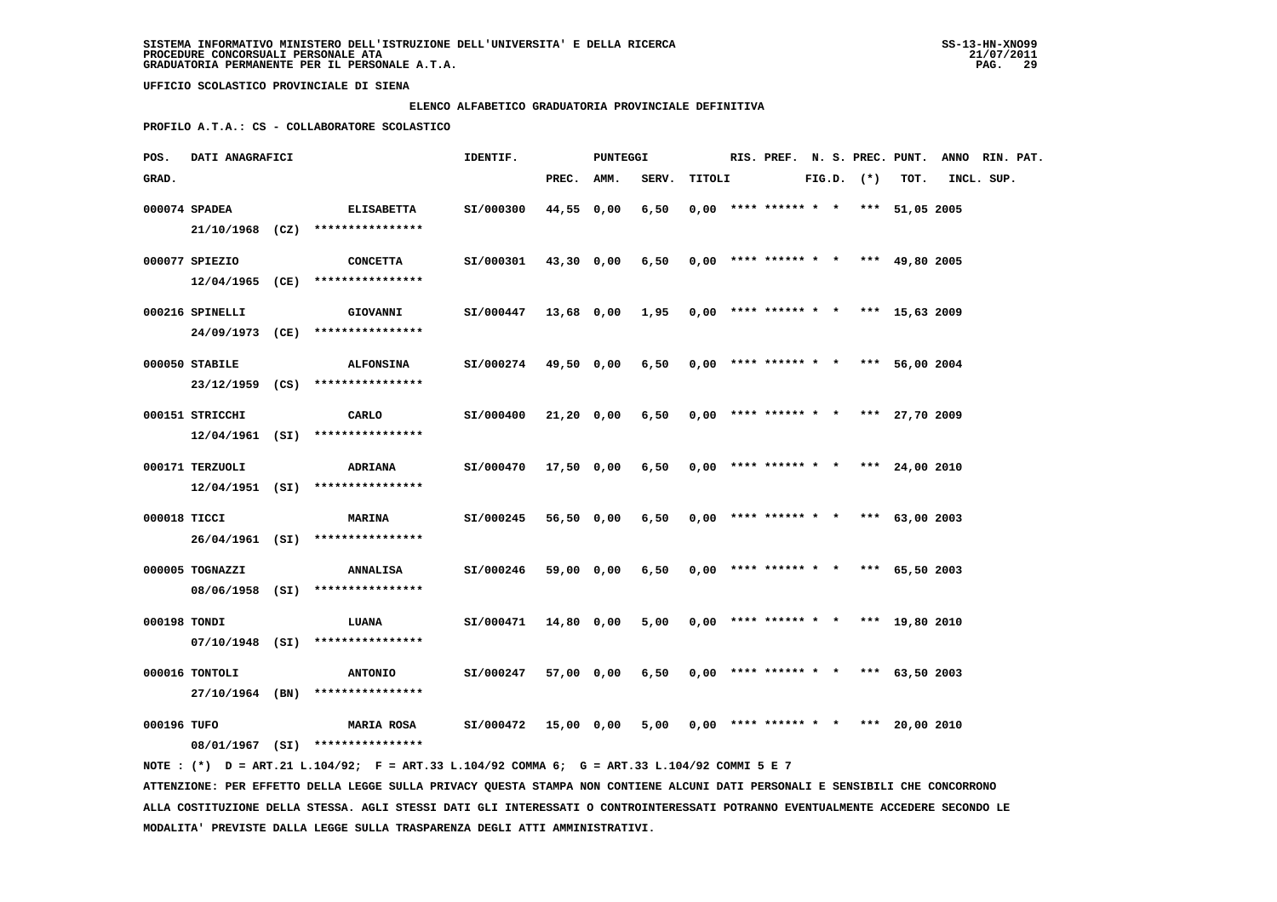#### **ELENCO ALFABETICO GRADUATORIA PROVINCIALE DEFINITIVA**

 **PROFILO A.T.A.: CS - COLLABORATORE SCOLASTICO**

| POS.         | <b>DATI ANAGRAFICI</b> | PUNTEGGI<br>IDENTIF.                                                                        |                      |            |            |                                                     |        |  |                                       |  | RIS. PREF. N. S. PREC. PUNT. ANNO RIN. PAT. |      |            |  |
|--------------|------------------------|---------------------------------------------------------------------------------------------|----------------------|------------|------------|-----------------------------------------------------|--------|--|---------------------------------------|--|---------------------------------------------|------|------------|--|
| GRAD.        |                        |                                                                                             |                      | PREC. AMM. |            | SERV.                                               | TITOLI |  |                                       |  | $FIG.D.$ $(*)$                              | тот. | INCL. SUP. |  |
|              | 000074 SPADEA          | <b>ELISABETTA</b>                                                                           | SI/000300            | 44,55 0,00 |            | 6,50                                                |        |  | $0,00$ **** ****** * * *** 51,05 2005 |  |                                             |      |            |  |
|              |                        | 21/10/1968 (CZ) ****************                                                            |                      |            |            |                                                     |        |  |                                       |  |                                             |      |            |  |
|              | 000077 SPIEZIO         | CONCETTA                                                                                    | SI/000301            |            | 43,30 0,00 | 6,50                                                |        |  | $0,00$ **** ****** * * *** 49,80 2005 |  |                                             |      |            |  |
|              |                        | $12/04/1965$ (CE) ****************                                                          |                      |            |            |                                                     |        |  |                                       |  |                                             |      |            |  |
|              | 000216 SPINELLI        | <b>GIOVANNI</b>                                                                             | SI/000447            |            |            | 13,68 0,00 1,95 0,00 **** ****** * * *** 15,63 2009 |        |  |                                       |  |                                             |      |            |  |
|              |                        | 24/09/1973 (CE) ****************                                                            |                      |            |            |                                                     |        |  |                                       |  |                                             |      |            |  |
|              | 000050 STABILE         |                                                                                             | SI/000274 49,50 0,00 |            |            | $6,50$ 0,00 **** ****** * * *** 56,00 2004          |        |  |                                       |  |                                             |      |            |  |
|              |                        | <b>ALFONSINA</b><br>23/12/1959 (CS) ****************                                        |                      |            |            |                                                     |        |  |                                       |  |                                             |      |            |  |
|              |                        |                                                                                             |                      |            |            |                                                     |        |  |                                       |  |                                             |      |            |  |
|              | 000151 STRICCHI        | CARLO                                                                                       | SI/000400            |            | 21,20 0,00 | 6,50                                                |        |  | $0,00$ **** ****** * * *** 27,70 2009 |  |                                             |      |            |  |
|              |                        | $12/04/1961$ (SI) ****************                                                          |                      |            |            |                                                     |        |  |                                       |  |                                             |      |            |  |
|              | 000171 TERZUOLI        | <b>ADRIANA</b>                                                                              | SI/000470            |            | 17,50 0,00 | 6,50                                                |        |  | $0,00$ **** ****** * * *** 24,00 2010 |  |                                             |      |            |  |
|              |                        | $12/04/1951$ (SI) *****************                                                         |                      |            |            |                                                     |        |  |                                       |  |                                             |      |            |  |
| 000018 TICCI |                        | <b>MARINA</b>                                                                               | SI/000245            |            | 56,50 0,00 | 6,50                                                |        |  | $0,00$ **** ****** * * *** 63,00 2003 |  |                                             |      |            |  |
|              |                        | 26/04/1961 (SI) ****************                                                            |                      |            |            |                                                     |        |  |                                       |  |                                             |      |            |  |
|              |                        |                                                                                             |                      |            |            |                                                     |        |  |                                       |  |                                             |      |            |  |
|              | 000005 TOGNAZZI        | <b>ANNALISA</b>                                                                             | SI/000246            |            | 59,00 0,00 | 6,50                                                |        |  | $0,00$ **** ****** * * *** 65,50 2003 |  |                                             |      |            |  |
|              |                        | 08/06/1958 (SI) ****************                                                            |                      |            |            |                                                     |        |  |                                       |  |                                             |      |            |  |
| 000198 TONDI |                        | LUANA                                                                                       | SI/000471            |            | 14,80 0,00 | 5,00                                                |        |  | $0,00$ **** ****** * * *** 19,80 2010 |  |                                             |      |            |  |
|              |                        | $07/10/1948$ (SI) ****************                                                          |                      |            |            |                                                     |        |  |                                       |  |                                             |      |            |  |
|              | 000016 TONTOLI         | <b>ANTONIO</b>                                                                              | SI/000247            |            | 57,00 0,00 | 6,50                                                |        |  | $0,00$ **** ****** * * *** 63,50 2003 |  |                                             |      |            |  |
|              |                        | 27/10/1964 (BN) ****************                                                            |                      |            |            |                                                     |        |  |                                       |  |                                             |      |            |  |
|              |                        |                                                                                             |                      |            |            |                                                     |        |  |                                       |  |                                             |      |            |  |
| 000196 TUFO  |                        | <b>MARIA ROSA</b>                                                                           | SI/000472            |            | 15,00 0,00 | 5,00                                                |        |  | $0,00$ **** ****** * * *** 20,00 2010 |  |                                             |      |            |  |
|              |                        | 08/01/1967 (SI) ****************                                                            |                      |            |            |                                                     |        |  |                                       |  |                                             |      |            |  |
|              |                        | NOTE: (*) D = ART.21 L.104/92; F = ART.33 L.104/92 COMMA 6; G = ART.33 L.104/92 COMMI 5 E 7 |                      |            |            |                                                     |        |  |                                       |  |                                             |      |            |  |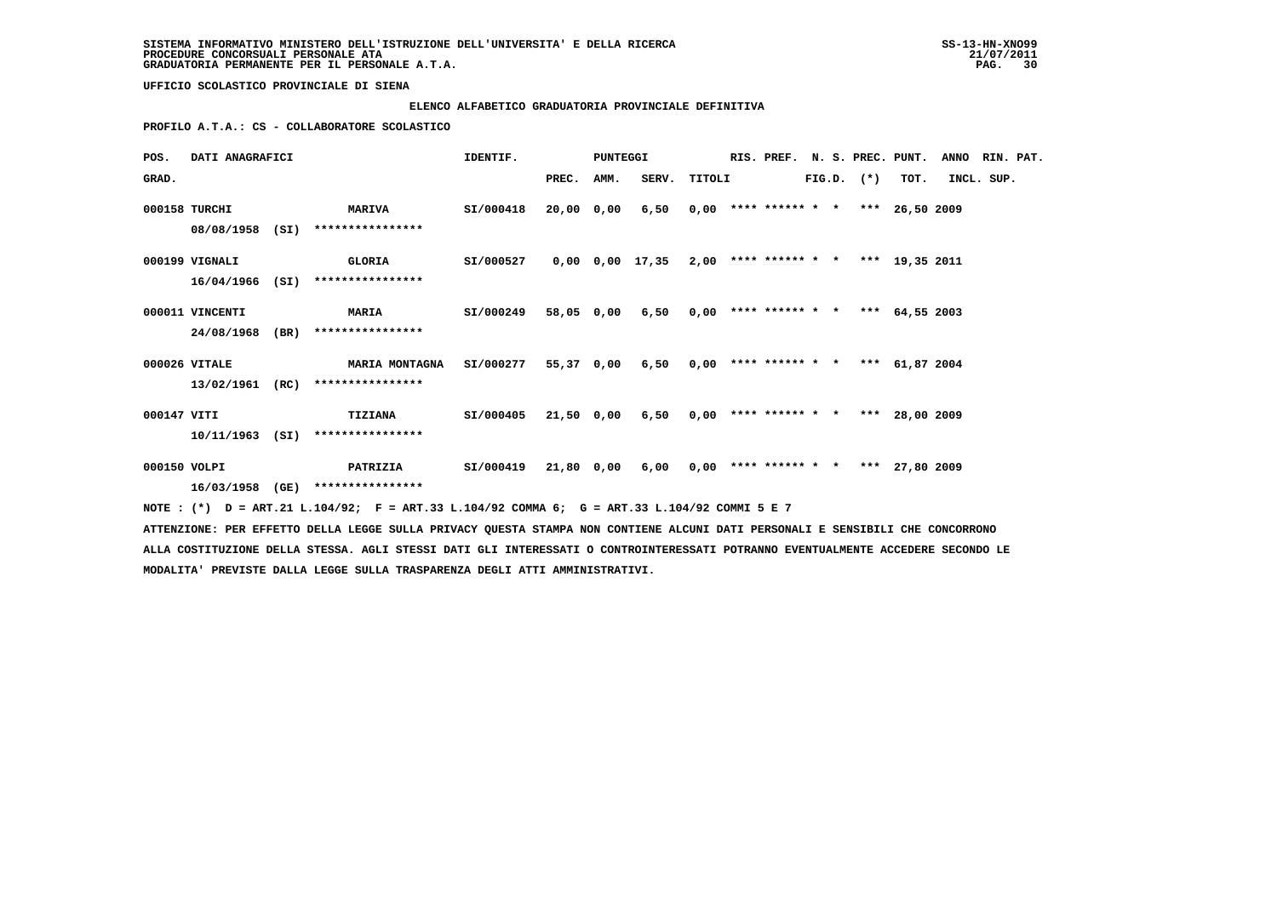# **ELENCO ALFABETICO GRADUATORIA PROVINCIALE DEFINITIVA**

 **PROFILO A.T.A.: CS - COLLABORATORE SCOLASTICO**

| POS.         | DATI ANAGRAFICI |  |                                                                                                                               | IDENTIF.  | <b>PUNTEGGI</b> |  |                                                           |  |  |  | RIS. PREF. N. S. PREC. PUNT. ANNO RIN. PAT. |            |  |
|--------------|-----------------|--|-------------------------------------------------------------------------------------------------------------------------------|-----------|-----------------|--|-----------------------------------------------------------|--|--|--|---------------------------------------------|------------|--|
| GRAD.        |                 |  |                                                                                                                               |           | PREC. AMM.      |  | SERV. TITOLI FIG.D. (*) TOT.                              |  |  |  |                                             | INCL. SUP. |  |
|              | 000158 TURCHI   |  | <b>MARIVA</b>                                                                                                                 | SI/000418 | 20,00 0,00      |  | $6,50$ 0,00 **** ****** * * *** 26.50 2009                |  |  |  |                                             |            |  |
|              |                 |  | 08/08/1958 (SI) ****************                                                                                              |           |                 |  |                                                           |  |  |  |                                             |            |  |
|              | 000199 VIGNALI  |  | <b>GLORIA</b>                                                                                                                 | SI/000527 |                 |  | $0,00$ $0,00$ $17,35$ $2,00$ **** ****** * *** 19,35 2011 |  |  |  |                                             |            |  |
|              |                 |  | 16/04/1966 (SI) ****************                                                                                              |           |                 |  |                                                           |  |  |  |                                             |            |  |
|              | 000011 VINCENTI |  | <b>MARIA</b> SI/000249                                                                                                        |           |                 |  | 58,05 0,00 6,50 0,00 **** ****** * * *** 64,55 2003       |  |  |  |                                             |            |  |
|              |                 |  | 24/08/1968 (BR) ****************                                                                                              |           |                 |  |                                                           |  |  |  |                                             |            |  |
|              | 000026 VITALE   |  | MARIA MONTAGNA  SI/000277  55,37  0,00  6,50  0,00 **** ****** * * ***  61,87  2004                                           |           |                 |  |                                                           |  |  |  |                                             |            |  |
|              |                 |  | 13/02/1961 (RC) ****************                                                                                              |           |                 |  |                                                           |  |  |  |                                             |            |  |
| 000147 VITI  |                 |  | TIZIANA SI/000405                                                                                                             |           |                 |  | 21,50 0,00 6,50 0,00 **** ****** * * *** 28,00 2009       |  |  |  |                                             |            |  |
|              |                 |  | 10/11/1963 (SI) ****************                                                                                              |           |                 |  |                                                           |  |  |  |                                             |            |  |
| 000150 VOLPI |                 |  | PATRIZIA     SI/000419  21,80 0,00  6,00  0,00 **** ****** *  * *** 27,80 2009                                                |           |                 |  |                                                           |  |  |  |                                             |            |  |
|              |                 |  | 16/03/1958 (GE) ****************                                                                                              |           |                 |  |                                                           |  |  |  |                                             |            |  |
|              |                 |  | NOTE: (*) D = ART.21 L.104/92; F = ART.33 L.104/92 COMMA 6; G = ART.33 L.104/92 COMMI 5 E 7                                   |           |                 |  |                                                           |  |  |  |                                             |            |  |
|              |                 |  | ATTENZIONE: PER EFFETTO DELLA LEGGE SULLA PRIVACY QUESTA STAMPA NON CONTIENE ALCUNI DATI PERSONALI E SENSIBILI CHE CONCORRONO |           |                 |  |                                                           |  |  |  |                                             |            |  |

 **ALLA COSTITUZIONE DELLA STESSA. AGLI STESSI DATI GLI INTERESSATI O CONTROINTERESSATI POTRANNO EVENTUALMENTE ACCEDERE SECONDO LE MODALITA' PREVISTE DALLA LEGGE SULLA TRASPARENZA DEGLI ATTI AMMINISTRATIVI.**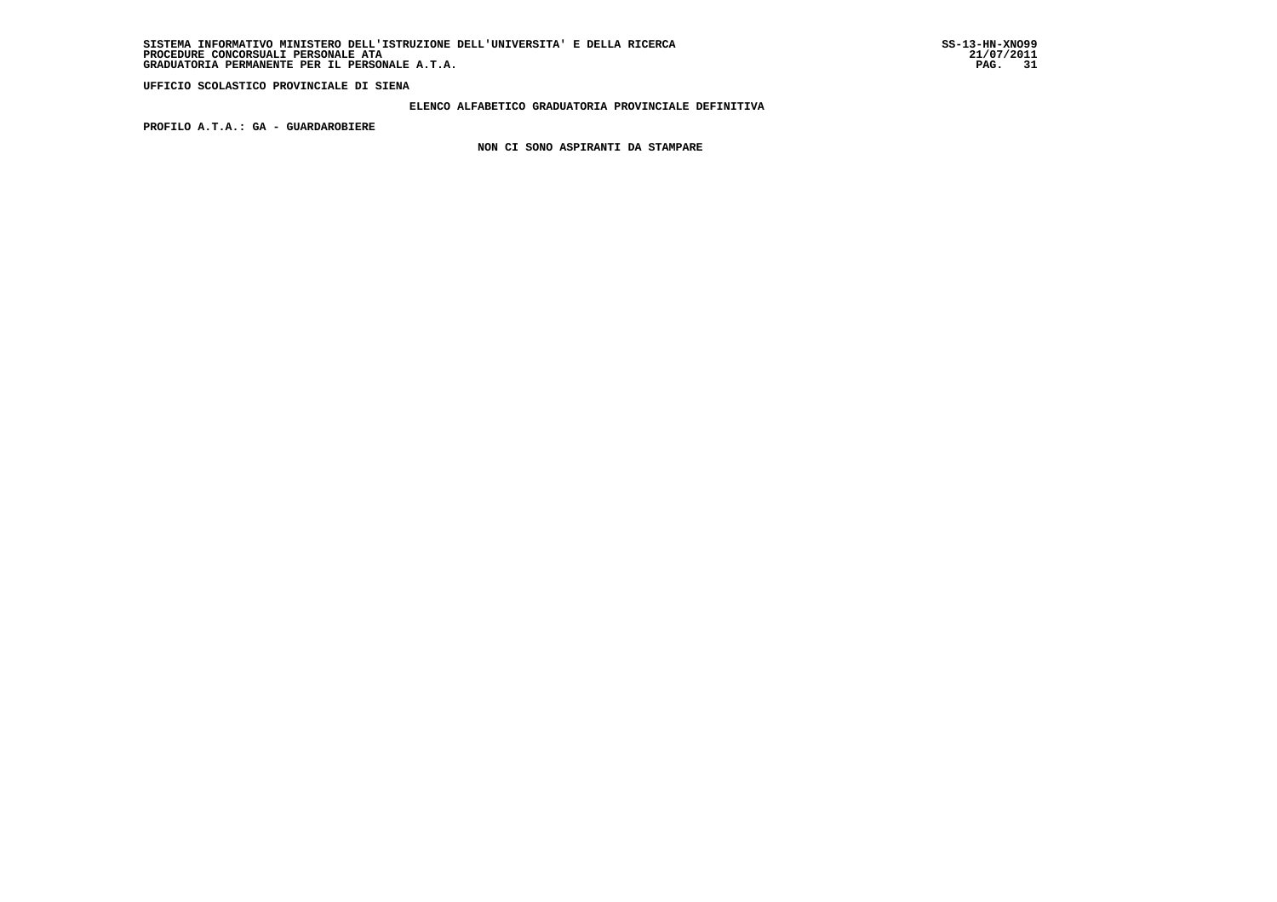### **ELENCO ALFABETICO GRADUATORIA PROVINCIALE DEFINITIVA**

 **PROFILO A.T.A.: GA - GUARDAROBIERE**

 **NON CI SONO ASPIRANTI DA STAMPARE**